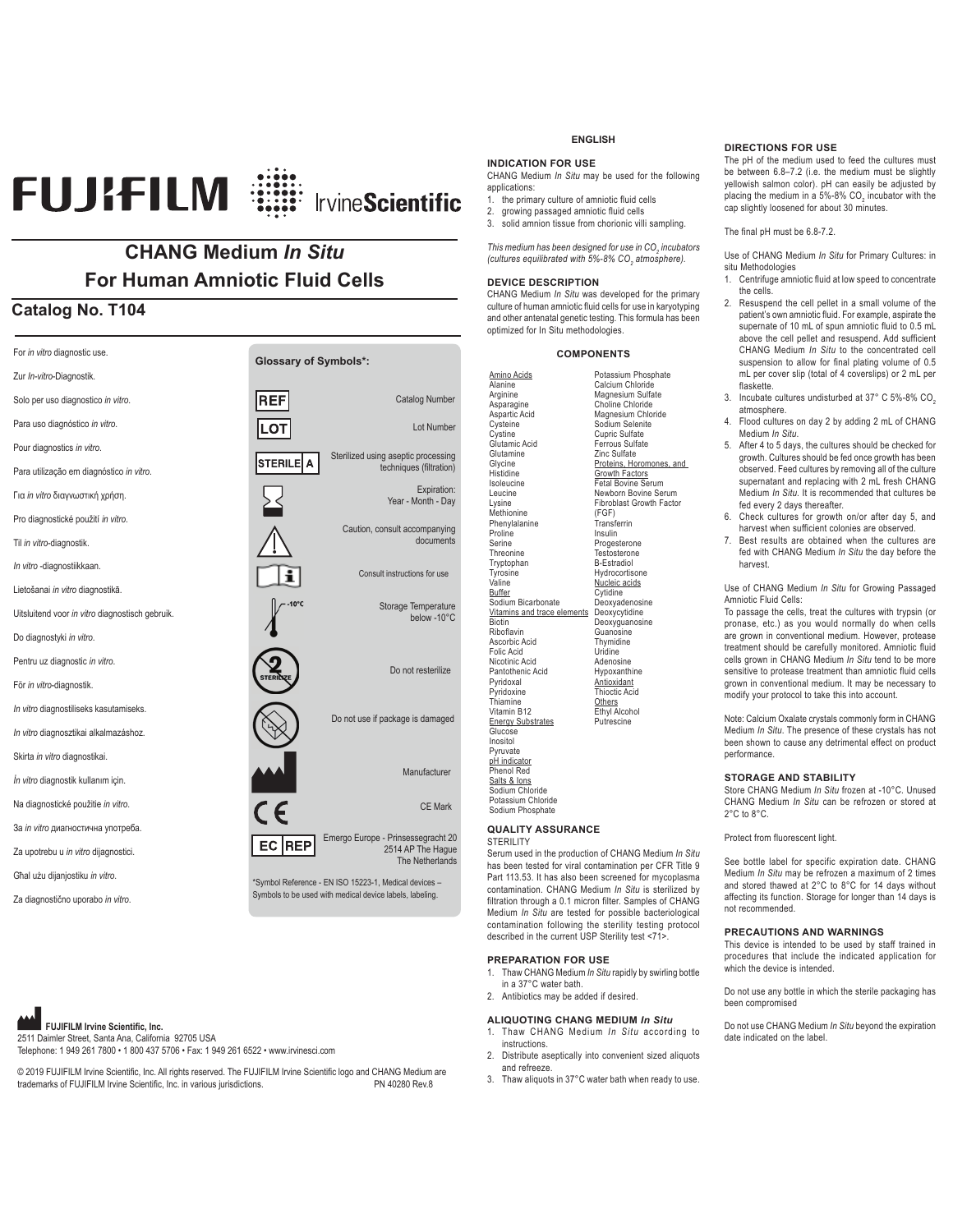## 

#### **CHANG Medium** *In Situ* **For Human Amniotic Fluid Cells**

#### **Catalog No. T104**

| For in vitro diagnostic use.                    | <b>Glossary of Symbols*:</b> |                                                          |
|-------------------------------------------------|------------------------------|----------------------------------------------------------|
| Zur In-vitro-Diagnostik.                        |                              |                                                          |
| Solo per uso diagnostico in vitro.              | REI                          | <b>Catalog Number</b>                                    |
| Para uso diagnóstico in vitro.                  | LOT                          | Lot Number                                               |
| Pour diagnostics in vitro.                      |                              | Sterilized using aseptic processing                      |
| Para utilização em diagnóstico in vitro.        | <b>STERILE</b><br>А          | techniques (filtration)                                  |
| Για in vitro διαγνωστική χρήση.                 |                              | Expiration:<br>Year - Month - Day                        |
| Pro diagnostické použití in vitro.              |                              | Caution, consult accompanying                            |
| Til in vitro-diagnostik.                        |                              | documents                                                |
| In vitro -diagnostiikkaan.                      |                              | Consult instructions for use                             |
| Lietošanai in vitro diagnostikā.                |                              |                                                          |
| Uitsluitend voor in vitro diagnostisch gebruik. | $10^{\circ}$ C               | Storage Temperature<br>below -10°C                       |
| Do diagnostyki in vitro.                        |                              |                                                          |
| Pentru uz diagnostic in vitro.                  |                              | Do not resterilize                                       |
| För in vitro-diagnostik.                        |                              |                                                          |
| In vitro diagnostiliseks kasutamiseks.          |                              | Do not use if package is damaged                         |
| In vitro diagnosztikai alkalmazáshoz.           |                              |                                                          |
| Skirta in vitro diagnostikai.                   |                              |                                                          |
| İn vitro diagnostik kullanım için.              |                              | Manufacturer                                             |
| Na diagnostické použitie in vitro.              | $\overline{C}$               | <b>CE Mark</b>                                           |
| За in vitro диагностична употреба.              |                              | Emergo Europe - Prinsessegracht 20                       |
| Za upotrebu u in vitro dijagnostici.            | <b>REP</b><br>EС             | 2514 AP The Haque<br>The Netherlands                     |
| Għal użu dijanjostiku in vitro.                 |                              | *Symbol Reference - EN ISO 15223-1, Medical devices -    |
| Za diagnostično uporabo in vitro.               |                              | Symbols to be used with medical device labels, labeling. |

**FUJIFILM Irvine Scientific, Inc.** 

2511 Daimler Street, Santa Ana, California 92705 USA Telephone: 1 949 261 7800 • 1 800 437 5706 • Fax: 1 949 261 6522 • www.irvinesci.com

© 2019 FUJIFILM Irvine Scientific, Inc. All rights reserved. The FUJIFILM Irvine Scientific logo and CHANG Medium are<br>trademarks of FLUIFILM Irvine Scientific. Inc. in various jurisdictions trademarks of FUJIFILM Irvine Scientific, Inc. in various jurisdictions.

#### **ENGLISH**

#### **INDICATION FOR USE**

CHANG Medium *In Situ* may be used for the following applications:

1. the primary culture of amniotic fluid cells

2. growing passaged amniotic fluid cells<br>3. solid amnion tissue from chorionic villi solid amnion tissue from chorionic villi sampling.

*This medium has been designed for use in CO<sub>2</sub> incubators* (cultures equilibrated with 5%-8% CO<sub>2</sub> atmosphere).

#### **DEVICE DESCRIPTION**

Arginine

**Cysteine** 

Glutamine **Glycine** Histidine Isoleucine Leucine Lysine

Proline Serine Threonine **Tryptophan** Tyrosine Valine Buffer

**Biotin** Riboflavin

Folic Acid

Pyridoxal Pyridoxine Thiamine

Glucose Inositol Pyruvate

CHANG Medium *In Situ* was developed for the primary culture of human amniotic fluid cells for use in karyotyping and other antenatal genetic testing. This formula has been optimized for In Situ methodologies.

#### **COMPONENTS**

<u>Amino Acids</u><br>Alanine Asparagine Aspartic Acid Cystine Glutamic Acid Methionine Phenylalanine Sodium Bicarbonate Vitamins and trace elements Deoxycytidine Ascorbic Acid Nicotinic Acid Pantothenic Acid Vitamin B12 Energy Substrates pH indicator Phenol Red Salts & Ions Sodium Chloride Potassium Chloride Potassium Phosphate Calcium Chloride Magnesium Sulfate Choline Chloride Magnesium Chloride Sodium Selenite Cupric Sulfate Ferrous Sulfate Zinc Sulfate Proteins, Horomones, and Growth Factors Fetal Bovine Serum Newborn Bovine Serum Fibroblast Growth Factor (FGF) Transferrin Insulin Progesterone Testosterone B-Estradiol **Hydrocortisone** Nucleic acids Cytidine Deoxyadenosine Deoxyguanosine Guanosine **Thymidine** Uridine Adenosine Hypoxanthine **Antioxidant** Thioctic Acid Others Ethyl Alcohol Putrescine

Sodium Phosphate **QUALITY ASSURANCE**

#### **STERILITY**

Serum used in the production of CHANG Medium *In Situ*  has been tested for viral contamination per CFR Title 9 Part 113.53. It has also been screened for mycoplasma contamination. CHANG Medium *In Situ* is sterilized by filtration through a 0.1 micron filter. Samples of CHANG Medium *In Situ* are tested for possible bacteriological contamination following the sterility testing protocol described in the current USP Sterility test <71>.

#### **PREPARATION FOR USE**

- 1. Thaw CHANG Medium *In Situ* rapidly by swirling bottle
- in a 37°C water bath. 2. Antibiotics may be added if desired.

- **ALIQUOTING CHANG MEDIUM** *In Situ*  1. Thaw CHANG Medium *In Situ* according to instructions.
- 2. Distribute aseptically into convenient sized aliquots and refreeze.
- 3. Thaw aliquots in 37°C water bath when ready to use.

#### **DIRECTIONS FOR USE**

The pH of the medium used to feed the cultures must be between 6.8–7.2 (i.e. the medium must be slightly yellowish salmon color). pH can easily be adjusted by placing the medium in a 5%-8% CO<sub>2</sub> incubator with the cap slightly loosened for about 30 minutes.

#### The final pH must be 6.8-7.2.

Use of CHANG Medium *In Situ* for Primary Cultures: in situ Methodologies

- 1. Centrifuge amniotic fluid at low speed to concentrate the cells.
- 2. Resuspend the cell pellet in a small volume of the patient's own amniotic fluid. For example, aspirate the supernate of 10 mL of spun amniotic fluid to 0.5 mL above the cell pellet and resuspend. Add sufficient CHANG Medium *In Situ* to the concentrated cell suspension to allow for final plating volume of 0.5 mL per cover slip (total of 4 coverslips) or 2 mL per flaskette.
- 3. Incubate cultures undisturbed at 37° C 5%-8% CO<sub>2</sub> atmosphere.
- 4. Flood cultures on day 2 by adding 2 mL of CHANG Medium *In Situ*.
- 5. After 4 to 5 days, the cultures should be checked for growth. Cultures should be fed once growth has been observed. Feed cultures by removing all of the culture supernatant and replacing with 2 mL fresh CHANG Medium *In Situ.* It is recommended that cultures be fed every 2 days thereafter.
- 6. Check cultures for growth on/or after day 5, and harvest when sufficient colonies are observed.
- 7. Best results are obtained when the cultures are fed with CHANG Medium *In Situ* the day before the harvest.

Use of CHANG Medium *In Situ* for Growing Passaged Amniotic Fluid Cells:

To passage the cells, treat the cultures with trypsin (or pronase, etc.) as you would normally do when cells are grown in conventional medium. However, protease treatment should be carefully monitored. Amniotic fluid cells grown in CHANG Medium *In Situ* tend to be more sensitive to protease treatment than amniotic fluid cells grown in conventional medium. It may be necessary to modify your protocol to take this into account.

Note: Calcium Oxalate crystals commonly form in CHANG Medium *In Situ*. The presence of these crystals has not been shown to cause any detrimental effect on product performance.

#### **STORAGE AND STABILITY**

Store CHANG Medium *In Situ* frozen at -10°C. Unused CHANG Medium *In Situ* can be refrozen or stored at 2°C to 8°C.

Protect from fluorescent light.

See bottle label for specific expiration date. CHANG Medium *In Situ* may be refrozen a maximum of 2 times and stored thawed at 2°C to 8°C for 14 days without affecting its function. Storage for longer than 14 days is not recommended.

#### **PRECAUTIONS AND WARNINGS**

This device is intended to be used by staff trained in procedures that include the indicated application for which the device is intended.

Do not use any bottle in which the sterile packaging has been compromised

Do not use CHANG Medium *In Situ* beyond the expiration date indicated on the label.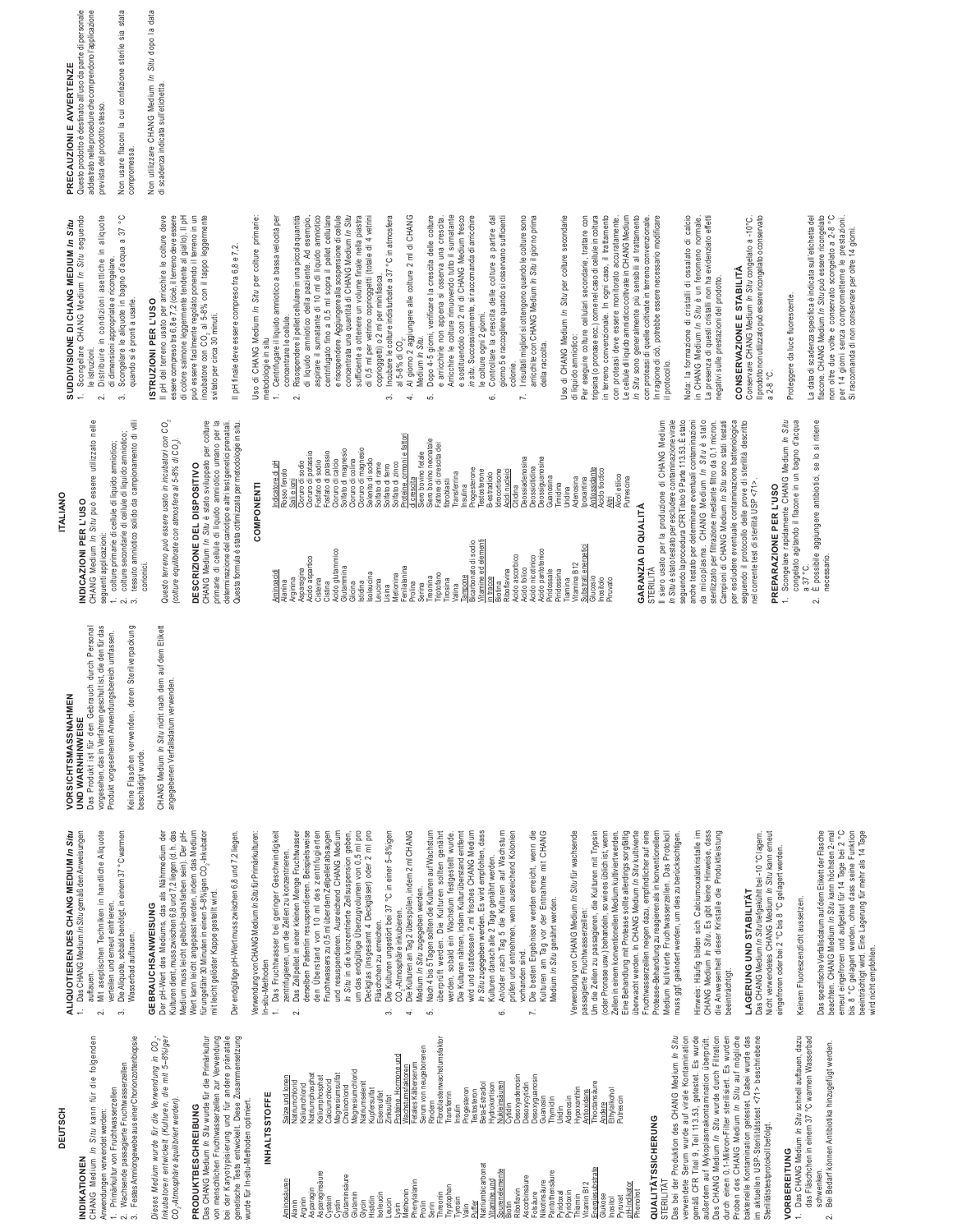DEUTSCH **DEUTSCH**

**ALIQUOTIEREN DES CHANG MEDIUM** *In Situ*  1. Das CHANG Medium *In Situ* gemäß den Anweisungen auftauen.<br>2. Mit aseptischen Techniken in handliche Aliquote 2. Mit aseptischen Techniken in handliche Aliquote verteilen und erneut einfrieren. 3. Die Aliquote, sobald benötigt, in einem 37 °C warmen

ALIQUOTIEREN DES CHANG MEDIUM *In Situ*<br>1. Das CHANG Medium *In Situ* gemäß den Anweisungen

Das CHANG Medium In Situ gemäß den Anweisungen

### INDIKATIONEN **INDIKATIONEN**

## CHANG Medium In Situ kann für die folgenden CHANG Medium *In Situ* kann für die folgenden

- Anwendungen verwendet werden: Anwendungen verwendet werden:
- Primärkultur von Fruchtwasserzellen 1. Primärkultur von Fruchtwasserzellen
- 
- 
- Wachsende passagierte Fruchtwasserzellen 2. Wachsende passagierte Fruchtwasserzellen
- 
- 
- 3. Festes Amniongewebe aus einer Chorionzottenbiopsie Festes Amniongewebe aus einer Chorionzottenbiopsie  $\tilde{\mathfrak{g}}$

Wasserbad auftauen. **GEBRAUCHSANWEISUNG**

Wasserbad auftauen.

 $\sim$ 

Die Aliquote, sobald benötigt, in einem 37 °C warmen

verteilen und erneut einfrieren.

Der pH-Wert des Mediums, das als Nährmedium der Kulturen dient, muss zwischen 6,8 und 7,2 liegen (d. h. das Medium muss leicht gelblich-lachsfarben sein). Der pH-Wert kann leicht angepasst werden, indem das Medium für ungefähr 30 Minuten in einen 5–8%igen CO2-Inkubator mit leicht gelöster Kappe gestellt wird.

GEBRAUCHSANWEISUNG

Der pH-Wert des Mediums, das als Nähmedium der<br>Kulturen dient, muss zwischen 6,8 und 7,2 liegen (d. h. das<br>Medium muss leicht gelblich-lachsfarben sein). Der pH-

Wert kann leicht angepasst werden, indem das Medium

für ungefähr 30 Minuten in einen 5-8%igen CO<sub>2</sub>-Inkubator

mit leicht gelöster Kappe gestellt wird.

- *Inkubatoren entwickelt (Kulturen, die mit 5–8%iger*  Inkubatoren entwickelt (Kulturen, die mit 5-8%iger Dieses Medium wurde für die Verwendung in CO, *Dieses Medium wurde für die Verwendung in CO2*
	- CO<sub>2</sub>-Atmosphäre äquilibriert werden). *CO2-Atmosphäre äquilibriert werden).*
- Das CHANG Medium *In Situ* wurde für die Primärkultur Das CHANG Medium In Situ wurde für die Primärkultur **PRODUKTBESCHREIBUNG PRODUKTBESCHREIBUNG**
- von menschlichen Fruchtwasserzellen zur Verwendung<br>bei der Karyotypisierung und für andere pränatale<br>genetische Tests entwickelt. Diese Zusammensetzung von menschlichen Fruchtwasserzellen zur Verwendung bei der Karyotypisierung und für andere pränatale genetische Tests entwickelt. Diese Zusammensetzung

## Verwendung von CHANG Medium *In Situ* für Primärkulturen: Verwendung von CHANG Medium In Situ für Primärkulturen: wurde für In-situ-Methoden optimiert. wurde für In-situ-Methoden optimiert.

**INHALTSSTOFFE**

NHALTSSTOFFE

Aminosäuren

Salze und Ionen Natriumchlorid Kaliumchlorid Natriumphosphat Kaliumphosphat **Calciumchlorid** Magnesiumsulfat **Cholinchlorid** Magnesiumchlorid Natriumselenit Natriumphosphat<br>Kaliumphosphat<br>Calciumchlorid<br>Chagnesiumsulfat<br>Magnesulindi<br>Matriumselenit<br>Natriumselenit

Salze und lonen<br>Natriumchlorid

aliumchlorid

Asparaginsäure Glutaminsäure

1. Das Fruchtwasser bei geringer Geschwindigkeit Das Fruchtwasser bei geringer Geschwindigkeit In-situ-Methoden In-situ-Methoden

Der endgültige pH-Wert muss zwischen 6,8 und 7,2 liegen.

Der endgültige pH-Wert muss zwischen 6,8 und 7,2 liegen.

- zentrifugieren, um die Zellen zu konzentrieren.
- 2. Das Zellpellet in einer kleinen Menge Fruchtwasser zentrifugieren, um die Zellen zu konzentrieren.<br>Das Zellpellet in einer kleinen Menge Fruchtwasser  $\sim$
- derselben Patientin resuspendieren. Beispielsweise den Überstand von 10 ml des zentrifugierten Fruchtwassers zu 0,5 ml über dem Zellpellet absaugen und resuspendieren. Ausreichend CHANG Medium<br>In Situ in die konzentrierte Zellsuspension geben, *In Situ* in die konzentrierte Zellsuspension geben, um das endgültige Überzugvolumen von 0,5 ml pro derselben Patientin resuspendieren. Beispielsweise<br>den Überstand von 10 ml des zentrifugierten Fruchtwassers zu 0,5 ml über dem Zellpellet absaugen und resuspendieren. Ausreichend CHANG Medium
	- Deckglas (insgesamt 4 Deckgläser) oder 2 ml pro 3. Die Kulturen ungestört bei 37 °C in einer 5–8%igen um das endgültige Überzugvolumen von 0,5 ml pro<br>Deckglas (insgesamt 4 Deckgläser) oder 2 ml pro Fläschchen zu erreichen. Fläschchen zu erreichen.

Alanin<br>Asparagins<br>Asparagin in Balance<br>Asparagina Theoning Construction<br>Glutaminia Sering Proline Theoning Construction<br>Sering Construction Sering Propone<br>Sering Construction Sering Profile<br>Daling Construction Sering Profi

Eisensulfat Zinksulfat Proteine, Hormone und Wachstumsfaktoren Fetales Kälberserum Serum von neugeborenen Rindern Fibroblastenwachstumsfaktor Transferrin Insulin pesteron **Testosteron** Beta-Estradiol Hydrokortison Nukleinsäuren Cytidin Desoxyadenosin Desoxycytidin Desoxyguanosin Desoxygiuanosin<br>Guanosin Thymidin Uridin Adenosin Hypoxanthin Antioxidans Thioctansäure Andere Ethylalkohol Putrescin

**Eisensulfat** 

Proteine, Hormone und

Nachstumsfaktoren

Phenylalanin

- 3. Die Kulturen ungestört bei 37 °C in einer 5–8%igen<br>CO<sub>2</sub>-Atmosphäre inkubieren.<br>4. Die Kulturen an Tag 2 überspülen, indem 2 ml CHANG 4. Die Kulturen an Tag 2 überspülen, indem 2 ml CHANG CO<sub>2</sub>-Atmosphäre inkubieren.
	- 5. Nach 4 bis 5 Tagen sollten die Kulturen auf Wachstum Medium *In Situ z*ugegeben werden.<br>Nach 4 bis 5 Tagen sollten die Kulturen auf Wachstum Medium *In Situ* zugegeben werden.  $\mathfrak{s}$

blastenwachstumsfaktor

Fetales Kälberserum<br>Serum von neugeborenen

- überprüft werden. Die Kulturen sollten genährt werden, sobald ein Wachstum festgestellt wurde.<br>Die Kulturen nähren, indem Kulturüberstand entfernt werden, sobald ein Wachstum festgestellt wurde. Die Kulturen nähren, indem Kulturüberstand entfernt wird und stattdessen 2 ml frisches CHANG Medium<br>In Situ zugegeben werden. Es wird empfohlen, dass *In Situ* zugegeben werden. Es wird empfohlen, dass überprüft werden. Die Kulturen sollten genährt wird und stattdessen 2 ml frisches CHANG Medium Kulturen danach alle 2 Tage genährt werden.
- Kulturen danach alle 2 Tage genährt werden.<br>An/oder nach Tag 5 die Kulturen auf Wachstum 6. An/oder nach Tag 5 die Kulturen auf Wachstum prüfen und entnehmen, wenn ausreichend Kolonien prüfen und entnehmen, wenn ausreichend Kolonien Ġ

Natriumbicarbonat Vitamine und **Spurenelemente** Biotin Riboflavin Ascorbinsäure Folsäure Pyridoxal Pyridoxin Nikotinsäure Pantothensäure

/itamine und<br>Spurenelemente

Testosteron<br>Beta-Estradiol

kleinsäuren soxycytidin

lydrokortison

- 7. Die besten Ergebnisse werden erreicht, wenn die orhanden sind. vorhanden sind.
- Die besten Ergebnisse werden erreicht, wenn die<br>Kulturen am Tag vor der Entnahme mit CHANG Kulturen am Tag vor der Entnahme mit CHANG Medium In Situ genährt werden. Medium *In Situ* genährt werden.

Verwendung von CHANG Medium *In Situ* für wachsende Verwendung von CHANG Medium In Situ für wachsende passagierte Fruchtwasserzellen:<br>Um die Zellen zu passagieren, die Kulturen mit Trypsin passagierte Fruchtwasserzellen:

> Thiamin<br>Vitamin I<br>Energies<br>Glukositol<br>Inositol Vitamin B12 Energiesubstrate <sup>5</sup>yruvat<br>bH-Indikator pH-Indikator Phenolrot

intioxidans<br>Thioctansäure

**QUALITÄTSSICHERUNG**

QUALITÄTSSICHERUNG

STERILITÄT

STERILITAT

Das bei der Produktion des CHANG Medium *In Situ*  verwendete Serum wurde auf virale Kontamination gemäß CFR Titel 9, Teil 113.53, getestet. Es wurde außerdem auf Mykoplasmakontamination überprüft. Das CHANG Medium *In Situ* wurde durch Filtration durch einen 0,1-Mikron-Filter sterilisiert. Es wurden Proben des CHANG Medium *In Situ* auf mögliche bakterielle Kontamination getestet. Dabei wurde das im aktuellen USP-Sterilitätstest <71> beschriebene

Das bei der Produktion des CHANG Medium In Situ verwendete Serum wurde auf virale Kontamination<br>gemäß CFR Titel 9, Teil 113.53, getestet. Es wurde außerdem auf Mykoplasmakontamination überprüft.<br>Das CHANG Medium *In Situ* wurde durch Filtration durch einen 0,1-Mikron-Filter sterilisiert. Es wurden Proben des CHANG Medium *In Situ* auf mögliche<br>bakterielle Kontamination getestet. Dabei wurde das

Um die Zellen zu passagieren, die Kulturen mit Trypsin (oder Pronase usw.) behandeln, so wie es üblich ist, wenn Zellen in einem konventionellen Medium kultiviert werden. Eine Behandlung mit Protease sollte allerdings sorgfältig überwacht werden. In CHANG Medium *In Situ* kultivierte Fruchtwasserzellen neigen dazu, empfindlicher auf eine Protease-Behandlung zu reagieren als in konventionellem Medium kultivierte Fruchtwasserzellen. Das Protokoll muss ggf. geändert werden, um dies zu berücksichtigen. (oder Pronase usw.) behandeln, so wie es üblich ist, wenn<br>Zellen in einem konventionellen Medium kultiviert werden.<br>Eine Behandlung mit Protease sollte allerdings sorgfältig überwacht werden. In CHANG Medium In Situ kultivierte Fruchtwasserzellen neigen dazu, empfindlicher auf eine Protease-Behandlung zu reagieren als in konventionellem Medium kultivierte Fruchtwasserzellen. Das Protokoll muss ggf. geändert werden, um dies zu berücksichtigen.

Hinweis: Häufig bilden sich Calciumoxalatkristalle im CHANG Medium *In Situ*. Es gibt keine Hinweise, dass die Anwesenheit dieser Kristalle die Produktleistung Hinweis: Häufig bilden sich Calciumoxalatkristalle im CHANG Medium In Situ. Es gibt keine Hinweise, dass die Anwesenheit dieser Kristalle die Produktleistung beeinträchtigt. beeinträchtigt.

## LAGERUNG UND STABILITÄT **LAGERUNG UND STABILITÄT**

Das CHANG Medium *In Situ* tiefgekühlt bei -10 °C lagern. Nicht verwendetes CHANG Medium *In Situ* kann erneut Das CHANG Medium In Situtiefgekühlt bei -10 °C lagem. Nicht verwendetes CHANG Medium *In Situ* kann erneut<br>eingefroren oder bei 2 °C bis 8 °C gelagert werden. eingefroren oder bei 2 °C bis 8 °C gelagert werden.

> Sterilitätstestprotokoll befolgt. **VORBEREITUNG**

Sterilitätstestprotokoll befolgt. VORBEREITUNG

im aktuellen USP-Sterilitätstest <71> beschriebene

## Keinem Fluoreszenzlicht aussetzen. Keinem Fluoreszenzlicht aussetzen

1. Das CHANG Medium *In Situ* schnell auftauen, dazu das Fläschchen in einem 37 °C warmen Wasserbad

Das CHANG Medium In Situ schnell auftauen, dazu das Fläschchen in einem 37 °C warmen Wasserbad

schwenken.

 $\sim$ 

schwenken

2. Bei Bedarf können Antibiotika hinzugefügt werden.

Bei Bedarf können Antibiotika hinzugefügt werden.

erneut eingefroren und aufgetaut für 14 Tage bei 2 °C<br>bis 8 °C gelagert werden, ohne dass seine Funktion<br>beeinträchtigt wird. Eine Lagerung für mehr als 14 Tage Das spezifische Verfallsdatum auf dem Etikett der Flasche beachten. CHANG Medium *In Situ* kann höchsten 2-mal erneut eingefroren und aufgetaut für 14 Tage bei 2 °C bis 8 °C gelagert werden, ohne dass seine Funktion beeinträchtigt wird. Eine Lagerung für mehr als 14 Tage Das spezifische Verfallsdatum auf dem Etikett der Flasche<br>beachten. CHANG Medium *In Situ* kann höchsten 2-mal wird nicht empfohlen. wird nicht empfohlen.

Das Produkt ist für den Gebrauch durch Personal VORSICHTSMASSNAHMEN **VORSICHTSMASSNAHMEN UND WARNHINWEISE UND WARNHINWEISE** 

Das Produkt ist für den Gebrauch durch Personal<br>vorgesehen, das in Verfahren geschult ist, die den für das vorgesehen, das in Verfahren geschult ist, die den für das Produkt vorgesehenen Anwendungsbereich umfassen. Produkt vorgesehenen Anwendungsbereich umfassen.

Keine Flaschen verwenden, deren Sterilverpackung Keine Flaschen verwenden, deren Sterilverpackung beschädigt wurde. beschädigt wurde.

CHANG Medium *In Situ* nicht nach dem auf dem Etikett<br>angegebenen Verfallsdatum verwenden. CHANG Medium *In Situ* nicht nach dem auf dem Etikett angegebenen Verfallsdatum verwenden.

### TALIANO **ITALIANO**

### CHANG Medium In Situ può essere utilizzato nelle CHANG Medium *In Situ* può essere utilizzato nelle INDICAZIONI PER L'USO **INDICAZIONI PER L'USO**

- colture primarie di cellule di liquido amniotico; 1. colture primarie di cellule di liquido amniotico; seguenti applicazioni: seguenti applicazioni:
- 2. colture secondarie di cellule di liquido amniotico;
- colture secondarie di cellule di liquido amniotico;<br>tessuto amniotico solido da campionamento di v
	-
- 

incubatore con CO<sub>2</sub> al 5-8% con il tappo leggermente<br>svitato per circa 30 minuti. svitato per circa 30 minuti.

### **COMPONENTI COMPONENTI**

| Indicatore di pH<br>Rosso fenolo | sodio<br>Cloruro di<br>Sali e ioni | potassio<br>sodio<br>Cloruro di<br>ㅎ<br>=osfato | potassio<br>Fosfato di | calcio<br>亏<br>Solfato di<br>Cloruro | magnesio<br>colina<br>Cloruro di | magnesio<br>Cloruro di | Selenito di sodio<br>Soffato di rame | Solfato di ferro | Soffato di zinco | ormoni e fatto<br>di crescita<br>Proteine, |        | Siero bovino fetale<br>Siero bovino neonatale | crescita dei<br>Fattore di | fibroblasti | Transferrina | nsulina | Progesterone<br>Testosterone                      | B-estradiolo | ldrocortisone | Acidi nucleici | Deossiadenosina<br>Citidina     | Deossicitidina   | Deossiguanosina   | Guanosina   | Timidina<br>Uridina    | Adenosina    | Antiossidante<br>poxantina          | <b>Acido tioctico</b> | Alcol etilico<br><b>Altri</b> | Putrescina |
|----------------------------------|------------------------------------|-------------------------------------------------|------------------------|--------------------------------------|----------------------------------|------------------------|--------------------------------------|------------------|------------------|--------------------------------------------|--------|-----------------------------------------------|----------------------------|-------------|--------------|---------|---------------------------------------------------|--------------|---------------|----------------|---------------------------------|------------------|-------------------|-------------|------------------------|--------------|-------------------------------------|-----------------------|-------------------------------|------------|
| Aminoacidi<br>Alanina            | Asparagina<br>Arginina             | Acido aspartico<br>Cisteina                     | Cistina                | Acido glutammico<br>Glutammina       | Glicina                          | Istidina               | <b>Isoleucina</b><br>Leucina         | Lisina           | Metionina        | Fenilalanina<br>Prolina                    | Serina | Treonina                                      | Triptofano                 | Tirosina    | Valina       | Tampone | elementi<br>Bicarbonato di sodio<br>ᄝ<br>Vitamine | in tracce    | Biotina       | Riboflavina    | Acido ascorbico<br>Acido folico | Acido nicotinico | Acido pantotenico | Piridossale | Piridossina<br>Tiamina | Vitamina B12 | energetici<br>Substrati<br>Glucosio | Inositolo             | Piruvato                      |            |

### **GARANZIA DI QUALITÀ GARANZIA DI QUALITÀ**

STERILITÀ<br>Il siero usato per la produzione di CHANG Medium<br>*In* Situè stato testatoperescludere contaminazione virale *In Situ* è stato testato per escludere contaminazione virale seguendo la procedura CFR Titolo 9 Parte 113.53. È stato anche testato per determinare eventuali contaminazioni<br>da micoplasma. CHANG Medium /n Situ è stato<br>sterilizzato per filtrazione mediante filtro da 0,1 micron. anche testato per determinare eventuali contaminazioni da micoplasma. CHANG Medium *In Situ* è stato sterilizzato per filtrazione mediante filtro da 0,1 micron. Campioni di CHANG Medium *In Situ* sono stati testati per escludere eventuale contaminazione batteriologica seguendo il protocollo delle prove di sterilità descritto<br>nel corrente test di sterilità USP <71>. seguendo il protocollo delle prove di sterilità descritto seguendo la procedura CFR Titolo 9 Parte 113.53. È stato Campioni di CHANG Medium In Situ sono stati testati per escludere eventuale contaminazione batteriologica Il siero usato per la produzione di CHANG Medium nel corrente test di sterilità USP <71>.

il protocollo.

il protocollo.

Nota: la formazione di cristalli di ossalato di calcio in CHANG Medium *In Situ* è un fenomeno normale. La presenza di questi cristalli non ha evidenziato effetti

Nota: la formazione di cristalli di ossalato di calcio<br>in CHANG Medium *In Situ* è un fenomeno normale.

La presenza di questi cristalli non ha evidenziato effetti

negativi sulle prestazioni del prodotto. **CONSERVAZIONE E STABILITÀ**  Conservare CHANG Medium *In Situ* congelato a -10°C. Il prodotto non utilizzato può essere ricongelato o conservato

negativi sulle prestazioni del prodotto.

## Scongelare rapidamente CHANG Medium In Situ **PREPARAZIONE PER L'USO**

- - necessario.

1. Scongelare CHANG Medium In Situ seguendo 1. Scongelare CHANG Medium *In Situ* seguendo SUDDIVISIONE DI CHANG MEDIUM In Situ **SUDDIVISIONE DI CHANG MEDIUM** *In Situ* 

- le istruzioni. le istruzioni.
- 2. Distribuire in condizioni asettiche in aliquote
	-
	-

**ISTRUZIONI PER L'USO**

ISTRUZIONI PER L'USO

Il pH del terreno usato per arricchire le colture deve essere compreso tra 6,8 e 7,2 (cioè, il terreno deve essere di colore salmone leggermente tendente al giallo). Il pH può essere facilmente regolato ponendo il terreno in un incubatore con CO2 al 5-8% con il tappo leggermente

Il pH del terreno usato per arricchire le colture deve<br>essere compreso tra6,8 e 7,2 (cioè, il terreno deve essere di colore salmone leggermente tendente al giallo). Il pH<br>può essere facilmente regolato ponendo il terreno in un

- quando si è pronti a usarle. quando si è pronti a usarle. iji
- 3. tessuto amniotico solido da campionamento di villi
- 

## CHANG Medium *In Situ* è stato sviluppato per colture **DESCRIZIONE DEL DISPOSITIVO**  DESCRIZIONE DEL DISPOSITIVO

primarie di cellule di liquido amniotico umano per la determinazione del cariotipo e altri test genetici prenatali. Questa formula è stata ottimizzata per metodologie in situ. Questa formula è stata ottimizzata per metodologie in situ.

| Indicatore di pH<br>Rosso fenolo | eioni<br>Sall | potassio<br>sodio<br>Cloruro di<br>Cloruro di | sodio<br>Fosfato di | potassio<br>calcio<br>Fosfato di<br>Cloruro di | magnesio<br>Solfato di | colina<br>Cloruro di | Cloruro di magnesio<br>Selenito di sodio | Solfato di rame | Solfato di ferro | Soffato di zinco | ormoni e fattori<br>Proteine, | Siero bovino fetale<br>di crescita | Siero bovino neonatale | Fattore di crescita dei | fibroblasti | Transferrina | Insulina       | Progesterone         | Testosterone            | ldrocortisone<br>3-estradiolo | Acidi nucleici | Citidina        | Deossiadenosina | Deossicitidina   | Deossiguanosina   | Guanosina   | Timidina    | Uridina | Adenosina    | Antiossidante<br>poxantina          | Acido tioctico | Altri    | Alcol etilico<br>Putrescina |  |
|----------------------------------|---------------|-----------------------------------------------|---------------------|------------------------------------------------|------------------------|----------------------|------------------------------------------|-----------------|------------------|------------------|-------------------------------|------------------------------------|------------------------|-------------------------|-------------|--------------|----------------|----------------------|-------------------------|-------------------------------|----------------|-----------------|-----------------|------------------|-------------------|-------------|-------------|---------|--------------|-------------------------------------|----------------|----------|-----------------------------|--|
| Aminoacidi<br>Alanina            | Arginina      | Acido aspartico<br>Asparagina                 | Cisteina            | Acido glutammico<br>Cistina                    | Glutammina             | Glicina              | <b>Isoleucina</b><br>Istidina            | eucina          | Lisina.          | Metionina        | Fenilalanina                  | Prolina<br>Serina                  | Treonina               | Triptofano              | Tirosina    | Valina       | <b>Tampone</b> | Bicarbonato di sodio | elementi<br>Vitamine ed | in tracce<br>Biotina          | Riboflavina    | Acido ascorbico | Acido folico    | Acido nicotinico | Acido pantotenico | Piridossale | Piridossina | Tiamina | Vitamina B12 | energetici<br>Substrati<br>Glucosio | Inositolo      | Piruvato |                             |  |

## PREPARAZIONE PER L'USO

a 2-8 °C.

Conservare CHANG Medium /n Situ congelato a -10°C.<br>Il prodotto non utilizzato puòessere ricongelato o conservato

CONSERVAZIONE E STABILITÀ

Proteggere da luce fluorescente.

Proteggere da luce fluorescente.

La data di scadenza specifica è indicata sull'etichetta del flacone. CHANG Medium *In Situ* può essere ricongelato non oltre due volte e conservato scongelato a 2-8 °C per 14 giorni senza comprometterne le prestazioni. Si raccomanda di non conservare per oltre 14 giorni.

La data di scadenza specifica è indicata sull'etichetta del

flacone. CHANG Medium *In Stitu pub essere ricongelato*<br>non oltre due volte e conservato scongelato a 2-8 °C<br>SI et 14 giorni senza comprometerne le prestacin.<br>SI et 14 giorni senza comprometerne le prestacion.

raccomanda di non conservare per oltre 14 giorni.

- congelato agitando il flacone in un bagno d'acqua congelato agitando il flacone in un bagno d'acqua 1. Scongelare rapidamente CHANG Medium *In Situ*
- a 37 °C.<br>2. È possibile aggiungere antibiotici, se lo si ritiene<br>necessario. 2. È possibile aggiungere antibiotici, se lo si ritiene

**PRECAUZIONI E AVVERTENZE**  Questo prodotto è destinato all'uso da parte di personale addestrato nelle procedure che comprendono l'applicazione

PRECAUZIONI E AVVERTENZE

Questo prodotto è destinato all'uso da parte di personale

addestrato nelle procedure che comprendono l'applicazione Non usare flaconi la cui confezione sterile sia stata

prevista del prodotto stesso.

prevista del prodotto stesso

Non usare flaconi la cui confezione sterile sia stata

Non utilizzare CHANG Medium *In Situ* dopo la data

Non utilizzare CHANG Medium In Situ dopo la data

di scadenza indicata sull'etichetta.

di scadenza indicata sull'etichetta.

compromessa.

compromessa.

ပ္ခ

- 
- 2. Distribuire in condizioni asettiche in aliquote
	- di dimensioni appropriate e ricongelare. di dimensioni appropriate e ricongelare.
- 3. Scongelare le aliquote in bagno d'acqua a 37 °C 3. Scongelare le aliquote in bagno d'acqua a 37
	-
	-
	- corionici.

Questo terreno può essere usato in incubatori con CO, *Questo terreno può essere usato in incubatori con CO2 (colture equilibrate con atmosfera al 5-8% di CO2).*  (colture equilibrate con atmosfera al 5-8% di CO<sub>2</sub>). CHANG Medium *In Situ* è stato sviluppato per colture<br>primarie di cellule di liquido amniotico umano per la<br>determinazione del cariotipo e altri test genetici prenatali.

Il pH finale deve essere compreso fra 6,8 e 7,2. Il pH finale deve essere compreso fra 6,8 e 7,2. Uso di CHANG Medium In Situ per colture primarie: Uso di CHANG Medium *In Situ* per colture primarie:

- 1. Centrifugare il liquido amniotico a bassa velocità per 1. Centrifugare il liquido amniotico a bassa velocità per metodologie in situ metodologie in situ
	-
	- concentrare le cellule.
	- 2. Risos pendere il pellet cellulare in una piccola quantità 2. Risospendere il pellet cellulare in una piccola quantità concentrare le cellule
- di liquido amniotico della paziente. Ad esempio, aspirare il surnatante di 10 ml di liquido amniotico aspirare il surnatante di 10 ml di liquido amniotico centrifugato fino a 0,5 ml sopra il pellet cellulare centrifugato fino a 0,5 ml sopra il pellet cellulare e risospendere. Aggiungere alla sospensione di cellule<br>concentrata una quantità di CHANG Medium In Situ e risospendere. Aggiungere alla sospensione di cellule sufficiente a ottenere un volume finale nella piastra sufficiente a ottenere un volume finale nella piastra di 0,5 ml per vetrino coprioggetti (totale di 4 vetrini di 0,5 ml per vetrino coprioggetti (totale di 4 vetrini di liquido amniotico della paziente. Ad esempio, concentrata una quantità di CHANG Medium *In Situ*
	- 3. Incubare le colture indisturbate a 37 °C in atmosfera 3. Incubare le colture indisturbate a 37 °C in atmosfera coprioggetti) o 2 ml per minifiasca. coprioggetti) o 2 ml per minifiasca.
		- al 5-8% di CO $_2$ . al 5-8% di CO<sub>2</sub>
- 4. Al giorno 2 aggiungere alle colture 2 ml di CHANG<br>Medium *In Situ*. 4. Al giorno 2 aggiungere alle colture 2 ml di CHANG Medium *In Situ*.
	- 5. Dopo 4-5 giorni, verificare la crescita delle colture 5. Dopo 4-5 giorni, verificare la crescita delle colture e arricchirle non appena si osserva una crescita. Arricchire le colture rimuovendo tutto il surnatante Arricchire le colture rimuovendo tutto il surnatante e arricchirle non appena si osserva una crescita.
- e sostituendolo con 2 ml di CHANG Medium fresco in situ. Successivamente, si raccomanda di arricchire *in situ.* Successivamente, si raccomanda di arricchire e sostituendolo con 2 ml di CHANG Medium fresco le colture ogni 2 giorni. le colture ogni 2 giorni.
	- Controllare la crescita delle colture a partire dal 6. Controllare la crescita delle colture a partire dal giorno 5 e raccogliere quando si osservano sufficienti giorno 5 e raccogliere quando si osservano sufficienti colonie. Ġ
		- 7. I risultati migliori si ottengono quando le colture sono 7. I risultati migliori si ottengono quando le colture sono arricchite con CHANG Medium *In Situ* il giorno prima arricchite con CHANG Medium In Situ il giorno prima della raccolta. della raccolta.

Uso di CHANG Medium In Situ per colture secondarie Uso di CHANG Medium *In Situ* per colture secondarie di liquido amniotico: di liquido amniotico:

Per eseguire colture cellulari secondarie, trattare con<br>tripsina (o pronase ecc.) come nel caso di cellule in coltura Per eseguire colture cellulari secondarie, trattare con tripsina (o pronase ecc.) come nel caso di cellule in coltura terreno convenzionale. In ogni caso, il trattamento in terreno convenzionale. In ogni caso, il trattamento con proteasi deve essere monitorato accuratamente. Le cellule di liquido amniotico coltivate in CHANG Medium Le cellule di liquido amniotico coltivate in CHANG Medium In Situ sono generalmente più sensibili al trattamento *In Situ* sono generalmente più sensibili al trattamento con proteasi di quelle coltivate in terreno convenzionale. In ragione di ciò, potrebbe essere necessario modificare con proteasi deve essere monitorato accuratamente. con proteasi di quelle coltivate in terreno convenzionale. In ragione di ciò, potrebbe essere necessario modificare ۔<br>≘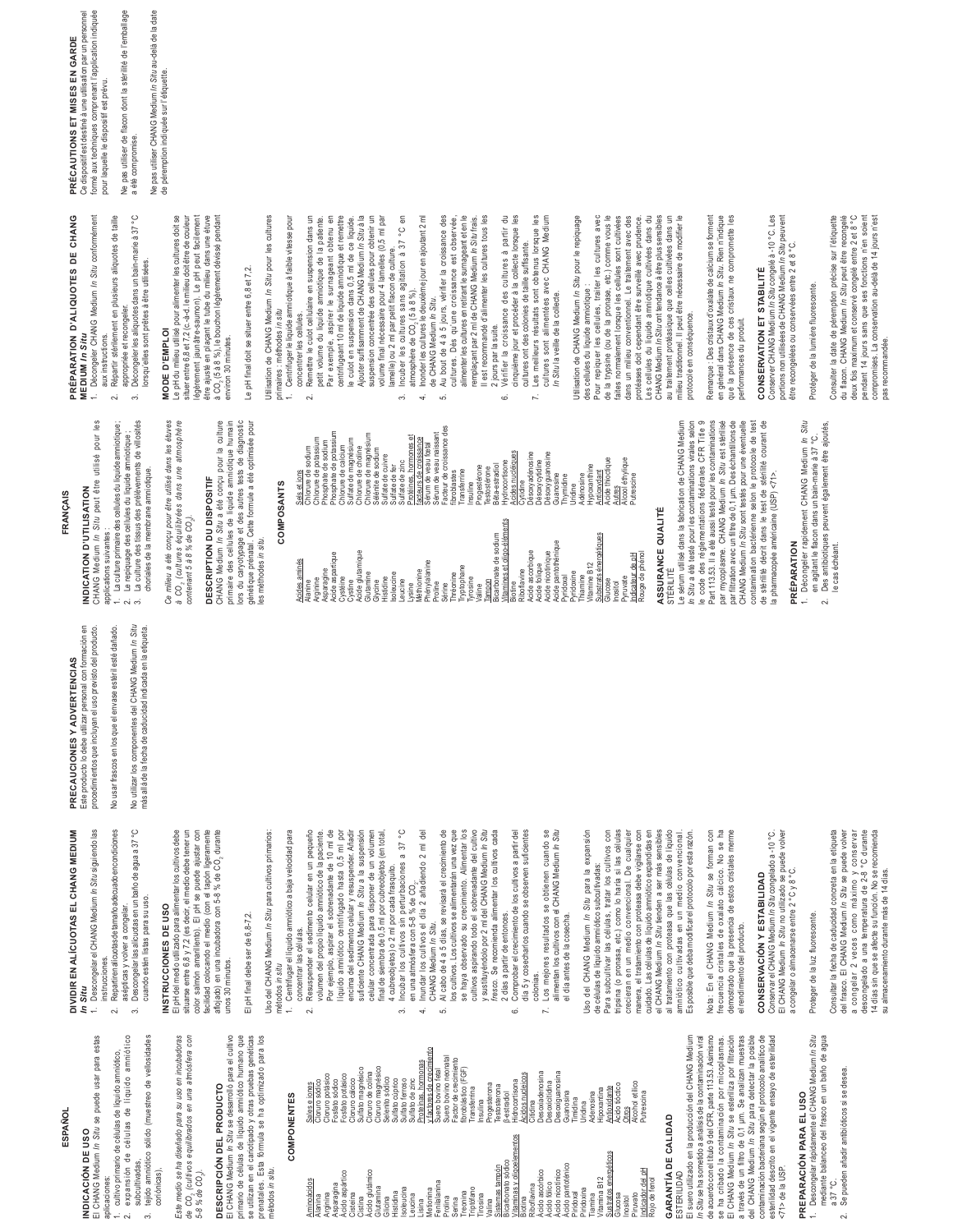### **ESPAÑOL**

## El CHANG Medium In Situ se puede usar para estas INDICACION DE USO **INDICACIÓN DE USO**

El CHANG Medium *In Situ* se puede usar para estas aplicaciones: aplicaciones:

- expansión de células de líquido amniótico 2. expansión de células de líquido amniótico 1. cultivo primario de células de líquido amniótico, cultivo primario de células de líquido amniótico,  $\sim$
- 
- subcultivadas, subcultivadas,
- $\tilde{\mathfrak{g}}$
- tejido amniótico sólido (muestreo de vellosidades 3. tejido amniótico sólido (muestreo de vellosidades coriónicas),

Este medio se ha diseñado para su uso en incubadoras de CO<sub>3</sub> (cultivos equilibrados en una atmósfera con *Este medio se ha diseñado para su uso en incubadoras de CO2 (cultivos equilibrados en una atmósfera con* 

## **DESCRIPCIÓN DEL PRODUCTO**  DESCRIPCIÓN DEL PRODUCTO

*5-8 % de CO2).* 

5-8 % de CO.).

El CHANG Medium *In Situ* se desarrolló para el cultivo<br>primario de células de líquido amniótico humano que<br>se utilizan en el cariotipado y otras pruebas genéticas<br>métodos in situa El CHANG Medium *In Situ* se desarrolló para el cultivo primario de células de líquido amniótico humano que se utilizan en el cariotipado y otras pruebas genéticas prenatales. Esta fórmula se ha optimizado para los

### **COMPONENTES COMPONENTES**

métodos *in situ*.

| Aminoácidos                       | Sales e iones             |
|-----------------------------------|---------------------------|
| Alanina                           | Cloruro sódico            |
| Arginina                          | Cloruro potásico          |
| Asparagina                        | Fosfato sódico            |
| Acido aspártico                   | potásico<br>-osfato       |
| Cisteina                          | Cloruro cálcico           |
| Cistina                           | Sulfato magnésico         |
| Acido glutámico                   | Cloruro de colina         |
| Glutamina                         | Cloruro magnésico         |
| Glicina                           | Selenito sódico           |
| Histidina                         | Sulfato cúprico           |
| Isoleucina                        | Sulfato ferroso           |
| Leucina                           | Sulfato de zinc           |
| Lisina                            | hormonas<br>Proteínas,    |
| Metionina                         | y factores de crecimiento |
| Fenilalanina                      | Suero bovino fetal        |
| Prolina                           | Suero bovino neonatal     |
| Serina                            | Factor de crecimiento     |
| Treonina                          | fibroblástico (FGF)       |
| Triptófano                        | Transferrina              |
| Tirosina                          | Insulina                  |
| Valina                            | Progesterona              |
| Sistemas tampón                   | <b>Testosterona</b>       |
| Bicarbonato sódico                | 3-estradiol               |
| Vitaminas y oligoelementos        | Hidrocortisona            |
| Biotina                           | Acidos nucleicos          |
| Riboflavina                       | Citidina                  |
| Acido ascórbico                   | Desoxiadenosina           |
| Ácido fólico                      | Desoxicitidina            |
| Ácido nicotínico                  | Desoxiguanosina           |
| Ácido pantoténico                 | Guanosina                 |
| Piridoxal                         | Timidina                  |
| Piridoxina                        | Jridina                   |
| Tiamina                           | Adenosina                 |
| Vitamina B12                      | Hipoxantina               |
| Sustratos energéticos             | Antioxidante              |
| Glucosa<br>Inositol               | Acido tióctico<br>Otros   |
| Piruvato                          | Alcohol etilico           |
|                                   | Putrescina                |
| Indicador del pH<br>Rojo de fenol |                           |
|                                   |                           |
| Ĭ                                 |                           |

### **GARANTIA DE CALIDAD GARANTÍA DE CALIDAD**

ESTERILIDAD ESTERILIDAD

se ha cribado la contaminación por micoplasmas.<br>El CHANG Medium /n Situ se esteriiza por fitración<br>a trecká de undiro de 0,1 µm. Se analizan mestras<br>contaminación bacteriana según el protocolo analitico de<br>contaminación ba El suero utilizado en la producción del CHANG Medium El suero utilizado en la producción del CHANG Medium *In Situ s*e ha sometido a análisis de la contaminación viral<br>de acuerdo con el título 9 del CFR, parte 113.53. Asimismo *In Situ* se ha sometido a análisis de la contaminación viral de acuerdo con el título 9 del CFR, parte 113.53. Asimismo se ha cribado la contaminación por micoplasmas. El CHANG Medium *In Situ* se esteriliza por filtración a través de un filtro de 0,1 µm. Se analizan muestras del CHANG Medium *In Situ* para detectar la posible contaminación bacteriana según el protocolo analítico de esterilidad descrito en el vigente ensayo de esterilidad esterilidad descrito en el vigente ensayo de esterilidad

### **PREPARACIÓN PARA EL USO**   $<$ 71> de la USP. <71> de la USP.

### Descongelar rápidamente el CHANG Medium /n Situ<br>mediante balanceo del frasco en un baño de agua mediante balanceo del frasco en un baño de agua 1. Descongelar rápidamente el CHANG Medium *In Situ* PREPARACIÓN PARA EL USO  $\ddot{ }$

- Se pueden añadir antibióticos si se desea a 37 °C.  $\sim$ 
	- 2. Se pueden añadir antibióticos si se desea.

## Este producto lo debe utilizar personal con formación en<br>procedimientos que incluyan el uso previsto del producto. Este producto lo debe utilizar personal con formación en PRECAUCIONES Y ADVERTENCIAS **PRECAUCIONES Y ADVERTENCIAS**  DIVIDIR EN ALÍCUOTAS EL CHANG MEDIUM **DIVIDIR EN ALÍCUOTAS EL CHANG MEDIUM**

*In Situ* 

Descongelar el CHANG Medium In Situ siguiendo las 1. Descongelar el CHANG Medium *In Situ* siguiendo las instrucciones. instrucciones.  $\overline{a}$ 

2. Repartiren alícuotas de tamaño adecuado en condiciones Repartiren alícuotas de tamaño adecuado en condiciones asépticas y volver a congelar. asépticas y volver a congelar.

Descongelar las alícuotas en un baño de agua a 37 °C 3. Descongelar las alícuotas en un baño de agua a 37 °C cuando estén listas para su uso. cuando estén listas para su uso.  $\ddot{\mathrm{c}}$ 

### INSTRUCCIONES DE USO **INSTRUCCIONES DE USO**

situarse entre 5.8 y 7,2 (es decir, el medio debe tener un<br>color salmón amaillento). El pH se puede ajustar con<br>fácilado colocanóo el medio (oon el tapón ligeramente<br>unos 30 minutos. El pH del medio utilizado para alimentar los cultivos debe situarse entre 6,8 y 7,2 (es decir, el medio debe tener un color salmón amarillento). El pH se puede ajustar con facilidad colocando el medio (con el tapón ligeramente aflojado) en una incubadora con 5-8 % de CO<sub>2</sub> durante El pH del medio utilizado para alimentar los cultivos debe unos 30 minutos.

## El pH final debe ser de 6,8-7,2. El pH final debe ser de 6,8-7,2.

Uso del CHANG Medium *In Situ* para cultivos primarios: Uso del CHANG Medium In Situ para cultivos primarios: métodos in situ métodos *in situ*

1. Centrifugar el líquido amniótico a baja velocidad para Centrifugar el líquido amniótico a baja velocidad para L

- Resuspender el sedimento celular en un pequeño 2. Resuspender el sedimento celular en un pequeño concentrar las células. concentrar las células.
- volumen del propio líquido amniótico de la paciente. Por ejemplo, aspirar el sobrenadante de 10 ml de<br>líquido amniótico centrifugado hasta 0,5 ml por Por ejemplo, aspirar el sobrenadante de 10 ml de Iquido amniótico centrifugado hasta 0,5 ml por encima del sedimento celular y resuspender. Añadir<br>suficiente CHANG Medium In Situ a la suspensión encima del sedimento celular y resuspender. Añadir suficiente CHANG Medium *In Situ* a la suspensión celular concentrada para disponer de un volumen final de siembra de 0,5 ml por cubreobjetos (en total, volumen del propio líquido amniótico de la paciente. celular concentrada para disponer de un volumen final de siembra de 0,5 ml por cubreobjetos (en total,
	- 3. Incubar los cultivos sin perturbaciones a 37 °C Incubar los cultivos sin perturbaciones a 37 4 cubreobjetos) o 2 ml por cada frasquito. 4 cubreobjetos) o 2 ml por cada frasquito.
- ပ္ပ Inundar los cultivos el día 2 añadiendo 2 ml del<br>CHANG Medium *In Situ*. 4. Inundar los cultivos el día 2 añadiendo 2 ml del en una atmósfera con 5-8 % de CO<sub>2</sub>. en una atmósfera con 5-8 % de CO,

 $\overline{4}$ 

 $\tilde{\mathcal{E}}$ 

- 5. Al cabo de 4 a 5 días, se revisará el crecimiento de los cultivos. Los cultivos se alimentarán una vez que Al cabo de 4 a 5 días, se revisará el crecimiento de los cultivos. Los cultivos se alimentarán una vez que CHANG Medium *In Situ*. ن<br>ما
- se haya observado su crecimiento. Alimentar los<br>cultivos aspirando todo el sobrenadante del cultivo se haya observado su crecimiento. Alimentar los cultivos aspirando todo el sobrenadante del cultivo y sustituyéndolo por 2 ml del CHANG Medium In Situ y sustituyéndolo por 2 ml del CHANG Medium *In Situ fresco.* Se recomienda alimentar los cultivos cada fresco. Se recomienda alimentar los cultivos cada
	- 6. Comprobar el crecimiento de los cultivos a partir del día 5 y cosecharlos cuando se observen suficientes Comprobar el crecimiento de los cultivos a partir del día 5 y cosecharlos cuando se observen suficientes 2 días a partir de entonces. 2 días a partir de entonces. colonias. c
- Los mejores resultados se obtienen cuando se<br>alimentan los cultivos con el CHANG Medium *In Situ*<br>al día antes de la cosecha 7. Los mejores resultados se obtienen cuando se alimentan los cultivos con el CHANG Medium *In Situ* el día antes de la cosecha. el día antes de la cosecha.  $\overline{1}$

Uso del CHANG Medium *In Situ* para la expansión Uso del CHANG Medium In Situ para la expansión de células de líquido amniótico subcultivadas:

tripsina (o pronasa, etc.) como lo haría si las células<br>crecieran en un medio convencional. De cualquier manera, el tratamiento con proteasa debe vigilarse con<br>cuidado. Las células de líquido amniótico expandidas en<br>el CHANG Medium *In Situ* tienden a ser más sensibles de células de líquido amniótico subcultivadas:<br>Para subcultivar las células, tratar los cultivos con Para subcultivar las células, tratar los cultivos con tripsina (o pronasa, etc.) como lo haría si las células crecieran en un medio convencional. De cualquier manera, el tratamiento con proteasa debe vigilarse con cuidado. Las células de líquido amniótico expandidas en el CHANG Medium *In Situ* tienden a ser más sensibles al tratamiento con proteasa que las células de líquido al tratamiento con proteasa que las células de líquido amniótico cultivadas en un medio convencional. Es posible que deba modificar el protocolo por esta razón. amniótico cultivadas en un medio convencional. Es posible que deba modificar el protocolo por esta razón.

Nota: En el CHANG Medium /n Situ se forman con Nota: En el CHANG Medium *In Situ* se forman con frecuencia cristales de oxalato cálcico. No se ha demostrado que la presencia de estos cristales merme frecuencia cristales de oxalato cálcico. No se ha demostrado que la presencia de estos cristales merme el rendimiento del producto. el rendimiento del producto.

## CONSERVACIÓN Y ESTABILIDAD **CONSERVACIÓN Y ESTABILIDAD**

Conservar el CHANG Medium /n Situ congelado a -10 °C.<br>El CHANG Medium /n Situ no utilizado se puede volver Conservar el CHANG Medium *In Situ* congelado a -10 °C. El CHANG Medium *In Situ* no utilizado se puede volver a congelar o almacenarse entre 2 °C y 8 °C. a congelar o almacenarse entre 2 °C y 8 °C.

### Proteger de la luz fluorescente. Proteger de la luz fluorescente

Consultar la fecha de caducidad concreta en la etiqueta<br>del frasco. El CHANG Medium /n Situ se puede volver Consultar la fecha de caducidad concreta en la etiqueta del frasco. El CHANG Medium *In Situ* se puede volver a congelar 2 veces como máximo y conservar<br>descongelado a una temperatura de 2-8 °C durante a congelar 2 veces como máximo y conservar descongelado a una temperatura de 2-8 °C durante 14 días sin que se afecte su función. No se recomienda 14 días sin que se afecte su función. No se recomienda su almacenamiento durante más de 14 días. su almacenamiento durante más de 14 días.

## FRANÇAIS **FRANÇAIS**

### CHANG Medium In Situ peut être utilisé pour les CHANG Medium *In Situ* peut être utilisé pour les INDICATION D'UTLISATION **INDICATION D'UTILISATION**

procedimientos que incluyan el uso previsto del producto. No usar frascos en los que el envase estéril esté dañado. No utilizar los componentes del CHANG Medium *In Situ* más allá de la fecha de caducidad indicada en la etiqueta.

applications suivantes: applications suivantes :

1. La culture primaire des cellules du liquide armibique ;<br>2. Le repiquage des cellules du liquide armibique ;<br>3. Le repiquage des cellules du liquide armibique ;<br>choriales de la membrane armibique. 1. La culture primaire des cellules du liquide amniotique ; 2. Le repiquage des cellules du liquide amniotique ;

No utilizar los componentes del CHANG Medium In Situ No usar frascos en los que el envase estéril esté dañado. más allá de la fecha de caducidad indicada en la etiqueta.

- 3. La culture des tissus des prélèvements de villosités
- Ce milieu a été conçu pour être utilisé dans les étuves *Ce milieu a été conçu pour être utilisé dans les étuves*  choriales de la membrane amniotique.

(cultures équilibrées dans une atmosphère *à CO2 (cultures équilibrées dans une atmosphère contenant 5 à 8 % de CO2).*  contenant 5 à 8 % de CO<sub>2</sub>. à CO<sub>2</sub>

## **DESCRIPTION DU DISPOSITIF**  DESCRIPTION DU DISPOSITIF

CHANG Medium *In Situ* a été conçu pour la culture<br>primaire des cellules de liquide amniotique humain<br>lors du caryotypage et des autres tests de diagnostic génétique prénatal. Cette formule a été optimisée pour CHANG Medium *In Situ* a été conçu pour la culture primaire des cellules de liquide amniotique humain lors du caryotypage et des autres tests de diagnostic génétique prénatal. Cette formule a été optimisée pour les méthodes in situ. les méthodes *in situ*.

### **COMPOSANTS COMPOSANTS**

| Facteur de croissance des<br>Phosphate de potassium<br>Sérum de veau naissant<br>Chlorure de magnésium<br>τó<br>Chlorure de potassium<br>facteurs de croissance<br>Sulfate de magnésium<br>Phosphate de sodium<br>hormones<br>Sérum de veau fœtal<br>Chlorure de calcium<br>Chlorure de sodium<br>Chlorure de choline<br>Sélénite de sodium<br>Acides nucléiques<br>Désoxyadénosine<br>Désoxyguanosine<br>Sulfate de cuivre<br><b>Désoxycytidine</b><br>Sulfate de zinc<br>Hydrocortisone<br>Sulfate de fer<br>3êta-estradiol<br>Hypoxanthine<br>Progestérone<br>Testostérone<br>Transferrine<br>Sels et ions<br>Antioxydant<br>fibroblastes<br>Guanosine<br>Protéines.<br>Adénosine<br>Thymidine<br>Cytidine<br>Insuline<br>Uridine | Acide thioctique<br>Alcool ethylique<br>Putrescine<br>Autres                |
|--------------------------------------------------------------------------------------------------------------------------------------------------------------------------------------------------------------------------------------------------------------------------------------------------------------------------------------------------------------------------------------------------------------------------------------------------------------------------------------------------------------------------------------------------------------------------------------------------------------------------------------------------------------------------------------------------------------------------------------|-----------------------------------------------------------------------------|
| Vitamines et oligo-éléments<br>énergétiques<br>Bicarbonate de sodium<br>Acide pantothénique<br>Acide ascorbique<br>Acide glutamique<br>Acide nicotinique<br>Acide aspartique<br>Acides aminés<br><b>Phénylalanine</b><br>Vitamine B12<br>Acide folique<br>Tryptophane<br>Asparagine<br>Riboflavine<br>Viéthionine<br>Pyridoxine<br>Glutamine<br>soleucine<br>Thréonine<br><b>Substrats</b><br>Pyridoxal<br>Thiamine<br>Cystéine<br>Histidine<br>Tyrosine<br>Arginine<br>Tampon<br>eucine<br>Glycine<br>Cystine<br>Alanine<br>Proline<br>Biotine<br>-ysine<br>Sérine<br>Valine                                                                                                                                                        | Rouge de phénol<br>ndicateur de pH<br><b>Pyruvate</b><br>Glucose<br>nositol |

### ASSURANCE QUALITÉ **ASSURANCE QUALITÉ** STÉRILITÉ

Le sérum utilisé dans la fabrication de CHANG Medium<br>*In Situ* a été testé pour les contaminations virales selon<br>le code des réglementations fédérales CFR Title 9 *In Situ* a été testé pour les contaminations virales selon le code des réglementations fédérales CFR Title 9 Part 113.53. Il a été aussi testé pour les contaminations par mycoplasme. CHANG Medium In Situ est stérilisé<br>par mycoplasme. CHANG Medium In Situ est stérilisé<br>par filtration avec un filtre de 0,1 µm. Des échantillons de par mycoplasme. CHANG Medium *In Situ* est stérilisé par filtration avec un filtre de 0,1 µm. Des échantillons de CHANG Medium *In Situ* sont testés pour une éventuelle contamination bactérienne selon le protocole de test<br>de stérilité décrit dans le test de stérilité courant de<br>la pharmacopée américaine (USP) <71>. contamination bactérienne selon le protocole de test de stérilité décrit dans le test de stérilité courant de Part 113.53. Il a été aussi testé pour les contaminations CHANG Medium In Situ sont testés pour une éventuelle Le sérum utilisé dans la fabrication de CHANG Medium la pharmacopée américaine (USP) <71>.

### **PRÉPARATION**  PRÉPARATION

Décongeler rapidement CHANG Medium *In Situ*<br>en agitant le flacon dans un bain-marie à 37 °C. 1. Décongeler rapidement CHANG Medium *In Situ*

 $\div$ 

2. Des antibiotiques peuvent également être ajoutés, Des antibiotiques peuvent également être ajoutés, en agitant le flacon dans un bain-marie à 37 °C.  $\sim$ 

le cas échéant.

le cas échéant.

PRÉPARATION D'ALIQUOTES DE CHANG **PRÉPARATION D'ALIQUOTES DE CHANG** 

MEDIUM In Situ<br>1. Décongeler CHANG Medium In Situ conformément **MEDIUM** *In Situ* 

1. Décongeler CHANG Medium *In Situ* conformément

Répartir stérilement en plusieurs aliquotes de taille 2. Répartir stérilement en plusieurs aliquotes de taille aux instructions. aux instructions.  $\sim$ 

appropriée et recongeler. appropriée et recongeler.

Décongeler les aliquotes dans un bain-marie à 37 °C 3. Décongeler les aliquotes dans un bain-marie à 37 °C lorsqu'elles sont prêtes à être utilisées. lorsqu'elles sont prêtes à être utilisées.  $\vec{z}$ 

## MODE D'EMPLOI

Le pH du milieu utilisé pour alimenter les cultures doit se Le pH du milieu utilisé pour alimenter les cultures doit se situer entre 6,8 et 7,2 (c.-à-d. le milieu doit être de couleur situer entre 6,8 et 7,2 (c.-à-d. le milieu doit être de couleur légèrement jaunâtre-saumon). Le pH peut facilement<br>être ajusté en plaçant le tube du milieu dans une étuve légèrement jaunâtre-saumon). Le pH peut facilement être ajusté en plaçant le tube du milieu dans une étuve à CO<sub>2</sub> (5 à 8 %), le bouchon légèrement dévissé pendant<br>environ 30 minutes . à CO2 (5 à 8 %), le bouchon légèrement dévissé pendant **MODE D'EMPLOI** environ 30 minutes.

## Le pH final doit se situer entre 6,8 et 7,2. Le pH final doit se situer entre 6,8 et 7,2.

Utilisation de CHANG Medium In Situ pour les cultures Utilisation de CHANG Medium *In Situ* pour les cultures

- primaires : méthodes in situ primaires : méthodes *in situ*
- 1. Centrifuger le liquide amniotique à faible vitesse pour 1. Centrifuger le liquide amniotique à faible vitesse pour concentrer les cellules.
- 2. Remettre le culot cellulaire en suspension dans un 2. Remettre le culot cellulaire en suspension dans un concentrer les cellules.
- petit volume du liquide amniotique de la patiente. Par exemple, aspirer le surnageant obtenu en Par exemple, aspirer le surnageant obtenu en centrifugeant 10 ml de liquide amniotique et remettre centrifugeant 10 ml de liquide amniotique et remettre le culot en suspension dans 0,5 ml de ce liquide.<br>Ajouter suffisamment de CHANG Medium In Situ à la le culot en suspension dans 0,5 ml de ce liquide. Ajouter suffisamment de CHANG Medium *In Situ* à la petit volume du liquide amniotique de la patiente.

- suspension concentrée des cellules pour obtenir un suspension concentrée des cellules pour obtenir un volume final nécessaire pour 4 lamelles (0,5 ml par<br>lamelle) ou 2 ml par petit flacon de culture. volume final nécessaire pour 4 lamelles (0,5 ml par 3. Incuber les cultures sans agitation à 37 °C en 3. Incuber les cultures sans agitation à 37 °C en lamelle) ou 2 ml par petit flacon de culture.
- 4. Inonder les cultures le deuxième jour en ajoutant 2 ml 4. Inonder les cultures le deuxième jour en ajoutant 2 ml atmosphère de CO<sub>2</sub> (5 à 8 %). atmosphère de CO<sub>2</sub> (5 à 8 %).
- de CHANG Medium *In Situ.*<br>5. Au bout de 4 à 5 jours, vérifier la croissance des 5. Au bout de 4 à 5 jours, vérifier la croissance des de CHANG Medium *In Situ*.
	- cultures. Dès qu'une croissance est observée, cultures. Dès qu'une croissance est observée, alimenter les cultures en retirant le surnageant et en le<br>remplaçant par 2 ml de CHANG Medium *In Situ* frais. alimenter les cultures en retirant le surnageant et en le Il est recommandé d'alimenter les cultures tous les Il est recommandé d'alimenter les cultures tous les remplaçant par 2 ml de CHANG Medium *In Situ* frais*.*
		- 6. Vérifier la croissance des cultures à partir du 6. Vérifier la croissance des cultures à partir du 2 jours par la suite. 2 jours par la suite.
			- romane por successions of the procedure of the collecte lorsque les<br>cultures ont des colonies de taille suffisante. cinquième jour et procéder à la collecte lorsque les 7. Les meilleurs résultats sont obtenus lorsque les 7. Les meilleurs résultats sont obtenus lorsque les cultures ont des colonies de taille suffisante.
- cultures sont alimentées avec CHANG Medium cultures sont alimentées avec CHANG Medium In Situ la veille de la collecte. *In Situ* la veille de la collecte.

Utilisation de CHANG Medium In Situ pour le repiquage Utilisation de CHANG Medium *In Situ* pour le repiquage des cellules du liquide amniotique : des cellules du liquide amniotique :

Pour repiquer les cellules, traiter les cultures avec Pour repiquer les cellules, traiter les cultures avec de la trypsine (ou de la pronase, etc.) comme vous le de la trypsine (ou de la pronase, etc.) comme vous le faites normalement lorsque les cellules sont cultivées faites normalement lorsque les cellules sont cultivées dans un milieu conventionnel. Le traitement avec des dans un milieu conventionnel. Le traitement avec des protéases doit cependant être surveillé avec prudence. protéases doit cependant être surveillé avec prudence. Les cellules du liquide amniotique cultivées dans du<br>CHANG Medium *In Situ*onttendance à être plus sensibles Les cellules du liquide amniotique cultivées dans du CHANG Medium *In Situ* ont tendance à être plus sensibles au traitement protéasique que celles cultivées dans un<br>milieu traditionnel. Il peut être nécessaire de modifier le au traitement protéasique que celles cultivées dans un milieu traditionnel. Il peut être nécessaire de modifier le protocole en conséquence. protocole en conséquence.

Remarque : Des cristaux d'oxalate de calcium se forment Remarque : Des cristaux d'oxalate de calcium se forment en général dans CHANG Medium In Situ. Rien n'indique en général dans CHANG Medium *In Situ*. Rien n'indique que la présence de ces cristaux ne compromette les que la présence de ces cristaux ne compromette les performances du produit. performances du produit.

## CONSERVATION ET STABILITÉ **CONSERVATION ET STABILITÉ**

Conserver CHANG Medium /n Situ congelé à -10 °C. Les<br>portions non utilisées de CHANG Medium /n Situ peuvent<br>être recongelées ou conservées entre 2 et 8 °C. Conserver CHANG Medium *In Situ* congelé à -10 °C. Les portions non utilisées de CHANG Medium *In Situ* peuvent être recongelées ou conservées entre 2 et 8 °C.

## Protéger de la lumière fluorescente. Protéger de la lumière fluorescente.

Consulter la date de péremption précise sur l'étiquette<br>du flacon. CHANG Medium *In Situ* peut être recongelé Consulter la date de péremption précise sur l'étiquette du flacon. CHANG Medium *In Situ* peut être recongelé deux fois maximum et conservé congelé entre 2 et 8°C deux fois maximum et conservé congelé entre 2 et 8 °C pendant 14 jours sans que ses fonctions n'en soient pendant 14 jours sans que ses fonctions n'en soient compromises. La conservation au-delà de 14 jours n'est compromises. La conservation au-delà de 14 jours n'est pas recommandée. pas recommandée.

Ce dispositif est destiné à une utilisation par un personnel<br>formé aux techniques comprenant l'application indiquée Ce dispositif est destiné à une utilisation par un personnel formé aux techniques comprenant l'application indiquée **PRÉCAUTIONS ET MISES EN GARDE**  PRÉCAUTIONS ET MISES EN GARDE pour laquelle le dispositif est prévu. pour laquelle le dispositif est prévu. Ne pas utiliser de flacon dont la stérilité de l'emballage Ne pas utiliser de flacon dont la stérilité de l'emballage a été compromise. a été compromise.

Ne pas utiliser CHANG Medium *In Situ* au-delà de la date de péremption indiquée sur l'étiquette.

Ne pas utiliser CHANG Medium *In Situ* au-delà de la date<br>de péremption indiquée sur l'étiquette.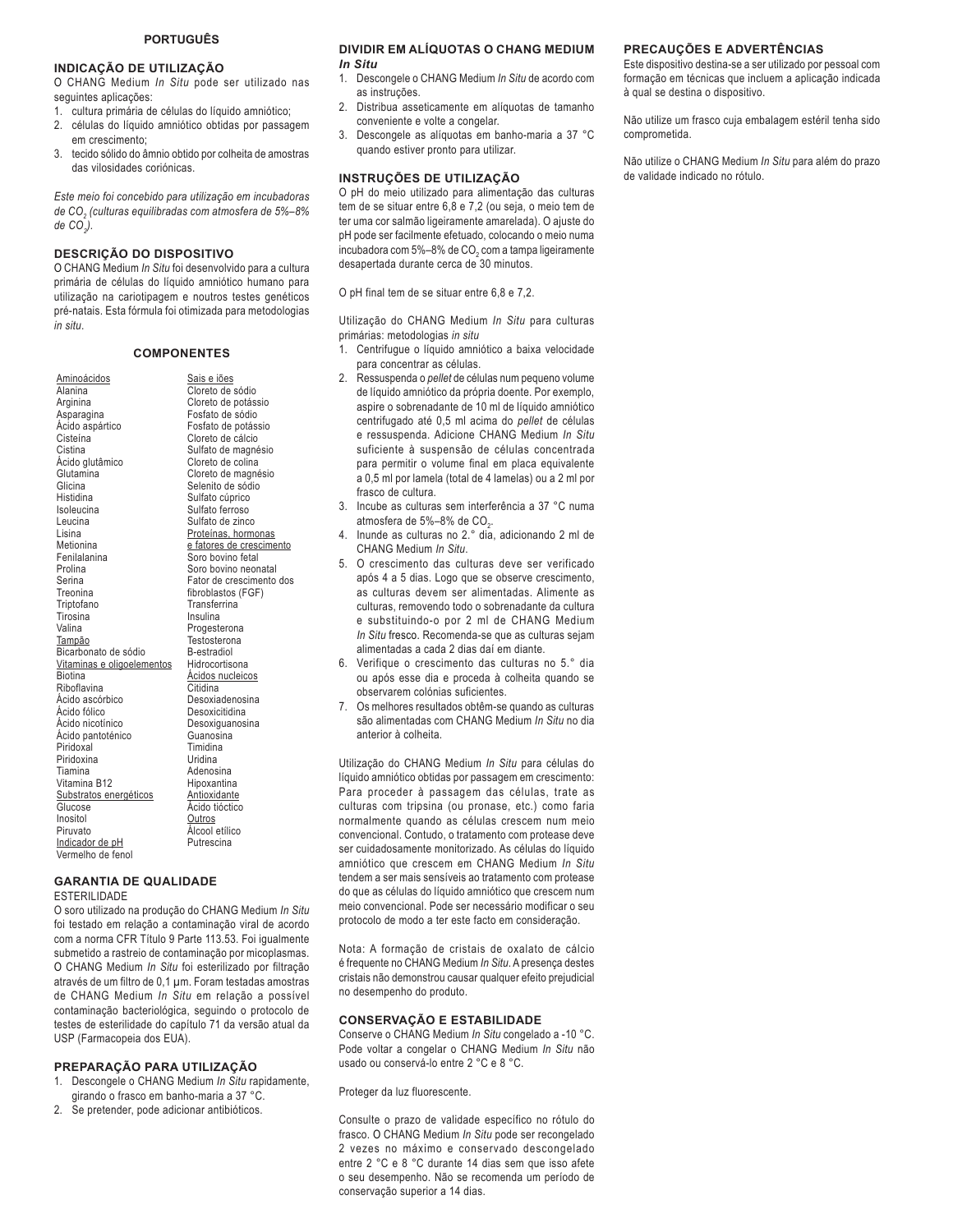#### **PORTUGUÊS**

#### **INDICAÇÃO DE UTILIZAÇÃO**

O CHANG Medium *In Situ* pode ser utilizado nas seguintes aplicações:

- 1. cultura primária de células do líquido amniótico;
- 2. células do líquido amniótico obtidas por passagem em crescimento;
- 3. tecido sólido do âmnio obtido por colheita de amostras das vilosidades coriónicas.

*Este meio foi concebido para utilização em incubadoras de CO2 (culturas equilibradas com atmosfera de 5%–8% de CO2 ).* 

#### **DESCRIÇÃO DO DISPOSITIVO**

O CHANG Medium *In Situ* foi desenvolvido para a cultura primária de células do líquido amniótico humano para utilização na cariotipagem e noutros testes genéticos pré-natais. Esta fórmula foi otimizada para metodologias *in situ*.

#### **COMPONENTES**

Aminoácidos Alanina Arginina Asparagina Ácido aspártico Cisteína Cistina Ácido glutâmico Glutamina Glicina Histidina Isoleucina Leucina Lisina Metionina Fenilalanina Prolina Serina **Treonina** Triptofano Tirosina Valina Tampão Bicarbonato de sódio Vitaminas e oligoelementos **Biotina** Riboflavina Ácido ascórbico Ácido fólico Ácido nicotínico Ácido pantoténico Piridoxal Piridoxina Tiamina Vitamina B12 Substratos energéticos Glucose Inositol Piruvato Indicador de pH Vermelho de fenol Sais e iões Cloreto de sódio Cloreto de potássio Fosfato de sódio Fosfato de potássio Cloreto de cálcio Sulfato de magnésio Cloreto de colina Cloreto de magnésio Selenito de sódio Sulfato cúprico Sulfato ferroso Sulfato de zinco Proteínas, hormonas e fatores de crescimento Soro bovino fetal Soro bovino neonatal Fator de crescimento dos fibroblastos (FGF) Transferrina Insulina Progesterona **Testosterona** B-estradiol Hidrocortisona Ácidos nucleicos Citidina Desoxiadenosina Desoxicitidina Desoxiguanosina Guanosina Timidina Uridina Adenosina Hipoxantina **Antioxidante** Ácido tióctico **Outros** Álcool etílico Putrescina

#### **GARANTIA DE QUALIDADE**

ESTERILIDADE

O soro utilizado na produção do CHANG Medium *In Situ*  foi testado em relação a contaminação viral de acordo com a norma CFR Título 9 Parte 113.53. Foi igualmente submetido a rastreio de contaminação por micoplasmas. O CHANG Medium *In Situ* foi esterilizado por filtração através de um filtro de 0,1 μm. Foram testadas amostras de CHANG Medium *In Situ* em relação a possível contaminação bacteriológica, seguindo o protocolo de testes de esterilidade do capítulo 71 da versão atual da USP (Farmacopeia dos EUA).

#### **PREPARAÇÃO PARA UTILIZAÇÃO**

- 1. Descongele o CHANG Medium *In Situ* rapidamente, girando o frasco em banho-maria a 37 °C.
- 2. Se pretender, pode adicionar antibióticos.

#### **DIVIDIR EM ALÍQUOTAS O CHANG MEDIUM**  *In Situ*

- 1. Descongele o CHANG Medium *In Situ* de acordo com as instruções.
- 2. Distribua asseticamente em alíquotas de tamanho conveniente e volte a congelar.
- 3. Descongele as alíquotas em banho-maria a 37 °C quando estiver pronto para utilizar.

#### **INSTRUÇÕES DE UTILIZAÇÃO**

O pH do meio utilizado para alimentação das culturas tem de se situar entre 6,8 e 7,2 (ou seja, o meio tem de ter uma cor salmão ligeiramente amarelada). O ajuste do pH pode ser facilmente efetuado, colocando o meio numa incubadora com 5%–8% de CO $_{\textrm{\tiny{2}}}$ com a tampa ligeiramente desapertada durante cerca de 30 minutos.

O pH final tem de se situar entre 6,8 e 7,2.

Utilização do CHANG Medium *In Situ* para culturas primárias: metodologias *in situ*

- 1. Centrifugue o líquido amniótico a baixa velocidade para concentrar as células.
- 2. Ressuspenda o *pellet* de células num pequeno volume de líquido amniótico da própria doente. Por exemplo, aspire o sobrenadante de 10 ml de líquido amniótico centrifugado até 0,5 ml acima do *pellet* de células e ressuspenda. Adicione CHANG Medium *In Situ* suficiente à suspensão de células concentrada para permitir o volume final em placa equivalente a 0,5 ml por lamela (total de 4 lamelas) ou a 2 ml por frasco de cultura.
- 3. Incube as culturas sem interferência a 37 °C numa atmosfera de 5%–8% de CO<sub>2</sub>.
- 4. Inunde as culturas no 2.° dia, adicionando 2 ml de CHANG Medium *In Situ*.
- 5. O crescimento das culturas deve ser verificado após 4 a 5 dias. Logo que se observe crescimento, as culturas devem ser alimentadas. Alimente as culturas, removendo todo o sobrenadante da cultura e substituindo-o por 2 ml de CHANG Medium *In Situ* fresco. Recomenda-se que as culturas sejam alimentadas a cada 2 dias daí em diante.
- 6. Verifique o crescimento das culturas no 5.° dia ou após esse dia e proceda à colheita quando se observarem colónias suficientes.
- 7. Os melhores resultados obtêm-se quando as culturas são alimentadas com CHANG Medium *In Situ* no dia anterior à colheita.

Utilização do CHANG Medium *In Situ* para células do líquido amniótico obtidas por passagem em crescimento: Para proceder à passagem das células, trate as culturas com tripsina (ou pronase, etc.) como faria normalmente quando as células crescem num meio convencional. Contudo, o tratamento com protease deve ser cuidadosamente monitorizado. As células do líquido amniótico que crescem em CHANG Medium *In Situ* tendem a ser mais sensíveis ao tratamento com protease do que as células do líquido amniótico que crescem num meio convencional. Pode ser necessário modificar o seu protocolo de modo a ter este facto em consideração.

Nota: A formação de cristais de oxalato de cálcio é frequente no CHANG Medium *In Situ*. A presença destes cristais não demonstrou causar qualquer efeito prejudicial no desempenho do produto.

#### **CONSERVAÇÃO E ESTABILIDADE**

Conserve o CHANG Medium *In Situ* congelado a -10 °C. Pode voltar a congelar o CHANG Medium *In Situ* não usado ou conservá-lo entre 2 °C e 8 °C.

Proteger da luz fluorescente.

Consulte o prazo de validade específico no rótulo do frasco. O CHANG Medium *In Situ* pode ser recongelado 2 vezes no máximo e conservado descongelado entre 2 °C e 8 °C durante 14 dias sem que isso afete o seu desempenho. Não se recomenda um período de conservação superior a 14 dias.

#### **PRECAUÇÕES E ADVERTÊNCIAS**

Este dispositivo destina-se a ser utilizado por pessoal com formação em técnicas que incluem a aplicação indicada à qual se destina o dispositivo.

Não utilize um frasco cuja embalagem estéril tenha sido comprometida.

Não utilize o CHANG Medium *In Situ* para além do prazo de validade indicado no rótulo.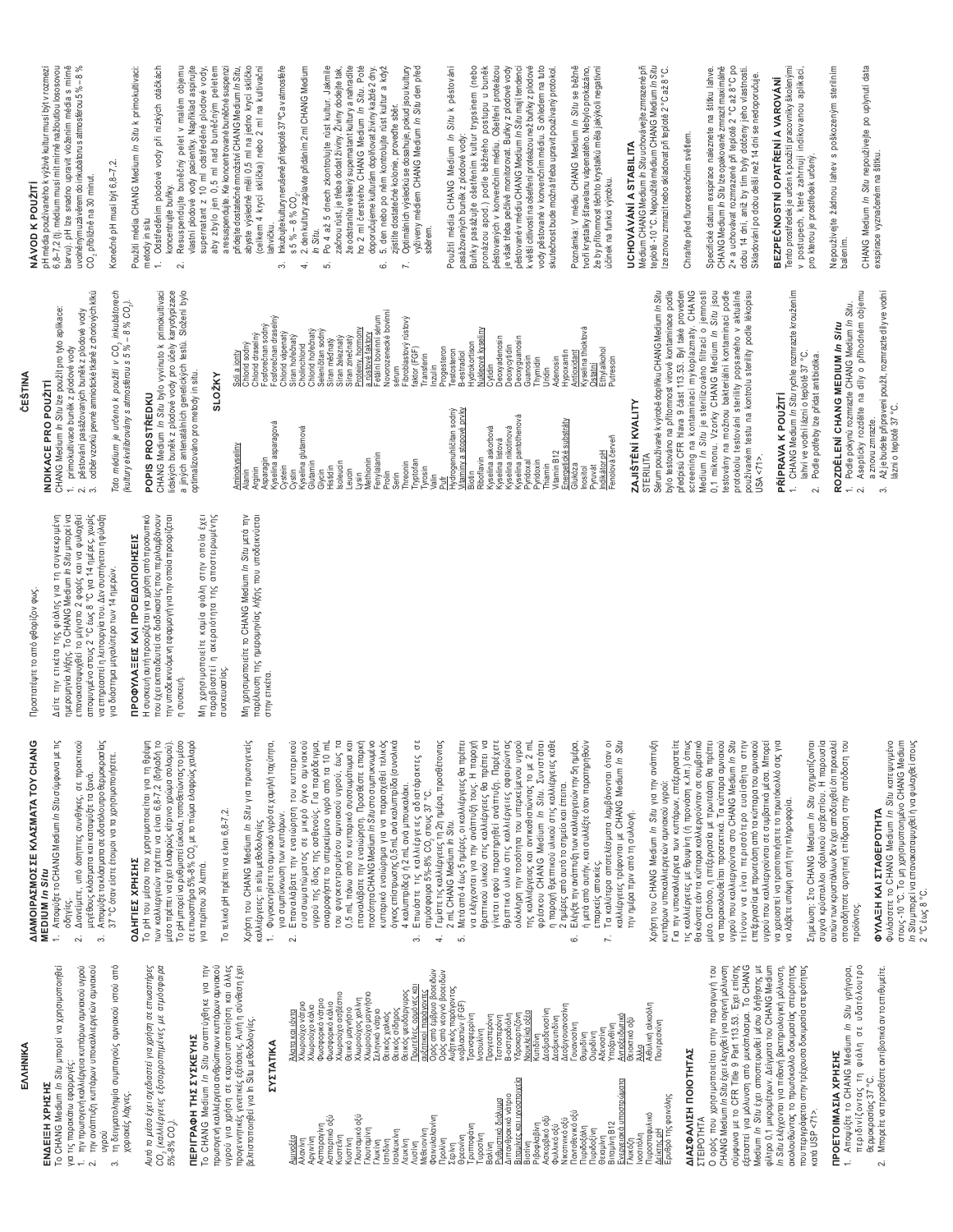| Προστατέψτε το από φθορίζον φως.                                                                                                                                                                                                                                                                                    | CESTINA                                                                                                                                                                                                                                      | NÁVOD K POUŽITÍ                                                                                                                                                                                                                                                                                |
|---------------------------------------------------------------------------------------------------------------------------------------------------------------------------------------------------------------------------------------------------------------------------------------------------------------------|----------------------------------------------------------------------------------------------------------------------------------------------------------------------------------------------------------------------------------------------|------------------------------------------------------------------------------------------------------------------------------------------------------------------------------------------------------------------------------------------------------------------------------------------------|
| ημερομηνία λήξης. Το CHANG Medium <i>In Situ</i> μπορεί να<br>επανακαταψυχθεί το μέγιστο 2 φορές και να φυλαχθεί<br>την ετικέτα της φιάλης για τη συγκεκριμένη<br>αποψυγμένο στους 2 °C έως 8 °C για 14 ημέρες, χωρίς<br>να επηρεαστεί η λειτουργία του. Δεν συστήνεται η φύλαξη<br>$\Delta \epsilon$ ir $\epsilon$ | odběr vzorků pevné amniotické tkáně z choriových klků<br>CHANG Medium <i>In Situ</i> Ize použit pro tyto aplikace:<br>pěstování pasážovaných buněk z plodové vody<br>primokultivace buněk z plodové vody<br>INDIKACE PRO POUŽITÍ<br>.<br>201 | pH média používaného k výživě kultur musí být v rozmezí<br>6,8-7,2 (tj. médium musí mít mírně nažloutlou lososovou<br>barvu). pH lze snadno upravit vložením média s mírně<br>uvolněným uzávěrem do inkubátoru s atmosférou 5% - 8%<br>CO <sub>2</sub> přibližně na 30 minut.                  |
| για διάστημα μεγαλύτερο των 14 ημερών.                                                                                                                                                                                                                                                                              | Toto médium je určeno k použití v CO <sub>2</sub> inkubátorech<br>(kultury ekvilibrovány s atmosférou s 5 % – 8 % CO <sub>3</sub> ).                                                                                                         | Konečné pH musí být 6,8-7,2.                                                                                                                                                                                                                                                                   |
| ΠΡΟΦΥΛΑΞΕΙΣ ΚΑΙ ΠΡΟΕΙΔΟΠΟΙΗΣΕΙΣ                                                                                                                                                                                                                                                                                     | POPIS PROSTŘEDKU                                                                                                                                                                                                                             | Použití média CHANG Medium In Situ k primokultivaci:<br>metody in situ                                                                                                                                                                                                                         |
| Η συσκευή αυτή προορίζεται για χρήση από προσωπικό<br>που έχει εκπαιδευτεί σε διαδικασίες που περιλαμβάνουν<br>πην υποδεικνυόμενη εφαρμογή για την οποία προορίζεται<br>η συσκευή.                                                                                                                                  | CHANG Medium <i>In Situ</i> bylo vyvinuto k primokultivaci<br>Iidských buněk z plodové vody pro účely karyotypizace<br>a jiných antenatálních genetických testů. Složení bylo                                                                | Odstředěním plodové vody při nízkých otáčkách<br>Resuspendujte buněčný pelet v malém objemu<br>koncentrujte buňky.<br>2.                                                                                                                                                                       |
| Μη χρησιμοποιείτε καμία φιάλη στην οποία έχει<br>παραβιαστεί η ακεραιότητα της αποστειρωμένης<br>συσκευασίας.                                                                                                                                                                                                       | optimalizováno pro metody in situ.<br>SLOŽKY                                                                                                                                                                                                 | vlastní plodové vody pacientky. Například aspirujte<br>a resuspendujte. Ke koncentrované buněčné suspenzi<br>supernatant z 10 ml odstředěné plodové vody,<br>aby zbylo jen 0,5 ml nad buněčným peletem                                                                                         |
| Mn xpnoripomoreirs to CHANG Medium In Situ usta my<br>παρέλευση της ημερομηνίας λήξης που υποδεικνύεται                                                                                                                                                                                                             | Chlorid draselný<br>Soli a jonty<br>Chlorid sodný<br>Aminokyseliny<br>Alanin<br>Asparagin<br>Arginin                                                                                                                                         | přídejte dostatečné množství CHANG Medium <i>In Situ,</i><br>abyste výsledně měli 0,5 ml na jedno krycí sklíčko<br>(celkem 4 krycí sklíčka) nebo 2 ml na kultivační                                                                                                                            |
| στην ετικέτα.                                                                                                                                                                                                                                                                                                       | Fosforečnan soáný<br>Fosforečnan draselný<br>Chlorid vápenatý<br>Siran hořečnatý<br>Kyselina asparagová<br>Cystein<br>Cystin                                                                                                                 | Inkubujte kultury nerušeně při teplotě 37°C av atmosféře<br>$55\% - 8\%$ CO.<br>lahvičku.<br>6                                                                                                                                                                                                 |
|                                                                                                                                                                                                                                                                                                                     | Cholinchlorid<br>Kyselina glutamová<br>Glutamin<br>Glycin                                                                                                                                                                                    | 2. den kultury zaplavte přidáním 2 ml CHANG Medium<br>In Situ.<br>4                                                                                                                                                                                                                            |
|                                                                                                                                                                                                                                                                                                                     | Chlorid hořečnatý<br>Seleničitan sodný<br>Síran měďnatý<br>Síran železnatý<br>Síran zinečnatý<br>Pr <u>oteiny, hormony</u><br>Isoleucin<br>Histidin<br>Leucin                                                                                | Po 4 až 5 dnech zkontrolujte růst kultur. Jakmile<br>začnou rust, je třeba dodat živiny. Živiny dodejte tak,<br>že odstranite veškerý supernatant kultury a nahradite<br>ho 2 ml čerstvého CHANG Medium <i>in Situ.</i> Poté<br>5.                                                             |
|                                                                                                                                                                                                                                                                                                                     | a růstové faktory<br>Fetální bovinní sérum<br>Novorozenecké bovinní<br>Lysin<br>Methionin<br>Fenylalanin                                                                                                                                     | doporučujeme kulturám doplňovat živiny každé 2 dny.<br>5. den nebo po něm kontrolujte růst kultur a když<br>zjistite dostatečné kolonie, provedte sběr.<br>6                                                                                                                                   |
|                                                                                                                                                                                                                                                                                                                     | Fibroblastový růstový<br>faktor (FGF)<br>sérum<br>Tryptofan<br>Threonin<br>Prolin<br>Serin                                                                                                                                                   | Optimálních výsledků se dosahuje, pokud jsou kultury<br>vyživeny médiem CHANG Medium In Situ den před<br>Z.                                                                                                                                                                                    |
|                                                                                                                                                                                                                                                                                                                     | Progesteron<br>Transferin<br>Inzulin<br>yrosin<br>valin                                                                                                                                                                                      | sběrem.                                                                                                                                                                                                                                                                                        |
|                                                                                                                                                                                                                                                                                                                     | Hydrokortison<br>Testosteron<br><b>B-estradiol</b><br>Hydrogenuhličitan sodný<br><u>Vitaminy a stopové prvky</u><br>Biotin                                                                                                                   | Použití média CHANG Medium /n Situ k pěstování<br>pasážovaných buněk z plodové vody:                                                                                                                                                                                                           |
|                                                                                                                                                                                                                                                                                                                     | Núkleové kyseliny<br>Cytidin<br>Deoxyadenosin<br>Deoxycytidin<br>Kyselina askorbová<br>Kyselina listová<br>Kyselina nikotinová<br>Riboflavin                                                                                                 | Buňky pasážujte ošetřením kultúr trypsinem (nebo<br>pronázou apod.) podle běžného postupu u buněk<br>pěstovaných v konvenčním médiu. Ošetření proteázou<br>je však třeba pečlivě monitorovat. Buňky z plodové vody                                                                             |
|                                                                                                                                                                                                                                                                                                                     | Deoxyguanosin<br>Guanosin<br>Thymidin<br>Kyselina pantothenová<br>Pyridoxin<br>Pyridoxal                                                                                                                                                     | pěstované v médiu CHANG Medium /n Situ mají tendenci<br>k větší citlivosti na ošetření proteázou než buňky z plodové<br>vody pěstované v konvenčním médiu. S ohledem na tuto                                                                                                                   |
|                                                                                                                                                                                                                                                                                                                     | Hypoxantin<br>Adenosin<br>Uridin<br>Energetické substráty<br>Vitamin B12<br>Thiamin                                                                                                                                                          | skutečnost bude možná třeba upravit používaný protokol.                                                                                                                                                                                                                                        |
|                                                                                                                                                                                                                                                                                                                     | Antioxidant<br>Kyselina thioktová<br><u>Öśtatní</u><br>Ethylalkohol<br>Putrescin<br>Fenolová červeň<br>Indikátor pH<br>Glukóza<br>ruva<br>Inositol                                                                                           | Poznámka: V médiu CHANG Medium In Situ se běžně<br>tvoří krystalky šťavelanu vápenatého. Nebylo prokázáno,<br>že by přítomnost těchto krystalků měla jakýkoli negativní<br>účinek na funkci výrobku.                                                                                           |
|                                                                                                                                                                                                                                                                                                                     | ZAJIŠTĚNÍ KVALITY                                                                                                                                                                                                                            | UCHOVÁVÁNÍ A STABILITA                                                                                                                                                                                                                                                                         |
|                                                                                                                                                                                                                                                                                                                     | Sérum používané k výrobě doplňku CHANG Medium /n Síťu<br>bylo testováno na přitomnost virové kontaminace podle<br>STERILITA                                                                                                                  | Médium CHANG Medium <i>In Situ</i> uchovávejte zmrazené při<br>teplotě -10 °C. Nepoužité médium CHANG Medium <i>In Situ</i><br>ze znovu zmrazit nebo skladovat při teplotě 2 °C až 8 °C.                                                                                                       |
|                                                                                                                                                                                                                                                                                                                     | předpisů CFR hlava 9 část 113.53. Byl také proveden<br>screening na kontaminaci mykoplazmaty. CHANG<br>Medium <i>In Situ</i> je sterilizováno filtrací o jemnosti                                                                            | Chrañte před fluorescenčním světlem.                                                                                                                                                                                                                                                           |
|                                                                                                                                                                                                                                                                                                                     | 0,1 mikronu. Vzorky CHANG Medium <i>In Situ</i> jsou<br>testovány na možnou bakteriální kontaminaci podle<br>protokolu testování sterility popsaného v aktuálně<br>používaném testu na kontrolu sterility podle lékopisu<br>USA < 71         | CHANG Medium <i>In Situ</i> Ize opakovaně zmrazit maximálně<br>2x a uchovávat rozmrazené při teplotě 2 °C až 8°C po<br>Specifické datum exspirace naleznete na štítku lahve.<br>dobu 14 dní, aniž by tím byly dotčeny jeho vlastnosti.<br>Skladování po dobu delší než 14 dní se nedoporučuje. |
|                                                                                                                                                                                                                                                                                                                     | CHANG Medium <i>In Situ</i> rychle rozmrazte kroužením<br>Iahví ve vodní lázni o teplotě 37 °C.<br>Podle potřeby lze přidat antibiotika.<br>PŘÍPRAVA K POUŽITÍ<br>$\mathcal{L}$                                                              | Tento prostředek je určen k použití pracovníky školenými<br>postupech, které zahrnují indikovanou aplikáci,<br>BEZPEČNOSTNÍ OPATŘENÍ A VAROVÁNÍ<br>pro kterou je prostředek určený.<br>$\geq$                                                                                                  |
|                                                                                                                                                                                                                                                                                                                     | Podle pokynů rozmrazte CHANG Medium In Situ.<br>ROZDĚLENÍ CHANG MEDIUM /n Situ<br>$\div$                                                                                                                                                     | Nepoužívejte žádnou lahev s poškozeným sterilním<br>balením.                                                                                                                                                                                                                                   |
|                                                                                                                                                                                                                                                                                                                     | Asepticky rozdělte na díly o příhodném objemu<br>Až je budete připraveni použít, rozmrazte díly ve vodní<br>lázni o teplotě 37 °C.<br>a znovu zmrazte.<br>2.<br>က်                                                                           | CHANG Medium In Situ nepoužívejte po uplynutí data<br>exspirace vyznačeném na štítku.                                                                                                                                                                                                          |
|                                                                                                                                                                                                                                                                                                                     |                                                                                                                                                                                                                                              |                                                                                                                                                                                                                                                                                                |

παροχή θρεπτικού υλικού στις καλλιέργειες κάθε

ΔΙΑΜΟΙΡΑΣΜΟΣ ΣΕ ΚΛΑΣΜΑΤΑ ΤΟΥ CHANG<br>ΜΕDIUM *In Situ* του φυγοκεντρισμένου αμνιακού υγρού, έως τα<br>0,5 mL πάνω από το κυτταρικό συσσωμάτωμα και **AIAMOIPAZMOZ ZE KAAZMATOY CHANG** 1. Αποψύξτε το CHANG Medium In Situ σύμφωνα με τις 1. Aποψύξτε το CHANG Medium *In Situ* σύμφωνα με τις οδηγίες.<br>2. Διανείμετε, υπό άσηπτες συνθήκες, σε πρακτικού 2. Διανείμετε, υπό άσηπτες συνθήκες, σε πρακτικού 3. Αποψύξτε τα κλάσματα σε υδατόλουτρο θερμοκρασίας<br>37 °C όταν είστε έτοιμοι να τα χρησιμοποιήσετε. 3. Aποψύξτε τα κλάσματα σε υδατόλουτρο θερμοκρασίας Χρήση του CHANG Medium In Situ για πρωτογενείς Xρήση του CHANG Medium *In Situ* για πρωτογενείς συσσωματώματος σε μικρό όγκο αμνιακού<br>υγρού της ίδιας πης ασθενούς. Για παράδειγμα, ιο σε μικρό όγκο αμνιακού υγρού της ίδιας της ασθενούς. Για παράδειγμα, αναρροφήστε το υπερκείμενο υγρό από τα 10 mL αναρροφήστε το υπερκείμενο υγρό από τα 10 mL ISO do do do international do di dividuo di sensi vecesi di P/2 im L πάνω από το κυτταρικό συσσωμάτωμα και επαναλάβατε την εναιώρηση. Προσθέστε επαρκή επαναλάβατε την εναιώρηση. Προσθέστε επαρκή ποσότητα CHANG Medium In Situ στο συμπυκνωμένο moσότητα CHANG Medium *In Situ* στο συμπυκνωμένο κυτταρικό εναιώρημα για να παρασχεθεί τελικός κυτταρικό εναιώρημα για να παρασχεθεί τελικός όγκος επίστρωσης 0,5 mL ανά καλυπτρίδα (συνολικά όγκος επίστρωσης 0,5 mL ανά καλυπτρίδα (συνολικά 4. Γεμίστε τις καλλιέργειες τη 2η ημέρα, προσθέτοντας<br>2 mL CHANG Medium *In Situ*. 4. Γεμίστε τις καλλιέργειες τη 2η ημέρα, προσθέτοντας να ελέγχονται για την ανάπτυξή τους. Η παροχή θρεπτικού υλικού στις καλλιέργειες θα πρέπει να γίνεται αφού παρατηρηθεί ανάπτυξη. Παρέχετε γίνεται αφού παρατηρηθεί ανάπτυξη. Παρέχετε θρεπτικό υλικό στις καλλιέργειες αφαιρώντας θρεπτικό υλικό στις καλλιέργειες αφαιρώντας ολόκληρη την ποσότητα του υπερκείμενου υγρού Ing καλλιέργειας και αντικαθιστώντας το με 2 mL φρέσκου CHANG Medium *In Situ.* Συνιστάται η παροχή θρεπτικού υλικού στις καλλιέργειες κάθε ή μετά από αυτήν, και συλλέξτε όταν παρατηρηθούν Τα καλύτερα αποτελέσματα λαμβάνονται όταν οι Xpńon rou CHANG Medium *In Situ* yıa rny avárrruξn Σημείωση: Στο CHANG Medium In Situ σχηματίζονται ολόκληρη την ποσότητα του υπερκείμενου υγρού της καλλιέργειας και αντικαθιστώντας το με 2 mL φρέσκου CHANG Medium In Situ. Συνιστάται ή μετά από αυτήν, και συλλέξτε όταν παρατηρηθούν καλλιέργειες τρέφονται με CHANG Medium In Situ ka $\lambda$ λιέργειες τρέφονται με CHANG Medium *In Situ* Χρήση του CHANG Medium In Situ για την ανάπτυξη  $37\text{ }^\circ\text{C}$  όταν είστε έτοιμοι να τα χρησιμοποιήσετε. μεγέθους κλάσματα και καταψύξτε τα ξανά. μεγέθους κλάσματα και καταψύξτε τα ξανά. 4 καλυπηρίδες) ή 2 mL ανά μπουκαλάκι. 2 ημέρες από αυτό το σημείο και έπειτα. 2 ημέρες από αυτό το σημείο και έπειτα. 4 καλυπτρίδες) ή 2 mL ανά μπουκαλάκι. arµóoφaipa 5%-8% CO, orouç 37 °C. να λάβετε υπόψη αυτή την πληροφορία. να λάβετε υπόψη αυτή την πληροφορία. ΦΥΛΑΞΗ ΚΑΙ ΣΤΑΘΕΡΟΤΗΤΑ ΦΥΛΑΞΗ ΚΑΙ ΣΤΑΘΕΡΟΤΗΤΑ για συμπύκνωση των κυπάρων. την ημέρα πριν από τη συλλογή. για συμπύκνωση των κυπάρων. την ημέρα πριν από τη συλλογή. καλλιέργειες: in situ μεθοδολογίες 2 mL CHANG Medium *In Situ*. ΟΔΗΓΙΕΣ ΧΡΗΣΗΣ επαρκείς αποικίες. **ΩΔΗΓΙΕΣ ΧΡΗΣΗΣ** για περίπου 30 λεπτά. για περίπου 30 λεπτά. επαρκείς αποικίες.  $\equiv$ 

<u>αυξηπκοί παράγοντες</u><br>Ορός από έμβρυο βοοειδών<br>Ορός από νεογνό βοοειδών<br>Αυξητικός παράγοντας<br>ινοβλαστών (FGF)

banadebbinul

Πρωτεΐνες, ορμόνες και

, σίδηρός<br>, ψευδάργυρος

Θειικός α Θειικός ι ικός

Σεληνικό νάτριο χαλκός

**MEDIUM** *In Situ*  To CHANG Medium *In Situ* μπορεί να χρησιμοποιηθεί **ΕΝΔΕΙΞΗ ΧΡΗΣΗΣ**<br>Το CHANG Medium *In Situ* μπορεί να χρησιμοποιηθεί

**EMANIKA** 

EMHNIKA

**ENAEIEH XPHINI** 

για τις παρακάτω εφαρμογές:

 $\frac{1}{2}$   $\alpha$  $\ddot{\mathrm{c}}$ 

για τις παρακάτω εφαρμογές:

2. Tην ανάπτυξη κυπάρων υποκαλλιεργειών αμνιακού υγρού<br>τη δειγματοληψία συμπαγούς αμνιακού ιστού από 3. τη δειγματοληψία συμπαγούς αμνιακού ιστού από

την πρωτογενή καλλιέργεια κυττάρων αμνιακού υγρού την ανάπτυξη κυπάρων υποκαλλιεργειών αμνιακού

χοριακές λάχνες.

χοριακές λάχνες.

Auró το μέσο έχει σχεδιαστεί για χρήση σε επωαστήρες *CO2 țĮȜȜȚȑȡȖİȚİȢ İȟȚıȠȡȡȠʌȘȝȑȞİȢ ȝİ ĮIJȝȩıijĮȚȡĮ 5%-8% CO2).* 

Αυτό το μέσο έχει σχεδιαστεί για χρήση σε επωαστήρες

**ΠΕΡΙΓΡΑΦΗ ΤΗΣ ΣΥΣΚΕΥΗΣ** 

ΠΕΡΙΓΡΑΦΗ ΤΗΣ ΣΥΣΚΕΥΗΣ

To CHANG Medium *In Situ* avaπrúχθηκε για την πρωτογενή καλλιέργεια ανθρώπινων κυπάρων αμνιακού υγρού για χρήση σε καρυοτυποποίηση και άλλες προγεννητικές γενετικές εξετάσεις. Αυτή η σύνθεση έχει 3ελτιστοποιηθεί για In Situ μεθοδολογίες.

To CHANG Medium In Situ avantuyenks yia thy

πρωτογενή καλλιέργεια ανθρώπινων κυπάρων αμνιακού<br>υγρού για χρήση σε καρυσιυποποίηση και άλλες<br>προγεννητιές γενετικές εξετάσεις. Αυτή η σύνθεση έχει

**ý(â7,1\$**

1. πην πρωτογενή καλλιέργεια κυπάρων αμνιακού υγρού

Το pH του μέσου που χρησιμοποιείται για τη θρέψη<br>των καλλιεργειών πρέπει να είναι 6,8-7,2 (δηλαδή το Lo b+ Lon hapan won Xbulouousiuan Ana wi gbahu Tων καλλιεργειών πρέπει να είναι 6,8-7,2 (δηλαδή το μέσο πρέπει να έχει ελαφρώς κίτρινο χρώμα σολομού). To pH μπορεί να ρυθμιστεί εύκολα, τοποθετώντας το μέσο σε επωαστήρα 5%-8% CO, με το πώμα ελαφρώς χαλαρό μέσο πρέπει να έχει ελαφρώς κίτρινο χρώμα σολομού). Το pH μπορεί να ρυθμιστεί εύκολα, τοποθετώντας το μέσο σε επωαστήρα 5%-8% CO<sub>2</sub> με το πώμα ελαφρώς χαλαρό

## To τελικό pH πρέπει να είναι 6,8-7,2. Το τελικό pH πρέπει να είναι 6,8-7,2.

kaAAIέpyειες: in situ μεθοδολογίες

1. Φυγοκεντρίστε το αμνιακό υγρό σε χαμηλή ταχύτητα, 1. Φυγοκεντρίστε το αμνιακό υγρό σε χαμηλή ταχύτητα,

**ΣΥΣΤΑΤΙΚΑ** 

ΣΥΣΤΑΤΙΚΑ

sελτιστοποιηθεί για In Situ μεθοδολογίες.

Άλατα και ιόντα Xλωριούχο νάτριο Xλωριούχο κάλιο Φωσφορικό νάτριο Φωσφορικό κάλιο Χλωριούχο ασβέστιο Θειικό μαγνήσιο Xλωριούχος χολίνη Xλωριούχο μαγνήσιο Σεληνικό νάτριο Θειικός χαλκός Θειικός σίδηρος θειικός ψευδάργυρος Πρωτεΐνες, ορμόνες και αυξητικοί παράγοντες Ορός από έμβρυο βοοειδών Ορός από νεογνό βοοειδών Aυξητικός παράγοντας ινοβλαστών (FGF) Tρανσφερρίνη νσουλίνη<br>Προγεστερόνη Προγεστερόνη Tεστοστερόνη Β-οιστραδιόλη Yδροκορτιζόνη Noukλεϊκά οξέα <υτιδίνη<br>Δεοξυαδενοσίνη Δεοξυαδενοσίνη Δεοξυκυτιδίνη Δεοξυγουανοσίνη Δεοξυκυτιδίνη<br>Δεοξυγουανοσίνη<br>Γουανοσίνη πηριπίος Ͻυριδίνη Αδενοσίνη Υποξανθίνη<br>Αντιοξειδωτικό <u>Αντιοξειδωτικό</u> Θειοκτικό οξύ Αιθυλική αλκοόλη<br>Πουτρεσκίνη Aιθυλική αλκοόλη Πουτρεσκίνη

Αλατα και ιόντα<br>Χλωριούχο νάτριο Χλωριούχο κάλιο

Φωσφορικό νάτριο<br>Φωσφορικό κάλιο<br>Χλωριούχο ασβέστιο Θεικό μαγνήσιο<br>Χλωριούχος χολίνη<br>Χλωριούχο μαγνήσιο

Ąμινοξέα<br>Αλανίνη Αργινίνη<br>Ασπαραγίνη<br>Ασπαρτικό οξύ Aσπαραγίνη Aσπαρτικό οξύ ωστεΐνη ȀȣıIJȓȞȘ Γλουταμικό οξύ Γλυκίνη<br>Γλυκίνη<br>Ιστιδίνη σολευκίνη **VEUKÍVIȚ** λυσίνη<br>Μεθειονίνη<br>Φαινυλαλα<br>Προλίνη Φαινυλαλανίνη Σερίνη Θρεονίνη<br>Τρυποφι<br>Τυροσίνη Τρυπτοφάνη

- 2. Eπαναλάβατε την εναιώρηση του κυτταρικού 2. Επαναλάβατε την εναιώρηση του κυτταρικού
- 3. Επωάστε τις καλλιέργειες αδιατάρακτες σε 3. Επωάστε τις καλλιέργειες αδιατάρακτες σε ατμόσφαιρα 5%-8% CO2 στους 37 °C.
- 5. Μετά από 4 έως 5 ημέρες, οι καλλιέργειες θα πρέπει
	- να ελέγχονται για την ανάπτυξή τους. Η παροχή<br>θρεπτικού υλικού στις καλλιέργειες θα πρέπει να 5. Nerá aπό 4 έως 5 ημέρες, οι καλλιέργειες θα πρέπει

<u>Ρυθμιστικό διάλυμα</u><br>Διπανθρακικό νάτριο<br>Βιταμίνες και ιχνοστοιχεία Ρυθμιστικό διάλυμα Διπανθρακικό νάτριο Bitaµίνες και ιχνοστοιχεία

Υδροκορτιζόνη<br><u>Νουκλεϊκά οξέα</u> Τέστοστερόνη<br>Β-οιστραδιόλη

> Biorívn<br>Ριβοφλαβίντ<br>Ασκορβικό οξύ<br>Φυλλικό οξύ Pıβοφλαβίνη Aσκορβικό οξύ NIKOTIVIKÓ OỆÚ Παντοθενικό οξύ Πυριδοξάλη<br>Πυριδοξίνη Θειαμίνη<br>Βιταμίνη Β12 Biraµívn B12 Ενεργειακά υποστρώματα Γλυκόζη<br>Ινοσιτόλη Πυροσταφυλικό Πυροσταφυλικό<br>Δείκτης pH Epuθρό της φαινόλης

- 6. Eλέγξτε την ανάπτυξη των καλλιεργειών την 5η ημέρα, Ελέγξτε την ανάπτυξη των καλλιεργειών την 5η ημέρα,  $\circ$  $\overline{r}$
- 7. Τα καλύτερα αποτελέσματα λαμβάνονται όταν οι

**DEIOKTIKO OLU** 

ενεργειακά υποστρώματα

Για την υποκαλλιέργεια των κυττάρων, επεξεργαστείτε <u>Για την υποκαλλιέργεια των κυττάρων, επεξεργαστείτε</u> IJ TAN KAN THE SPO THE BROWER (ή προνάση κ.λπ.) όπως θα κάνατε εάν τα κύπαρα καλλιεργούνταν σε συμβατικό μέσο. Ωστόσο, η επεξεργασία με πρωτεάση θα πρέπει μέσο. Ωστόσο, η επεξεργασία με πρωτεάση θα πρέπει να παρακολουθείται προσεκτικά. Τα κύπαρα αμνιακού υγρού που καλλιεργούνται στο CHANG Medium In Situ ιείνουν να είναι περισσότερο ευαίσθητα στην IS IVOUV VA SIVAI TESPIOTOISPO SUAIOBNIA OTN επεξεργασία με πρωτεάση από τα κύτταρα του αμνιακού υγρού που καλλιεργούνται σε συμβατικά μέσα. Μπορεί να χρειαστεί να τροποποιήσετε το πρωτόκολλό σας για τις καλλιέργειες με θρυψίνη (ή προνάση κ.λπ.) όπως θα κάνατε εάν τα κύπαρα καλλιεργούνταν σε συμβατικό να παρακολουθείται προσεκτικά. Τα κύπαρα αμνιακού uyρού που καλλιεργούνται στο CHANG Medium *In Situ* επεξεργασία με πρωτεάση από τα κύτταρα του αμνιακού υγρού που καλλιεργούνται σε συμβατικά μέσα. Μπορεί να χρειαστεί να τροποποιήσετε το πρωτόκολλό σας για κυττάρων υποκαλλιεργειών αμνιακού υγρού: κυττάρων υποκαλλιεργειών αμνιακού υγρού:

**ΔΙΑΣΦΑΛΙΣΗ ΠΟΙΟΤΗΤΑΣ** 

**ΔΙΑΣΦΑΛΙΣΗ ΠΟΙΟΤΗΤΑΣ** 

Ερυθρό της φαινόλης

ȈȉǼǿȇȅȉǾȉǹ

**TEIPOTHTA** 

Ο ορός που χρησιμοποιείται στην παραγωγή του CHANG Medium *In Situ* £χει ελεγχθεί για ιογενή μόλυνση σύμφωνα με το CFR Title 9 Part 113.53. Έχει επίσης εξεταστεί για μόλυνση από μυκόπλασμα. Το CHANG Medium *In Situ* έχει αποστειρωθεί μέσω διήθησης με φίλτρο 0,1 μικρομέτρων. Δείγματα του CHANG Medium *In Situ ελ*έγχονται για πιθανή βακτηριολογική μόλυνση, ακολουθώντας το πρωτόκολλο δοκιμασίας στειρότητας που περιγράφεται στην τρέχουσα δοκιμασία στειρότητας

Ο ορός που χρησιμοποιείται στην παραγωγή του<br>CHANG Medium *In Situ* έχει ελεγχθεί για ιογενή μόλυνση εξεταστεί για μόλυνση από μυκόπλασμα. Το CHANG φίλτρο 0,1 μικρομέτρων. Δείγματα του CHANG Medium<br>*In Situ* ελέγχονται για πιθανή βακτηριολογική μόλυνση,

oúµquva µa ro CFR Title 9 Part 113.53. Exa: arríong Medium In Situ έχει αποστειρωθεί μέσω διήθησης με Σημείωση: Στο CHANG Medium *In Situ* σχηματίζονται συχνά κρύσταλλοι οξαλικού ασβεστίου. Η παρουσία συχνά κρύσταλλοι οξαλικού ασβεστίου. Η παρουσία αυτών των κρυστάλλων δεν έχει αποδειχθεί ότι προκαλεί οποιαδήποτε αρνητική επίδραση στην απόδοση του αυτών των κρυστάλλων δεν έχει αποδειχθεί ότι προκαλεί οποιαδήποτε αρνητική επίδραση στην απόδοση του τροϊόντος

 $\frac{1}{2}$ s USP <71>

cará USP <71>.

ακολουθώντας το πρωτόκολλο δοκιμασίας στειρότητας που περιγράφεται στην τρέχουσα δοκιμασία στειρότητας

**ΠΡΟΕΤΟΙΜΑΣΙΑ ΧΡΗΣΗΣ** 

ΠΡΟΕΤΟΙΜΑΣΙΑ ΧΡΗΣΗΣ

1. Aποψύξτε το CHANG Medium *In Situ* γρήγορα, περιδινίζοντας τη φιάλη σε υδατόλουτρο

1. Aποψύξτε το CHANG Medium In Situ γρήγορα,

περιδινίζοντας τη φιάλη σε υδατόλουτρο

Bepµokpaoiaç 37°C.

Bepuokpaarias 37 °C.

 $\overline{a}$ 

# 2. Μπορείτε να προσθέστε αντιβιοτικά αν το επιθυμείτε. Μπορείτε να προσθέστε αντιβιοτικά αν το επιθυμείτε.

**υ τιλλα πικλι 2 ΙΑΝΕΙΡΟΙ ΠΙΑ**<br>Φους -10 °C. Το μη χρησιμοποιείνο CHANG Medium<br>*In Situ* μπορεί να επανακαταμυχθεί ή να φυλαχθεί στους<br>2 °C έως 8 °C. Φυλάσσετε το CHANG Medium *In Situ* κατεψυγμένο στους -10 °C. Το μη χρησιμοποιημένο CHANG Medium *In Situ* μπορεί να επανακαταψυχθεί ή να φυλαχθεί στους 2 °C tug 8 °C.

- (celkem 4 krycí sklíčka) nebo 2 ml na kultivační 3. Inkubujte kultury nerušeně při teplotě 37°C av atmosféře
	- 4. 2. den kultury zaplavte přidáním 2 ml CHANG Medium
- 5. Po 4 až 5 dnech zkontrolujte růst kultur. Jakmile začnou růst, je třeba dodat živiny. Živiny dodejte tak, že odstranite veškerý supernatant kultury a nahradite ho 2 ml čerstvého CHANG Medium *In Situ*. Poté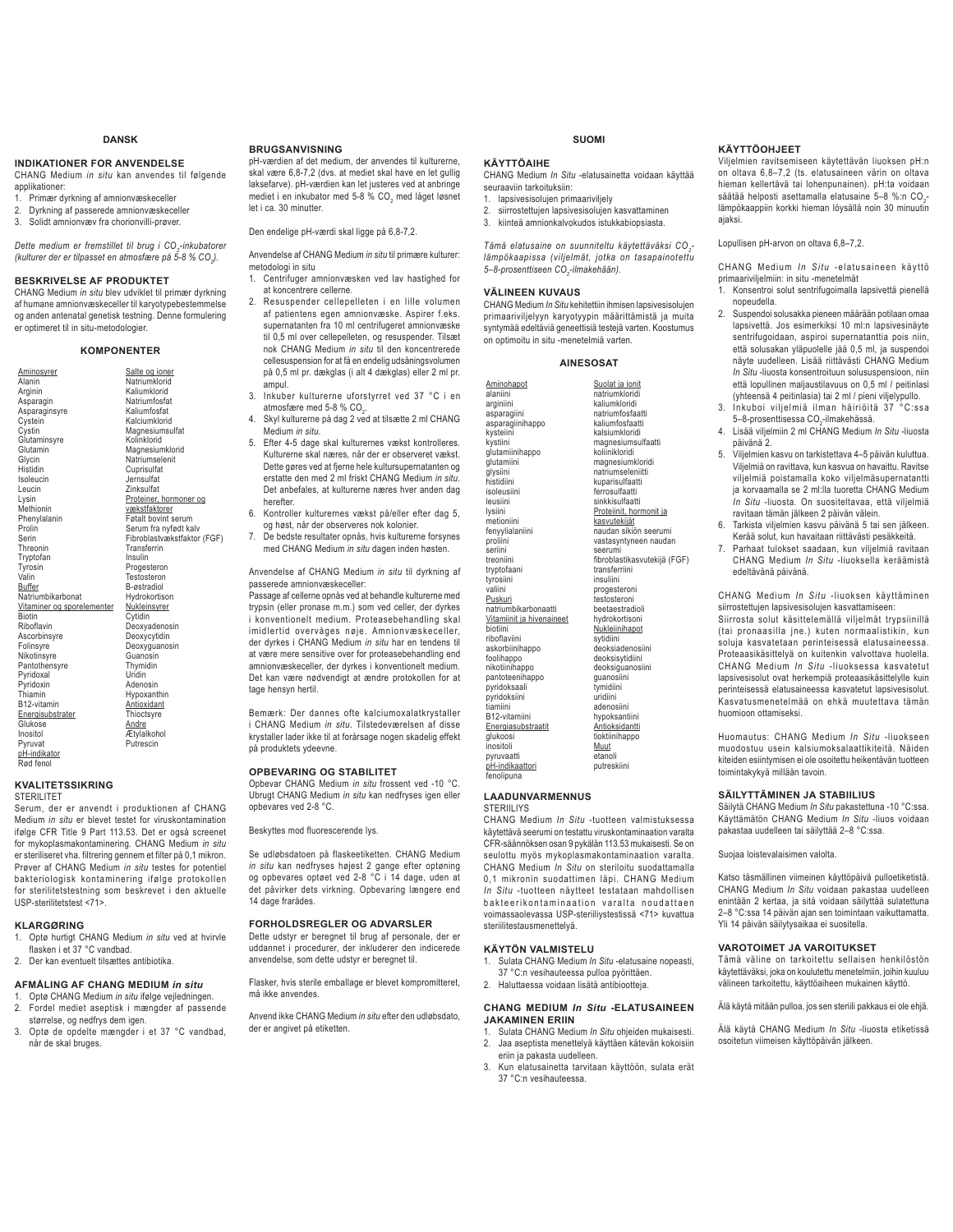#### **DANSK**

#### **INDIKATIONER FOR ANVENDELSE**

CHANG Medium *in situ* kan anvendes til følgende applikationer:

- 1. Primær dyrkning af amnionvæskeceller
- 2. Dyrkning af passerede amnionvæskeceller<br>3. Solidt amnionvæv fra chorionvilli-prøver 3. Solidt amnionvæv fra chorionvilli-prøver.

*Dette medium er fremstillet til brug i CO2 -inkubatorer (kulturer der er tilpasset en atmosfære på 5-8 % CO2 ).* 

#### **BESKRIVELSE AF PRODUKTET**

CHANG Medium *in situ* blev udviklet til primær dyrkning af humane amnionvæskeceller til karyotypebestemmelse og anden antenatal genetisk testning. Denne formulering er optimeret til in situ-metodologier.

#### **KOMPONENTER**

| Aminosyrer                 | Salte og ioner              |
|----------------------------|-----------------------------|
| Alanin                     | Natriumklorid               |
| Arginin                    | Kaliumklorid                |
| Asparagin                  | Natriumfosfat               |
| Asparaginsyre              | Kaliumfosfat                |
| Cystein                    | Kalciumklorid               |
| Cystin                     | Magnesiumsulfat             |
| Glutaminsyre               | Kolinklorid                 |
| Glutamin                   | Magnesiumklorid             |
| Glycin                     | Natriumselenit              |
| Histidin                   | Cuprisulfat                 |
| Isoleucin                  | Jernsulfat                  |
| Leucin                     | Zinksulfat                  |
| Lysin                      | Proteiner, hormoner og      |
| Methionin                  | vækstfaktorer               |
| Phenylalanin               | Føtalt bovint serum         |
| Prolin                     | Serum fra nyfødt kalv       |
| Serin                      | Fibroblastvækstfaktor (FGF) |
| Threonin                   | Transferrin                 |
| Tryptofan                  | Insulin                     |
| Tyrosin                    | Progesteron                 |
| Valin                      | Testosteron                 |
| Buffer                     | B-østradiol                 |
| Natriumbikarbonat          | Hvdrokortison               |
| Vitaminer og sporelementer | Nukleinsyrer                |
| <b>Biotin</b>              | Cytidin                     |
| Riboflavin                 | Deoxyadenosin               |
| Ascorbinsyre               | Deoxycytidin                |
| Folinsyre                  | Deoxyguanosin               |
| Nikotinsyre                | Guanosin                    |
| Pantothensyre              | Thymidin                    |
| Pyridoxal                  | Uridin                      |
| Pyridoxin                  | Adenosin                    |
| Thiamin                    | Hypoxanthin                 |
| B12-vitamin                | Antioxidant                 |
| Energisubstrater           | Thioctsyre                  |
| Glukose                    | Andre                       |
| Inositol                   | Ætylalkohol                 |
| Pyruvat                    | Putrescin                   |
| pH-indikator               |                             |
| Rød fenol                  |                             |
|                            |                             |

#### **KVALITETSSIKRING**

**STERILITET** 

Serum, der er anvendt i produktionen af CHANG Medium *in situ* er blevet testet for viruskontamination ifølge CFR Title 9 Part 113.53. Det er også screenet for mykoplasmakontaminering. CHANG Medium *in situ* er steriliseret vha. filtrering gennem et filter på 0,1 mikron. Prøver af CHANG Medium *in situ* testes for potentiel bakteriologisk kontaminering ifølge protokollen for sterilitetstestning som beskrevet i den aktuelle USP-sterilitetstest <71>.

#### **KLARGØRING**

- 1. Optø hurtigt CHANG Medium *in situ* ved at hvirvle flasken i et 37 °C vandbad.
- 2. Der kan eventuelt tilsættes antibiotika.
- 

#### **AFMÅLING AF CHANG MEDIUM** *in situ*  1. Optø CHANG Medium *in situ* ifølge vejledningen.

- 2. Fordel mediet aseptisk i mængder af passende størrelse, og nedfrys dem igen.
- 3. Optø de opdelte mængder i et 37 °C vandbad, når de skal bruges.

#### **BRUGSANVISNING**

pH-værdien af det medium, der anvendes til kulturerne, skal være 6,8-7,2 (dvs. at mediet skal have en let gullig laksefarve). pH-værdien kan let justeres ved at anbringe mediet i en inkubator med 5-8 % CO<sub>2</sub> med låget løsnet let i ca. 30 minutter.

Den endelige pH-værdi skal ligge på 6,8-7,2.

- Anvendelse af CHANG Medium *in situ* til primære kulturer: metodologi in situ
- 1. Centrifuger amnionvæsken ved lav hastighed for at koncentrere cellerne.
- 2. Resuspender cellepelleten i en lille volumen af patientens egen amnionvæske. Aspirer f.eks. supernatanten fra 10 ml centrifugeret amnionvæske til 0,5 ml over cellepelleten, og resuspender. Tilsæt nok CHANG Medium *in situ* til den koncentrerede cellesuspension for at få en endelig udsåningsvolumen på 0,5 ml pr. dækglas (i alt 4 dækglas) eller 2 ml pr. ampul.
- 3. Inkuber kulturerne uforstyrret ved 37 °C i en atmosfære med 5-8 % CO<sub>2</sub>.
- 4. Skyl kulturerne på dag 2 ved at tilsætte 2 ml CHANG Medium *in situ*.
- 5. Efter 4-5 dage skal kulturernes vækst kontrolleres. Kulturerne skal næres, når der er observeret vækst. Dette gøres ved at fjerne hele kultursupernatanten og erstatte den med 2 ml friskt CHANG Medium *in situ.* Det anbefales, at kulturerne næres hver anden dag herefter.
- 6. Kontroller kulturernes vækst på/eller efter dag 5, og høst, når der observeres nok kolonier.
- 7. De bedste resultater opnås, hvis kulturerne forsynes med CHANG Medium *in situ* dagen inden høsten.

Anvendelse af CHANG Medium *in situ* til dyrkning af passerede amnionvæskeceller:

Passage af cellerne opnås ved at behandle kulturerne med trypsin (eller pronase m.m.) som ved celler, der dyrkes i konventionelt medium. Proteasebehandling skal imidlertid overvåges nøje. Amnionvæskeceller, der dyrkes i CHANG Medium *in situ* har en tendens til at være mere sensitive over for proteasebehandling end amnionvæskeceller, der dyrkes i konventionelt medium. Det kan være nødvendigt at ændre protokollen for at tage hensyn hertil.

Bemærk: Der dannes ofte kalciumoxalatkrystaller i CHANG Medium *in situ*. Tilstedeværelsen af disse krystaller lader ikke til at forårsage nogen skadelig effekt på produktets ydeevne.

#### **OPBEVARING OG STABILITET**

Opbevar CHANG Medium *in situ* frossent ved -10 °C. Ubrugt CHANG Medium *in situ* kan nedfryses igen eller opbevares ved 2-8 °C.

Beskyttes mod fluorescerende lys.

Se udløbsdatoen på flaskeetiketten. CHANG Medium *in situ* kan nedfryses højest 2 gange efter optøning og opbevares optøet ved 2-8 °C i 14 dage, uden at det påvirker dets virkning. Opbevaring længere end 14 dage frarådes.

#### **FORHOLDSREGLER OG ADVARSLER**

Dette udstyr er beregnet til brug af personale, der er uddannet i procedurer, der inkluderer den indicerede anvendelse, som dette udstyr er beregnet til.

Flasker, hvis sterile emballage er blevet kompromitteret, må ikke anvendes.

Anvend ikke CHANG Medium *in situ* efter den udløbsdato, der er angivet på etiketten.

#### **SUOMI**

#### **KÄYTTÖAIHE**

CHANG Medium *In Situ* -elatusainetta voidaan käyttää seuraaviin tarkoituksiin:

- 1. lapsivesisolujen primaariviljely 2. siirrostettujen lapsivesisolujen kasvattaminen
- 3. kiinteä amnionkalvokudos istukkabiopsiasta.
	-

*Tämä elatusaine on suunniteltu käytettäväksi CO2 lämpökaapissa (viljelmät, jotka on tasapainotettu*  5–8-prosenttiseen CO<sub>2</sub>-ilmakehään).

#### **VÄLINEEN KUVAUS**

Aminohapot alaniini arginiini asparagiini asparagiinihappo kysteiini kystiini glutamiinihappo glutamiini glysiini histidiini isoleusiini leusiini lysiini metioniini fenyylialaniini proliini seriini treoniini tryptofaani tyrosiini valiini Puskuri natriumbikarbonaatti Vitamiinit ja hivenaineet biotiini riboflaviini askorbiinihappo foolihappo nikotiinihanno pantoteenihappo pyridoksaali pyridoksiini tiamiini B12-vitamiini Energiasubstraati glukoosi inositoli pyruvaatti pH-indikaattori fenolipuna

CHANG Medium *In Situ* kehitettiin ihmisen lapsivesisolujen primaariviljelyyn karyotyypin määrittämistä ja muita syntymää edeltäviä geneettisiä testejä varten. Koostumus on optimoitu in situ -menetelmiä varten.

#### **AINESOSAT**

Suolat ja jonit natriumklorid kaliumkloridi natriumfosfaatti kaliumfosfaatti kalsiumkloridi magnesiumsulfaatti koliinikloridi magnesiumkloridi natriumseleniitti kuparisulfaatti ferrosulfaatti sinkkisulfaatti Proteiinit, hormonit ja kasvutekijät naudan sikiön seerumi vastasyntyneen naudan seerumi fibroblastikasvutekijä (FGF) transferriini insuliini progesteroni testosteroni beetaestradioli hydrokortisoni Nukleiinihapot sytidiini deoksiadenosiini deoksisytidiini deoksiguanosiini guanosiini tymidiini uridiini adenosiini hypoksantiini **Antioksidantti** tioktiinihappo Muut etanoli putreskiini

#### **LAADUNVARMENNUS STERIILIYS**

CHANG Medium *In Situ* -tuotteen valmistuksessa käytettävä seerumi on testattu viruskontaminaation varalta CFR-säännöksen osan 9 pykälän 113.53 mukaisesti. Se on seulottu myös mykoplasmakontaminaation varalta. CHANG Medium *In Situ* on steriloitu suodattamalla 0,1 mikronin suodattimen läpi. CHANG Medium *In Situ* -tuotteen näytteet testataan mahdollisen bakteerikontaminaation varalta noudattaen voimassaolevassa USP-steriiliystestissä <71> kuvattua steriilitestausmenettelyä.

#### **KÄYTÖN VALMISTELU**

- 1. Sulata CHANG Medium *In Situ* -elatusaine nopeasti, 37 °C:n vesihauteessa pulloa pyörittäen.
- 2. Haluttaessa voidaan lisätä antibiootteja.

#### **CHANG MEDIUM** *In Situ* **-ELATUSAINEEN JAKAMINEN ERIIN**

- 1. Sulata CHANG Medium *In Situ* ohjeiden mukaisesti. 2. Jaa aseptista menettelyä käyttäen kätevän kokoisiin
- eriin ja pakasta uudelleen. 3. Kun elatusainetta tarvitaan käyttöön, sulata erät 37 °C:n vesihauteessa.

#### **KÄYTTÖOHJEET**

Viljelmien ravitsemiseen käytettävän liuoksen pH:n on oltava 6,8–7,2 (ts. elatusaineen värin on oltava hieman kellertävä tai lohenpunainen). pH:ta voidaan säätää helposti asettamalla elatusaine 5–8 %:n CO<sub>2</sub>lämpökaappiin korkki hieman löysällä noin 30 minuutin ajaksi.

#### Lopullisen pH-arvon on oltava 6,8–7,2.

CHANG Medium *In Situ* -elatusaineen käyttö primaariviljelmiin: in situ -menetelmät

- 1. Konsentroi solut sentrifugoimalla lapsivettä pienellä nopeudella. 2. Suspendoi solusakka pieneen määrään potilaan omaa
- lapsivettä. Jos esimerkiksi 10 ml:n lapsivesinäyte sentrifugoidaan, aspiroi supernatanttia pois niin, että solusakan yläpuolelle jää 0,5 ml, ja suspendoi näyte uudelleen. Lisää riittävästi CHANG Medium *In Situ* -liuosta konsentroituun solususpensioon, niin että lopullinen maljaustilavuus on 0,5 ml / peitinlasi (yhteensä 4 peitinlasia) tai 2 ml / pieni viljelypullo.
- Inkuboi viljelmiä ilman häiriöitä 37 5–8-prosenttisessa CO<sub>2</sub>-ilmakehässä.
- 4. Lisää viljelmiin 2 ml CHANG Medium *In Situ* -liuosta päivänä 2.
- 5. Viljelmien kasvu on tarkistettava 4–5 päivän kuluttua. Viljelmiä on ravittava, kun kasvua on havaittu. Ravitse viljelmiä poistamalla koko viljelmäsupernatantti ja korvaamalla se 2 ml:lla tuoretta CHANG Medium *In Situ* -liuosta*.* On suositeltavaa, että viljelmiä ravitaan tämän jälkeen 2 päivän välein.
- 6. Tarkista viljelmien kasvu päivänä 5 tai sen jälkeen. Kerää solut, kun havaitaan riittävästi pesäkkeitä.
- 7. Parhaat tulokset saadaan, kun viljelmiä ravitaan CHANG Medium *In Situ* -liuoksella keräämistä edeltävänä päivänä.

CHANG Medium *In Situ* -liuoksen käyttäminen siirrostettujen lapsivesisolujen kasvattamiseen:

Siirrosta solut käsittelemällä viljelmät trypsiinillä (tai pronaasilla jne.) kuten normaalistikin, kun soluja kasvatetaan perinteisessä elatusaineessa. Proteaasikäsittelyä on kuitenkin valvottava huolella. CHANG Medium *In Situ* -liuoksessa kasvatetut lapsivesisolut ovat herkempiä proteaasikäsittelylle kuin perinteisessä elatusaineessa kasvatetut lapsivesisolut. Kasvatusmenetelmää on ehkä muutettava tämän huomioon ottamiseksi.

Huomautus: CHANG Medium *In Situ* -liuokseen muodostuu usein kalsiumoksalaattikiteitä. Näiden kiteiden esiintymisen ei ole osoitettu heikentävän tuotteen toimintakykyä millään tavoin.

#### **SÄILYTTÄMINEN JA STABIILIUS**

Säilytä CHANG Medium *In Situ* pakastettuna -10 °C:ssa. Käyttämätön CHANG Medium *In Situ* -liuos voidaan pakastaa uudelleen tai säilyttää 2–8 °C:ssa.

Suojaa loistevalaisimen valolta.

Katso täsmällinen viimeinen käyttöpäivä pulloetiketistä. CHANG Medium *In Situ* voidaan pakastaa uudelleen enintään 2 kertaa, ja sitä voidaan säilyttää sulatettuna 2–8 °C:ssa 14 päivän ajan sen toimintaan vaikuttamatta. Yli 14 päivän säilytysaikaa ei suositella.

#### **VAROTOIMET JA VAROITUKSET**

Tämä väline on tarkoitettu sellaisen henkilöstön käytettäväksi, joka on koulutettu menetelmiin, joihin kuuluu välineen tarkoitettu, käyttöaiheen mukainen käyttö.

Älä käytä mitään pulloa, jos sen steriili pakkaus ei ole ehjä.

Älä käytä CHANG Medium *In Situ* -liuosta etiketissä osoitetun viimeisen käyttöpäivän jälkeen.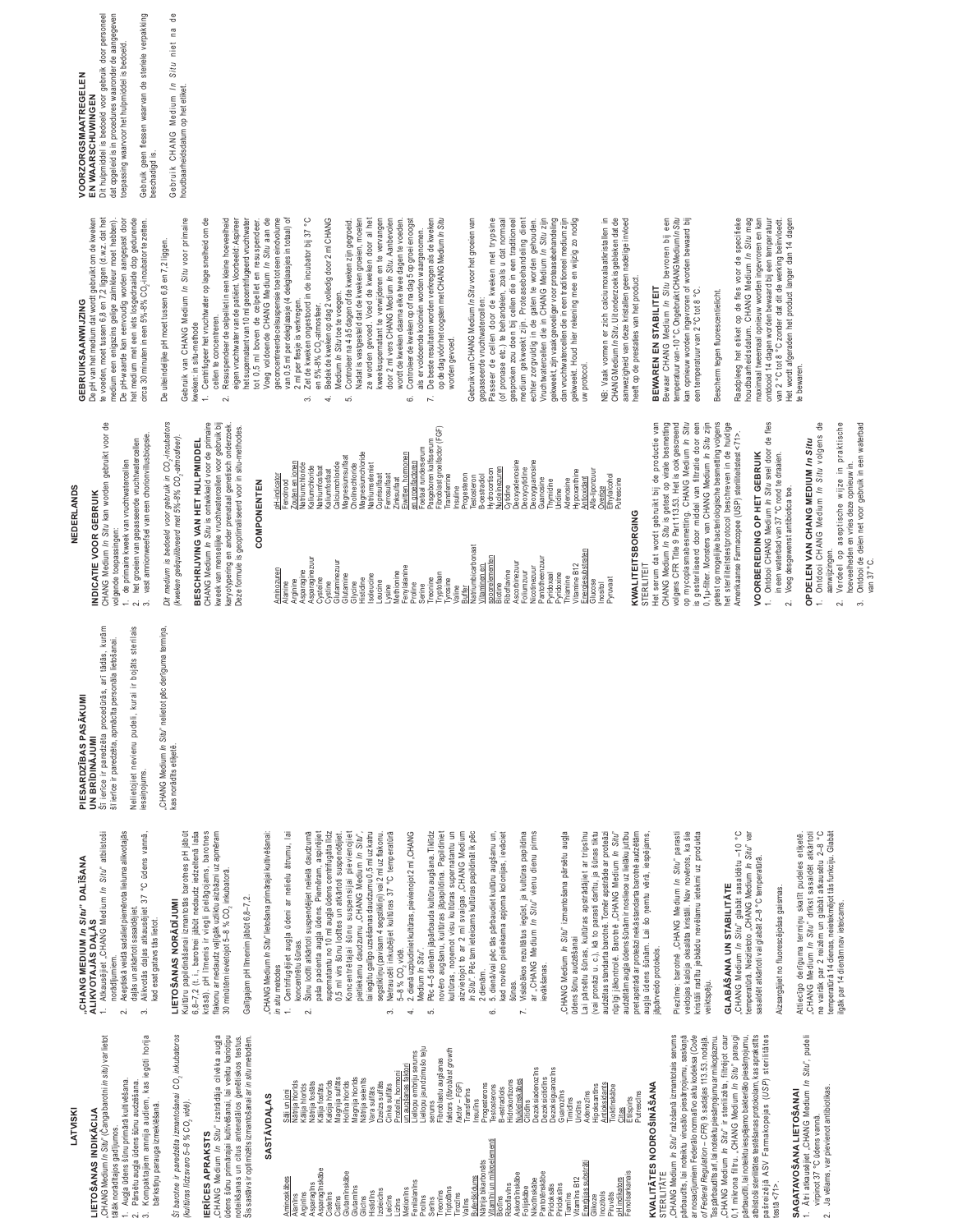### **ATVISKI**

## LIETOŠANAS INDIKĀCIJA

# CHANG Medium /n Situ" (Čanga barotni in situ) var lietot

- tālāk norādītajos gadījumos.
	-
	-
	-
	- Augļa ūdens šūnu primārā kultivēšana.<br>Pārsētu augļa ūdens šūnu audzēšana.
		-
		-
- Kompaktajiem amnija audiem, kas iegūti bārkstiņu parauga izmeklēšanā.
	-

Šī barotne ir paredzēta izmantošanai CO<sub>2</sub> inkubatoros (kultūras līdzsvaro 5-8 % CO, vidē).

## **IERICES APRAKSTS**

Kultūru papildināšanai izmantotās barotnes pH jābūt<br>6,8-7,2 (t. i., barotnei jābūt nedaudz iedzeltenā laša<br>krāsā), pH līmenis ir viegli pielāgojams, barotnes

LIETOŠANAS NORĀDĪJUMI

kad esat gatavs tās lietot.

horija

flakonu ar nedaudz vajīgāk uzliktu aizbāzni uz apmēram

30 minūtēm ievietojot 5-8 % CO, inkubatorā.

Galīgajam pH līmenim jābūt 6,8-7,2.

"CHANG Medium /n Situ" izstrādāja cilvēka augļa<br>ūdens šūnu primānajai kultivēšanai, lai veiktu kariotipu<br>Šiseskānas un nizēs amtenatānos ģenistos testen.<br>Šiseskānas un nizēs amtenatānos ģenistos testen.

## SASTĀVDAĻAS

*in situ* metodes<br>1. Centrifugējiet augļa ūdeni ar nelielu ātrumu, lai

"CHANG Medium /n Situ" lietošana primārajai kultivēšanai:

paša pacienta augļa ūdens. Piemēram, aspirējiet<br>supernatantu no 10 ml augļa ūdens centrifugāta līdz<br>0,5 ml virs šūnu lodītes un atkārtoti suspendējiet. Koncentrētajai šūnu suspensijai pievienojiet<br>pietiekamu daudzumu "CHANG Medium *In Situ*", lai iegūtu galīgo uzsēšanas daudzumu 0,5 ml uz katru<br>segstikliņu (pavisam 4 segstikliņi) vai 2 ml uz flakonu.

Šūnu lodīti atkārtoti suspendējiet nelielā daudzumā

koncentrētu šūnas.

 $\sim$ 

4. 2. dienā uzpludiniet kultūras, pievienojot 2 ml "CHANG<br>Medium *In Situ*".

Pēc 4-5 dienām jāpārbauda kultūru augšana. Tiklīdz novēro augšanu, kultūras jāpapildina. Papildiniet In Situ". Pēc tam ieteicams kultūras papildināt ik pēc 5. dienā/vai pēc tās pārbaudiet kultūru augšanu un. kad novēro pietiekama apjoma kolonijas, ievāciet Vislabākos rezultātus iegūst, ja kultūras papildina<br>ar "CHANG Medium *In Situ*" vienu dienu pirms

ယ်

Netraucēti inkubējiet kultūras 37 °C temperatūrā

5-8 % CO, vidē.

 $\ddot{\circ}$ 

kultūras, noņemot visu kultūras supernatantu un<br>aizvietojot to ar 2 ml svaigas "CHANG Medium

2 dienām.

Ġ

| Aminoskābes<br>Alanīns          | Sāli un joni                                        |
|---------------------------------|-----------------------------------------------------|
|                                 | Vātrija hlorīds                                     |
| Arginīns                        | <b>Kalija</b> hlorīds                               |
| Asparagins                      | Vātrija fosfāts                                     |
| Asparagīnskābe                  | Kālija fosfāts                                      |
| Cisteins                        | Kalcija hlorīds                                     |
| Cistīns                         | Magnija sulfāts                                     |
| Glutamīnskābe                   | dolina hlorids                                      |
| Glutamīns                       | Magnija hlorīds                                     |
| Glicīns                         | Nātrija selenīts                                    |
| Histidins                       | Vara sulfāts                                        |
| Izoleicīns                      | Ozelzs sulfāts                                      |
| eicīns                          | Cinka sulfāts                                       |
| Lizīns                          | Proteini, hormoni                                   |
| Metionins                       | augšanas faktori<br>S                               |
| Fenilalanīns<br>Prolīns         | Liellopu jaundzimušo teļu<br>iellopu embriju serums |
| Serīns                          | serums                                              |
| Treonins                        | Fibroblastu augšanas                                |
| Triptofāns                      | faktors (fibroblast growth                          |
| Tirozīns                        | $factor - FGF$ )                                    |
| Valīns                          | Transferīns                                         |
| Buferškīdums                    | Insulins                                            |
| Nātrija bikarbonāts             | Progesterons                                        |
| Vitamīni un mikroelementi       | Testosterons                                        |
| Biotins                         | 3-estradiols                                        |
| Riboflavins                     | <b>Hidrokortizons</b>                               |
| Askorbīnskābe                   | Nukleīnskābes                                       |
| Folijskābe                      | Citidins                                            |
| Nikotīnskābe                    | <b>Dezoksiadenozīns</b>                             |
| Pantotēnskābe                   | <b>Dezoksicitidins</b>                              |
| Piridoksīns<br>Piridoksāls      | Dezoksiguanozīns                                    |
| Tiamīns                         | Guanozīns                                           |
| Vitamīns B12                    | Timidīns<br>Jridīns                                 |
| Energijas substrāti             | Adenozīns                                           |
| Glikoze                         | Hipoksantīns                                        |
| Inozitols                       | Antioksidants                                       |
| Piruvāts                        | Tioktīnskābe                                        |
| pH indikators                   | Citas                                               |
| Fenolsarkanais                  | Putrescīns<br>Etilspirts                            |
| <b>KVALITĀTES NODROŠINĀŠANA</b> |                                                     |

## STERILITÄTE

"CHANG Medium *In Situ<sup>»</sup> ražošanā izmantotais serums*<br>pārbaudīts, lai noteiktu virusālo piesārņojumu, saskaņā ar nosacījumiem Federālo normatīvo aktu kodeksa (Code<br>*of Federal Regulation – CFR*) 9. sadaļas 113.53. nodaļā.

Piezīme: barotnē "CHANG Medium *In Sitū*" parasti<br>veidojas kalcija oksalāta kristāli. Nav novērots, ka šie<br>kristāli radītu jebkādu nevēlamu ietekmi uz produkta

audzētas standarta barotnē. Tomēr apstrāde ar proteāzi<br>rūpīgi jākontrolē. Barotnē "CHANG Medium *In Situ"*<br>audzētām augļa ddens šūnām ir nosliece uz lielāku jutību

pret apstrādi ār proteāzi nekā standarta barotnē audzētām<br>augļa ūdens šūnām. Lai šo ņemtu vērā, iespējams,

jāpārveido protokols.

Lai pārsētu šūnas, kultūras apstrādājiet ar tripsīnu<br>(vai pronāzi u. c.), kā to parasti darītu, ja šūnas tiktu

CHANG Medium In Situ" izmantošana pārsētu augļa

evākšanas.

sūnas.

 $\overline{r}$ 

ūdens šūnu audzēšanai

**GLABĀŠANA UN STABILITĀTE** 

Tas pārbaudīts arī, lai noteiktu piesārņojumu armikoplazmu.<br>"CHANG Medium *In Situ"* ir sterilizēta, littli<sup>a</sup>jot caur<br>pārbaudīti, lai noteiktu iespējamo bakteriālo piesārņojumu,

atbilstoši sterilitātes testēšanas protokolam, kas aprakstīts pašreizējā ASV Farmakopejas (USP) sterilitātes

veiktspēju.

# "CHANG Medium *In Situ"* glabāt sasaldētu -10 °<br>temperatūrā. Neizlietoto "CHANG Medium *In Situ*" v

 $\circ$ 

yar

sasaldēt atkārtoti vai glabāt 2-8 °C temperatūrā.

## Aizsargājiet no fluorescējošas gaismas.

Attiecīgo derīguma termiņu skatīt pudeles etiķetē.<br>"CHANG MenZum in Situ" drīkst sasaldēt atkārtoti<br>temperatītā (1 dienas, neiebkmējottās funkciju. Glabāt Igāk par 14 dienām nav ieteicams

Ātri atkausējiet "CHANG Medium *In Situ"*, pudeli<br>virpinot 37 °C ūdens vannā.

SAGATAVOŠANA LIETOŠANAI

 $testa < 71$ 

Ja vēlams, var pievienot antibiotikas.

 $\sim$  $\div$ 

## UN BRĪDINĀJUMI<br>Šī ierīce ir paredzēta procedūrās, arī tādās, kurām PIESARDZĪBAS PASĀKUMI

ALIKVOTAJĀS DAĻĀS<br>1. Atkausējiet "CHANG Medium *In Situ*" atbilstoši

CHANG MEDIUM In Situ" DALIŠANA

Aseptiskā veidā sadaliet piemērota lieluma alikvotajās daļās un atkārtoti sasaldējiet.<br>Alikvotās daļas atkausējiet 37 °C ūdens vannā,

norādījumiem.

 $\sim$  $\tilde{\mathcal{E}}$ 

šī ierīce ir paredzēta, apmācīta personāla lietošanai.

Nelietojiet nevienu pudeli, kurai ir bojāts sterilais iesaiņojums. "CHANG Medium *In Situ*" nelietot pēc derīguma termiņa,<br>kas norādīts etiķetē.

## **NEDERLANDS**

## INDICATIE VOOR GEBRUIM

CHANG Medium In Situ kan worden gebruikt voor de volgende toepassingen:

- 
- 1. de primaire kweek van vruchtwatercellen<br>2. het groeien van gepasseerde vruchtwatercellen<br>3. vast amnionweefsel van een chorionvillusbiopsie.
- 
- 
- 
- 
- 
- 

Dit medium is bedoeld voor gebruik in CO<sub>2</sub>-incubators<br>(kweken geëquilibreerd met 5%-8% CO<sub>2</sub>-atmosfeer).

CHANG Medium In Situ is ontwikkeld voor de primaire kweek van menselijke vruchtwatercellen voor gebruik bij karyotypering en ander prenataal genetisch onderzoek.<br>Deze formule is geoptimaliseerd voor in situ-methodes. BESCHRIJVING VAN HET HULPMIDDEL

## COMPONENTEN

## KWALITEITSBORGING

STERILITEIT

Het serum dat wordt gebruikt bij de productie van<br>CHANG Medium *In Sttu* is getest op virale besmetting<br>volgens CFR Title 9 Part 113.53. Het is ook gescreend op mycoplasmabesmetting. CHANG Medium *In Situ*<br>is gesteriliseerd door middel van filtratie door een<br>0,1µ-filter. Monsters van CHANG Medium *In Situ z*ijn getest op mogelijke bacteriologische besmetting volgens<br>het steriliteitstestprotocol beschreven in de huidige Amerikaanse Farmacopee (USP) steriliteitstest <71>.

# VOORBEREIDING OP HET GEBRUIK

- Ontdooi CHANG Medium In Situ snel door de fles<br>in een waterbad van 37 °C rond te draaien.
	- Voeg desgewenst antibiotica toe.

# OPDELEN VAN CHANG MEDIUM In Situ

Ontdooi CHANG Medium In Situ volgens

₽

- aanwijzingen.
- $\sim$
- 
- Verdeel op aseptische wijze in praktische<br>hoeveelheden en vries deze opnieuw in.<br>Ontdooi de delen net voor gebruik in een waterbad  $\tilde{\mathfrak{G}}$ 
	- van 37 °C.
	-
	-

BEWAREN EN STABILITEIT<br>Bewaar CHANG Medium *In Situ* bevroren bij een<br>temperatuurvan-10°C. Ongebruikt CHANG Medium *In Situ* neeft op de prestaties van het product

Raadpleeg het etiket op de fles voor de specifieke<br>houdbaarheidsdatum. CHANG Medium *In Situ* mag<br>maximaal tweemaal opnieuw worden ingevroren en kan te bewaren.

Dit hulpmiddel is bedoeld voor gebruik door personeel<br>dat opgeleid is in procedures waaronder de aangegeven toepassing waarvoor het hulpmiddel is bedoeld. EN WAARSCHUWINGEN

De pH van het medium dat wordt gebruikt om de kweken<br>te voeden, moet tussen 6,8 en 7,2 liggen (d.w.z. dat het<br>medium een enigszins gelige zalmkleur moet hebben).

GEBRUIKSAANWIJZING

De pH-waarde kan eenvoudig worden aangepast door<br>het medium met een iets losgedraaide dop gedurende

circa 30 minuten in een 5%-8% CO,-incubator te zetten.

De uiteindelijke pH moet tussen 6,8 en 7,2 liggen.

VOORZORGSMAATREGELEN

Gebruik geen flessen waarvan de steriele verpakking<br>beschadigd is.

Gebruik CHANG Medium *In Situ* niet na<br>houdbaarheidsdatum op het etiket.

 $\frac{1}{\sigma}$ 

kweken: in situ-methode

1. Centrifugeer het vruchtwater op lage snelheid om de cellen te concentreren.<br>2. Resuspendeer de celpellet in een kleine hoeveelheid

Gebruik van CHANG Medium In Situ voor primaire

eigen vruchtwater van de patiënt. Voorbeeld. Aspireer<br>het supernatent van 10 milgecentrifugeerd vruchtwater<br>tot 0,5 mil boven de celpellet en resuspendeer.<br>Voeg voldoende CHANG Medium /n Sitru aan de geconcentreerde celsuspensie toe tot een eindvolume<br>van 0,5 ml per dekglaasje (4 dekglaasjes in totaal) of

- 2 ml per flesje is verkregen.<br>Zet de kweken ongestoord in de incubator bij 37 °C  $\tilde{\mathcal{E}}$ 
	- -
- en 5%-8% CO<sub>C</sub>atimosfeer.<br>4. Bedek de kweken op dag 2 voledig door 2 ml CHANG<br>5. Medium In Situ be le voeget.<br>5. Madat is vastgesteld dat de kweken groeien, moeten ze worden gevoed. Voed de kweken door al het<br>kweeksupernatant te verwijderen en te vervangen door 2 ml vers CHANG Medium In Situ. Aanbevolen
	- 6. Controleer de kweken op of na dag 5 op groei en oogst wordt de kweken daarna elke twee dagen te voeden.
- als er voldoende koloniën worden waargenomen.<br>De beste resultaten worden verkregen als de kweken op de dag vóór het oogsten met CHANG Medium /n Situ  $\mathbf{r}$

Gebruik van CHANG Medium In Situ voor het groeien van worden gevoed.

(of pronase etc.) te behandelen, zoals u dat normaal<br>gesproken zou doen bij cellen die in een traditioneel<br>medium gekweekt zijn. Proteasebehandeling dient echter zorgvuldig in de gaten te worden gehouden.<br>Vruchtwatarioellen de in CHANG Medium *in Stru z*ijn<br>Vruchtwatarioellen de in CHANG Medium *in Stru z*ijn<br>dan vruchtwatarcellen die in een traditioneel medium zijn Passeer de cellen door de kweken met trypsine gekweekt. Houd hier rekening mee en wijzig zo nodig gepasseerde vruchtwatercellen:

NB: Vaak vormen er zich calciumoxalaatkristallen in<br>CHANG Medium /n Situ. Uit onderzoek is gebleken dat de aanwezigheid van deze kristallen geen nadelige invloed

JW protocol.

kan opnieuw worden ingevroren of worden bewaard bij<br>een temperatuur van 2 °C tot 8 °C.

## Bescherm tegen fluorescentielicht.

ontdooid 14 dagen worden bewaard bij een temperatuur<br>van 2 °C tot 8 °C zonder dat dit de werking beïnvloedt.<br>Het wordt afgeraden het product langer dan 14 dagen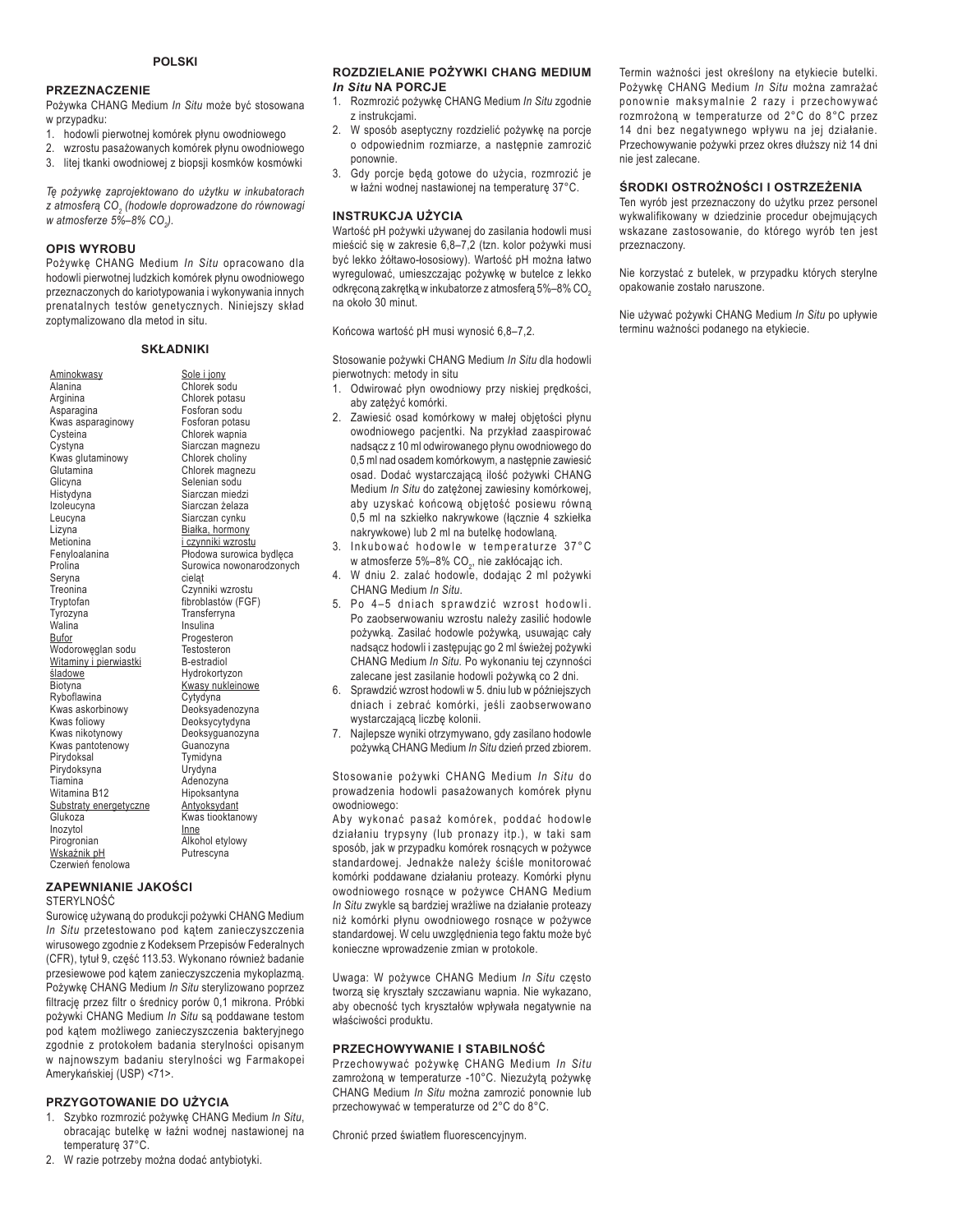#### **PRZEZNACZENIE**

Pożywka CHANG Medium *In Situ* może być stosowana w przypadku:

- 1. hodowli pierwotnej komórek płynu owodniowego
- 2. wzrostu pasażowanych komórek płynu owodniowego
- 3. litej tkanki owodniowej z biopsji kosmków kosmówki

Tę pożywkę zaprojektowano do użytku w inkubatorach *]DWPRVIHUą&2<sup>2</sup> (hodowle doprowadzone do równowagi w* atmosferze 5%–8% CO<sub>2</sub>).

#### **OPIS WYROBU**

Pożywkę CHANG Medium *In Situ* opracowano dla hodowli pierwotnej ludzkich komórek płynu owodniowego przeznaczonych do kariotypowania i wykonywania innych prenatalnych testów genetycznych. Niniejszy skład zoptymalizowano dla metod in situ.

#### **SKŁADNIKI**

| Aminokwasy<br>Alanina<br>Arginina<br>Asparagina<br>Kwas asparaginowy<br>Cysteina<br>Cystyna<br>Kwas glutaminowy<br>Glutamina<br>Glicyna<br>Histydyna<br>Izoleucyna<br>Leucyna<br>Lizyna<br>Metionina<br>Fenyloalanina<br>Prolina<br>Seryna<br>Treonina<br>Tryptofan<br>Tyrozyna<br>Walina<br>Bufor<br>Wodorowęglan sodu<br>Witaminy i pierwiastki<br>śladowe<br>Biotyna<br>Ryboflawina<br>Kwas askorbinowy<br>Kwas foliowy<br>Kwas nikotynowy<br>Kwas pantotenowy<br>Pirydoksal<br>Pirydoksyna<br>Tiamina<br>Witamina B12 | Sole i jony<br>Chlorek sodu<br>Chlorek potasu<br>Fosforan sodu<br>Fosforan potasu<br>Chlorek wapnia<br>Siarczan magnezu<br>Chlorek choliny<br>Chlorek magnezu<br>Selenian sodu<br>Siarczan miedzi<br>Siarczan żelaza<br>Siarczan cynku<br>Białka, hormony<br>i czynniki wzrostu<br>Płodowa surowica bydlęca<br>Surowica nowonarodzonych<br>cielat<br>Czynniki wzrostu<br>fibroblastów (FGF)<br>Transferryna<br>Insulina<br>Progesteron<br>Testosteron<br>B-estradiol<br>Hydrokortyzon<br>Kwasy nukleinowe<br>Cytydyna<br>Deoksyadenozyna<br>Deoksycytydyna<br>Deoksyguanozyna<br>Guanozyna<br>Tymidyna<br>Urydyna<br>Adenozyna<br>Hipoksantyna |
|---------------------------------------------------------------------------------------------------------------------------------------------------------------------------------------------------------------------------------------------------------------------------------------------------------------------------------------------------------------------------------------------------------------------------------------------------------------------------------------------------------------------------|------------------------------------------------------------------------------------------------------------------------------------------------------------------------------------------------------------------------------------------------------------------------------------------------------------------------------------------------------------------------------------------------------------------------------------------------------------------------------------------------------------------------------------------------------------------------------------------------------------------------------------------------|
|                                                                                                                                                                                                                                                                                                                                                                                                                                                                                                                           |                                                                                                                                                                                                                                                                                                                                                                                                                                                                                                                                                                                                                                                |
|                                                                                                                                                                                                                                                                                                                                                                                                                                                                                                                           |                                                                                                                                                                                                                                                                                                                                                                                                                                                                                                                                                                                                                                                |
|                                                                                                                                                                                                                                                                                                                                                                                                                                                                                                                           |                                                                                                                                                                                                                                                                                                                                                                                                                                                                                                                                                                                                                                                |
|                                                                                                                                                                                                                                                                                                                                                                                                                                                                                                                           |                                                                                                                                                                                                                                                                                                                                                                                                                                                                                                                                                                                                                                                |
| Substraty energetyczne                                                                                                                                                                                                                                                                                                                                                                                                                                                                                                    | Antyoksydant                                                                                                                                                                                                                                                                                                                                                                                                                                                                                                                                                                                                                                   |
| Glukoza                                                                                                                                                                                                                                                                                                                                                                                                                                                                                                                   | Kwas tiooktanowy                                                                                                                                                                                                                                                                                                                                                                                                                                                                                                                                                                                                                               |
| Inozytol                                                                                                                                                                                                                                                                                                                                                                                                                                                                                                                  | Inne                                                                                                                                                                                                                                                                                                                                                                                                                                                                                                                                                                                                                                           |
| Pirogronian                                                                                                                                                                                                                                                                                                                                                                                                                                                                                                               | Alkohol etylowy                                                                                                                                                                                                                                                                                                                                                                                                                                                                                                                                                                                                                                |
| <u>Wskaźnik pH</u>                                                                                                                                                                                                                                                                                                                                                                                                                                                                                                        | Putrescyna                                                                                                                                                                                                                                                                                                                                                                                                                                                                                                                                                                                                                                     |
| Czerwień fenolowa                                                                                                                                                                                                                                                                                                                                                                                                                                                                                                         |                                                                                                                                                                                                                                                                                                                                                                                                                                                                                                                                                                                                                                                |
|                                                                                                                                                                                                                                                                                                                                                                                                                                                                                                                           |                                                                                                                                                                                                                                                                                                                                                                                                                                                                                                                                                                                                                                                |

#### *ZAPEWNIANIE JAKOŚCI*

STERYLNOŚĆ

Surowicę używaną do produkcji pożywki CHANG Medium *In Situ przetestowano pod kątem zanieczyszczenia* wirusowego zgodnie z Kodeksem Przepisów Federalnych (CFR), tytuł 9, część 113.53. Wykonano również badanie przesiewowe pod kątem zanieczyszczenia mykoplazmą. Pożywkę CHANG Medium In Situ sterylizowano poprzez filtrację przez filtr o średnicy porów 0,1 mikrona. Próbki pożywki CHANG Medium In Situ są poddawane testom pod kątem możliwego zanieczyszczenia bakteryjnego zgodnie z protokołem badania sterylności opisanym w najnowszym badaniu sterylności wg Farmakopei Amerykańskiej (USP) <71>.

#### **PRZYGOTOWANIE DO UŻYCIA**

- 1. Szybko rozmrozić pożywkę CHANG Medium In Situ, obracając butelkę w łaźni wodnej nastawionej na temperature 37°C.
- 2. W razie potrzeby można dodać antybiotyki.

#### **ROZDZIELANIE POŻYWKI CHANG MEDIUM** *In Situ* **NA PORCJE**

- 1. Rozmrozić pożywkę CHANG Medium In Situ zgodnie z instrukcjami.
- 2. W sposób aseptyczny rozdzielić pożywkę na porcje o odpowiednim rozmiarze, a następnie zamrozić ponownie.
- 3. Gdy porcje będą gotowe do użycia, rozmrozić je w łaźni wodnej nastawionej na temperaturę 37°C.

#### **INSTRUKCJA UŻYCIA**

Wartość pH pożywki używanej do zasilania hodowli musi mieścić się w zakresie 6,8-7,2 (tzn. kolor pożywki musi być lekko żółtawo-łososiowy). Wartość pH można łatwo wyregulować, umieszczając pożywkę w butelce z lekko odkręconą zakrętką w inkubatorze z atmosferą 5%-8% CO<sub>2</sub> na około 30 minut.

Końcowa wartość pH musi wynosić 6,8-7,2.

Stosowanie pożywki CHANG Medium In Situ dla hodowli pierwotnych: metody in situ

- 1. Odwirować płyn owodniowy przy niskiej prędkości, aby zateżyć komórki.
- 2. Zawiesić osad komórkowy w małej objętości płynu owodniowego pacientki. Na przykład zaaspirować nadsącz z 10 ml odwirowanego płynu owodniowego do 0,5 ml nad osadem komórkowym, a nastepnie zawiesić osad. Dodać wystarczającą ilość pożywki CHANG Medium *In Situ* do zatężonej zawiesiny komórkowej, aby uzyskać końcową objętość posiewu równą 0,5 ml na szkiełko nakrywkowe (łącznie 4 szkiełka nakrywkowe) lub 2 ml na butelkę hodowlaną.
- 3. Inkubować hodowle w temperaturze 37°C w atmosferze 5%–8% CO<sub>2</sub>, nie zakłócając ich.
- 4. W dniu 2. zalać hodowle, dodając 2 ml pożywki CHANG Medium *In Situ*.
- 5. Po 4-5 dniach sprawdzić wzrost hodowli. Po zaobserwowaniu wzrostu należy zasilić hodowle pożywką. Zasilać hodowle pożywką, usuwając cały nadsącz hodowli i zastępując go 2 ml świeżej pożywki CHANG Medium *In Situ.* Po wykonaniu tej czynności zalecane jest zasilanie hodowli pożywką co 2 dni.
- 6. Sprawdzić wzrost hodowli w 5. dniu lub w późniejszych dniach i zebrać komórki, jeśli zaobserwowano wystarczającą liczbę kolonii.
- 7. Najlepsze wyniki otrzymywano, gdy zasilano hodowle pożywką CHANG Medium In Situ dzień przed zbiorem.

Stosowanie pożywki CHANG Medium *In Situ* do prowadzenia hodowli pasażowanych komórek płynu owodniowego:

Aby wykonać pasaż komórek, poddać hodowle działaniu trypsyny (lub pronazy itp.), w taki sam sposób, jak w przypadku komórek rosnących w pożywce standardowej. Jednakże należy ściśle monitorować komórki poddawane działaniu proteazy. Komórki płynu owodniowego rosnące w pożywce CHANG Medium In Situ zwykle są bardziej wrażliwe na działanie proteazy niż komórki płynu owodniowego rosnące w pożywce standardowej. W celu uwzględnienia tego faktu może być konieczne wprowadzenie zmian w protokole.

Uwaga: W pożywce CHANG Medium *In Situ* często tworzą się kryształy szczawianu wapnia. Nie wykazano, aby obecność tych kryształów wpływała negatywnie na właściwości produktu.

#### **PRZECHOWYWANIE I STABILNOŚĆ**

Przechowywać pożywkę CHANG Medium *In Situ* zamrożoną w temperaturze -10°C. Niezużytą pożywkę CHANG Medium *In Situ* można zamrozić ponownie lub przechowywać w temperaturze od 2°C do 8°C.

Chronić przed światłem fluorescencyjnym.

Termin ważności jest określony na etykiecie butelki. Pożywkę CHANG Medium *In Situ* można zamrażać ponownie maksymalnie 2 razy i przechowywać rozmrożoną w temperaturze od 2°C do 8°C przez 14 dni bez negatywnego wpływu na jej działanie. Przechowywanie pożywki przez okres dłuższy niż 14 dni nie jest zalecane.

#### **ŚRODKI OSTROŻNOŚCI I OSTRZEŻENIA**

Ten wyrób jest przeznaczony do użytku przez personel wykwalifikowany w dziedzinie procedur obejmujących wskazane zastosowanie, do którego wyrób ten jest przeznaczony.

Nie korzystać z butelek, w przypadku których sterylne opakowanie zostało naruszone.

Nie używać pożywki CHANG Medium In Situ po upływie terminu ważności podanego na etykiecie.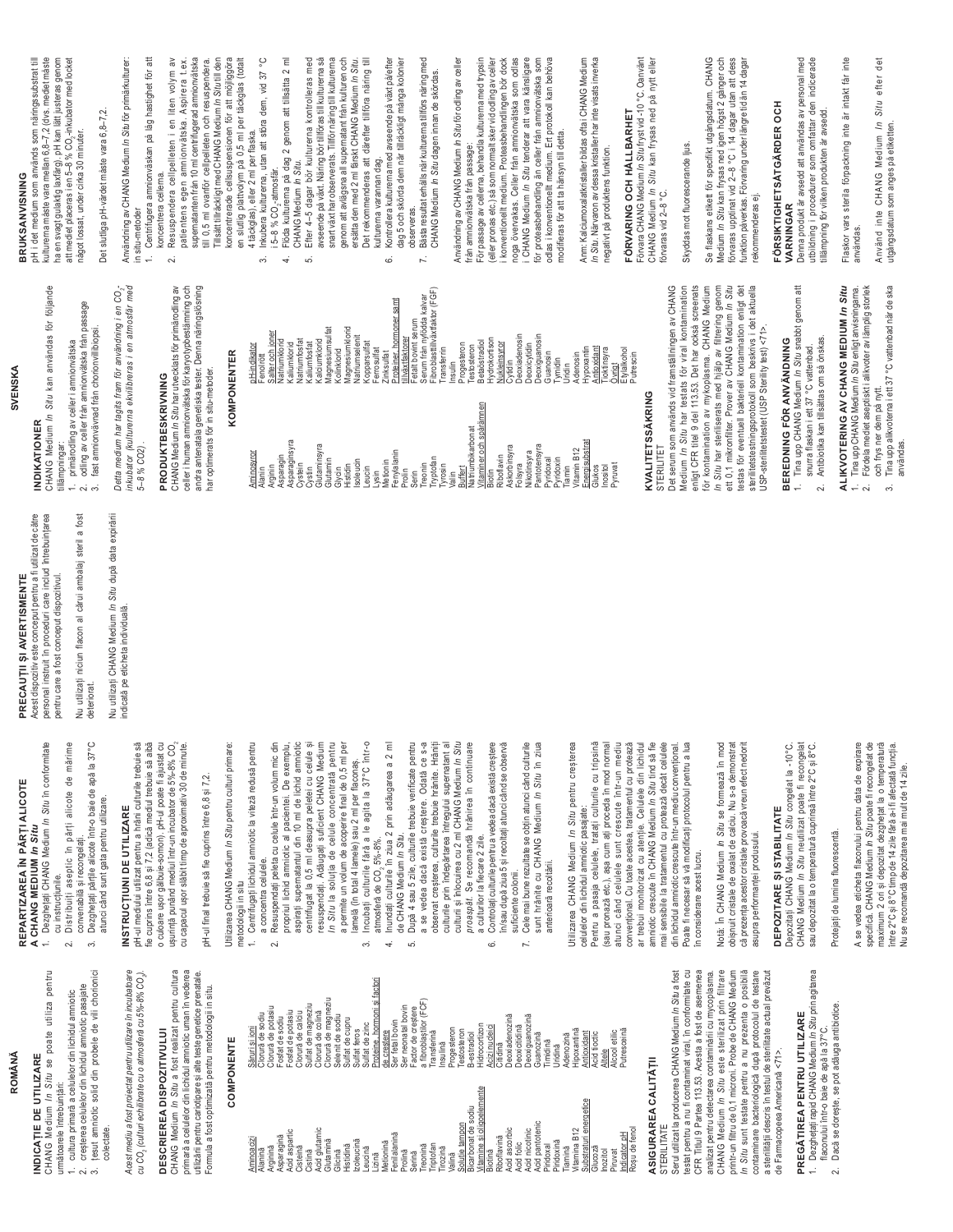| SVENSKA                                                                                                                                                                   |                                                                                                                                                                                                                                                                                                                                               |
|---------------------------------------------------------------------------------------------------------------------------------------------------------------------------|-----------------------------------------------------------------------------------------------------------------------------------------------------------------------------------------------------------------------------------------------------------------------------------------------------------------------------------------------|
| användas för följande<br>In Situ kan<br>$\sim$                                                                                                                            | <b>BRUKSANVISNING</b><br>httl det medium som används som rätingssubstrat till<br>kulturerna mäste varantärja, pH <i>an 2 (</i> dvs. mediet mäste<br>att mediet placeaes i en 5–8 % CO <sub>2</sub> -inkubator med locket<br>att mediet placeaes i en 5–8 % CO <sub>2</sub> -                                                                  |
| r från amnionvätska från passage<br>vnad från chorionvillibiopsi.<br>v celler i amnionvätska                                                                              | Det slutliga pH-värdet måste vara 6,8-7,2.<br>något lossat, under cirka 30 minuter.                                                                                                                                                                                                                                                           |
| tagits fram för användning i en CO <sub>2</sub> -<br>nma ekvilibreras i en atmosfär med                                                                                   | Användning av CHANG Medium <i>In Situ</i> för primärkulturer:<br>in situ-metoder                                                                                                                                                                                                                                                              |
| ı S <i>itu</i> har utvecklats för primärodling av<br>ionvätska för karyotypbestämning och<br>enetiska tester. Denna näringslösning<br>in situ-metoder.<br><b>KRIVNING</b> | Centrifugera amnionväskan på låg hastighet för att<br>Resuspendera cellpelleten i en liten volym av<br>patientens egen amnionvätska. Aspirera t.ex.<br>ill U,5 ml ovantor delipelleten och resmondera<br>ill U,5 ml ovantor delipelleten och resmondera<br>Tillsättiliräckigtrned CHANG Medum in<br>koncentrera cellerna.<br>$\div$<br>$\sim$ |
| <b>COMPONENTER</b>                                                                                                                                                        | koncentrerade cellsuspensionen för att möjliggöra<br>en slutlig plattvolym på 0,5 ml per täckglas (totalt<br>4 täckglas), eller 2 ml per flaska.                                                                                                                                                                                              |
| Salter och joner<br>Natriumklorid<br>pH-indikator<br>Fenolrött                                                                                                            | i 5–8 % CO <sub>2</sub> -atmosfär.<br>Flöda kulturerna på dag 2 genom att tillsätta 2 ml<br>့<br>Inkubera kulturerna, utan att störa dem, vid 37<br>⇔                                                                                                                                                                                         |
| Natriumfosfat<br>Kaliumklorid<br>Kaliumfosfat                                                                                                                             | CHANG Medium In Situ.<br>₹<br>5.                                                                                                                                                                                                                                                                                                              |
| Kalciumklorid<br>Magnesiumsulfat<br>Kolinklorid                                                                                                                           | Efter 4–5 dagar bör kulturerna kontrolleras med<br>avseende på växt. Näring bör tillföras till kulturerna så<br>snart växt har observerats. Tillför näring till kulturema                                                                                                                                                                     |
| Magnesiumklorid<br>Natriumselenit<br>Kopparsulfat<br>Ferrosulfat                                                                                                          | genom att avlägsna all supernatant från kulturen och<br>ersätta den med 2 ml färskt CHANG Medium <i>In Situ.</i><br>att därefter tillföra näring till<br>Det rekommenderas                                                                                                                                                                    |
| <u>Proteiner, hormoner samt</u><br>tillväxtfaktorer<br>Zinksulfat                                                                                                         | kulturerna varannan dag.<br>Kontrollera kulturerna med avseende på växt på/efter<br>dag 5 och skörda dem när tillräckligt många kolonier<br>6                                                                                                                                                                                                 |
| Fetalt bovint serum<br>Serum från nyfödda kalvar<br>Fibroblasttillväxtfaktor (FGF)<br>Transferrin                                                                         | Bästa resultat erhålls när kulturema tillförs näring med<br>CHANG Medium In Situ dagen innan de skördas.<br>observeras.<br>$\overline{\phantom{a}}$                                                                                                                                                                                           |
| Progesteron<br>Testosteron<br>Insulin                                                                                                                                     | Användning av CHANG Medium <i>In Situ</i> för odling av celler<br>från amnionvätska från passage:                                                                                                                                                                                                                                             |
| Betaöstradiol<br>amnen                                                                                                                                                    | .<br>(eller pronas etc.) så som normalt sker vid odling av celler<br>För passage av cellerna, behandla kulturerna med trypsin                                                                                                                                                                                                                 |
| Hydrokortison<br><u>Nukleinsyror</u><br>Cytidin<br>Deoxiadenosin                                                                                                          |                                                                                                                                                                                                                                                                                                                                               |
| Deoxiguanosin<br>Deoxicytidin<br>Guanosin<br>Tymidin                                                                                                                      | i konventionellt medium. Proteasbehandlingen bör dock<br>noga övervakas. Celler från amnionvälska som odlas<br>i CHANG Medium <i>In Situ</i> tenderar att vara känsligare<br>i CHANG Medium <i>In Situ</i> tenderar att vara känsligare<br>odlas i                                                                                            |
| Adenosin<br>Uridin                                                                                                                                                        | Anm: Kalciumoxalatkristaller bildas ofta i CHANG Medium                                                                                                                                                                                                                                                                                       |
| Hypoxantin<br>Antioxidant<br>ioktinsyra<br>Övrigt                                                                                                                         | In Situ. Närvaron av dessa kristaller har inte visats inverka<br>negativt på produktens funktion.                                                                                                                                                                                                                                             |
| Etylalkohol<br>Putrescin                                                                                                                                                  | Förvara CHANG Medium In Situ fryst vid -10 °C. Oanvänt<br>FÖRVARING OCH HÅLLBARHET                                                                                                                                                                                                                                                            |
| KRING                                                                                                                                                                     | CHANG Medium <i>In Situ</i> kan frysas ned på nytt eller<br>förvaras vid 2–8 °C.                                                                                                                                                                                                                                                              |
| nar testats för viral kontamination<br>vänds vid framställningen av CHANG                                                                                                 | Skyddas mot fluorescerande ijus.                                                                                                                                                                                                                                                                                                              |
| ran voortoot tot in the ookså screenats<br>del 113.53. Det har ookså screenats<br>ar av mykoplasma. CHANG Medium<br>serats med hjälp av filtrering genom                  |                                                                                                                                                                                                                                                                                                                                               |
| r. Prover av CHANG Medium <i>in Situ</i><br>»Il bakteriell kontamination enligt det                                                                                       | Se flaskens eilkelt för specifikt utgångsdatum. CHANG<br>Medium <i>In Situ</i> kan frysas ned igen högst 2 gånger och<br>Medium <i>In Situ k</i> an frysas ned igen högst 2 gånger och<br>funktion påverkas. Förvaring underlängre tid än 14 dagar<br>rekommenderas ej.                                                                       |
| protokoll som beskrivs i det aktuella<br>et (USP Sterility test) <71>.                                                                                                    | FORSIKTIGHETSÅTGÄRDER OCH                                                                                                                                                                                                                                                                                                                     |
| NG Medium In Situ snabbt genom att<br>illsättas om så önskas.<br>ÖR ANVÄNDNING<br>iett 37 °C vattenbad.                                                                   | Denna produkt är avsedd att användas av personal med<br>utbildning i procedurer som omfattar den indicerade<br>tillämpning för vilken produkten är avsedd.<br>VARNINGAR                                                                                                                                                                       |
| G AV CHANG MEDIUM In Situ<br>IG Medium In Situ enligt anvisningarna.                                                                                                      | Flaskor vars sterila förpackning inte är intakt får inte<br>användas                                                                                                                                                                                                                                                                          |
| t aseptiskt i alikvoter av lämplig storlek<br>terna i ett 37 °C vattenbad när de ska<br>am på nytt.                                                                       | det<br>Situ efter<br>Medium In<br>utgångsdatum som anges på etiketten.<br>Använd inte CHANG                                                                                                                                                                                                                                                   |

## **ROMÂNĂ**

- INDICATIE DE UTILIZARE
- CHANG Medium In Situ se poate utiliza pentru
	- următoarele întrebuințări:
- cultura primară a celulelor din lichidul amniotic
- .<br>പ് നി
- creșterea celulelor din lichidul amniotic pasajate<br>țesut amniotic solid din probele de vili chorionici

colectate.

# Acest mediu a fost proiectat pentru utilizare în incubatoare<br>cu CO<sub>2</sub> (culturi echilibrate cu o atmosferă cu 5%-8% CO<sub>2</sub>).

# DESCRIEREA DISPOZITIVULUI

CHANG Medium In Situ a fost realizat pentru cultura primară a celulelor din lichidul amniotic uman în vederea utilizării pentru cariotipare și alte teste genetice prenatale Formula a fost optimizată pentru metodologii in situ.

## COMPONENTE

testat pentru a nu fi contaminat viral, în conformitate cu<br>CFR Titlul 9 Partea 113.53. Acesta a fost de asemenea printr-un filtru de 0,1 microni. Probe de CHANG Medium In Situ sunt testate pentru a nu prezenta o posibilă Serul utilizat la producerea CHANG Medium In Situ a fost CHANG Medium In Situ este sterilizat prin filtrare contaminare bacteriologică după protocolul de testare<br>a sterilității descris în testul de sterilitate actual prevăzut analizat pentru detectarea contaminării cu mycoplasma de Farmacopeea Americană <71>. **SIERILIIAIE** 

# PREGÄTIREA PENTRU UTILIZARE

- Dezghețați rapid CHANG Medium *In Situ* prin agitarea<br>flaconului într-o baie de apă la 37°C.  $\div$ 
	-
	- Dacă se dorește, se pot adăuga antibiotice.  $\sim$

## REPARTIZAREA ÎN PĂRȚI ALICOTE A CHANG MEDIUM In Situ

PRECAUTII SI AVERTISMENTE

- Dezghețați CHANG Medium In Situ în conformitate Distribuiți aseptic în părți alicote de mărime cu instrucțiunile.  $\ddot{ }$  $\sim$
- convenabilă și recongelați.<br>Dezghețați părțile alicote într-o baie de apă la 37°C atunci când sunt gata pentru utilizare.  $\tilde{\mathfrak{G}}$

## INSTRUCTIUNI DE UTILIZARE

o culoare ușor gălbuie-somon). pH-ul poate fi ajustat cu<br>ușurință punând mediul într-un incubator de 5%-8% CO<sub>2</sub> pH-ul mediului utilizat pentru a hrăni culturile trebuie să fie cuprins între 6,8 și 7,2 (adică mediul trebuie să aibă cu capacul ușor slăbit timp de aproximativ 30 de minute

pH-ul final trebuie să fie cuprins între 6,8 și 7,2.

Utilizarea CHANG Medium In Situ pentru culturi primare:

- 1. Centrifugați lichidul amniotic la viteză redusă pentru metodologii in situ
	- Resuspendați peleta cu celule într-un volum mic din a concentra celulele.  $\sim$
- propriul lichid amniotic al pacientei. De exemplu,<br>aspirați supernatantul din 10 ml de lichid amniotic a permite un volum de acoperire final de 0,5 ml per<br>lamelă (în total 4 lamele) sau 2 ml per flaconaș. centrifugat la 0,5 ml deasupra peletei cu celule și resuspendați. Adăugați suficient CHANG Medium In Situ la soluția de celule concentrată pentru
	- Incubați culturile fără a le agita la 37°C într-o atmosferă de CO, 5%-8%.  $\tilde{\mathcal{E}}$
- Inundați culturile în ziua 2 prin adăugarea a 2 ml  $\overline{4}$ 
	- de CHANG Medium *In Situ.*<br>După 4 sau 5 zile, culturile trebuie verificate pentru a se vedea dacă există creștere. Odată ce s-a observat creșterea, culturile trebuie hrănite. Hrăniți s.
- culturii și înlocuirea cu 2 ml CHANG Medium *In Situ*<br>pr*oaspăt*. Se recomandă hrănirea în continuare culturile prin îndepărtarea întregului supernatant al a culturilor la fiecare 2 zile.
	- Controlați culturile pentru a vedea dacă există creștere în/sau după ziua 5 și recoltați atunci când se observă suficiente coloni 6
		- Cele mai bune rezultate se obțin atunci când culturile sunt hrănite cu CHANG Medium In Situ în ziua anterioară recoltării.  $\mathbf{r}$

Utilizarea CHANG Medium In Situ pentru creșterea celulelor din lichidul amniotic pasajate

convențional. Cu toate acestea, tratamentul cu protează<br>ar trebui monitorizat cu atenție. Celulele din lichidul Pentru a pasaja celulele, tratați culturile cu tripsină atunci când celulele sunt crescute într-un mediu amniotic crescute în CHANG Medium In Situ tind să fie mai sensibile la tratamentul cu protează decât celulele (sau pronază etc.), așa cum ați proceda în mod normal din lichidul amniotic crescute într-un mediu convențional Poate fi necesar să vă modificați protocolul pentru a lua în considerare acest lucru.  $\frac{1}{5}$ 

Notă: În CHANG Medium *In Situ* se formează în mod obișnuit cristale de oxalat de calciu. Nu s-a demonstrat că prezența acestor cristale provoacă vreun efect nedori asupra performanței produsului.

# DEPOZITARE SI STABILITATE

Depozitați CHANG Medium *In Situ* congelat la -10°C.<br>CHANG Medium *In Situ* neutilizat poate fi recongelat sau depozitat la o temperatură cuprinsă între 2°C și 8°C.

## Protejați de lumina fluorescentă.

specifică. CHANG Medium *In Situ* poate fi recongelat de<br>maximum 2 ori și depozitat dezghețat la o temperatură A se vedea eticheta flaconului pentru data de expirare intre 2°C si 8°C timp de 14 zile fără a-i fi afectată funcția. Nu se recomandă depozitarea mai mult de 14 zile.

**INDIKATIONE** CHANG Medium l. primärodling a tillämpningar: Acest dispozitiv este conceput pentru a fi utilizat de către personal instruit în proceduri care includ întrebuințarea Nu utilizați niciun flacon al cărui ambalaj steril a fost pentru care a fost conceput dispozitivul.

Nu utilizați CHANG Medium /n Situ după data expirării deteriorat.

indicată pe eticheta individuală.

odling av celle fast amnionvä Detta medium ha inkubator (kulturi  $5 - 8$  % CO<sub>2</sub>).

### PRODUKTBES CHANG Medium /

andra antenatala g<br>har optimerats för celler i human amı

| <b>Million</b><br>Alanin | <b>DIT-IIIUINGLUI</b><br>Fenolrött           |
|--------------------------|----------------------------------------------|
| Arginin                  | Salter och joner                             |
| Asparagin                | Natriumklorid                                |
| Asparaginsyra            | Kaliumklorid                                 |
| Cystein                  | Vatriumfosfat                                |
| Cystin<br>Glutaminsyra   | <b>Kaliumfosfat</b>                          |
| Glutamin                 | Magnesiumsulfat<br><b>Kalciumklorid</b>      |
| Glycin                   | Kolinklorid                                  |
| Histidin                 | Magnesiumklorid                              |
| Isoleucin                | Natriumselenit                               |
| eucin                    | <b>Kopparsulfat</b>                          |
| Metionin<br>ysin         | Ferrosulfat<br>Zinksulfat                    |
| Fenylalanin              |                                              |
| Prolin                   | Proteiner, hormoner samt<br>tillväxtfaktorer |
| Serin                    | Fetalt bovint serum                          |
| Treonin                  | Serum från nyfödda kalvar                    |
| Tryptofan                | Fibroblasttillväxtfaktor (FG                 |
| Tyrosin                  | Transferrin                                  |
| Valin                    | Insulin                                      |
| Buffert                  | Progesteron                                  |
| Natriumbikarbonat        | Testosteron                                  |
| Vitaminer och spårämnen  | <b>Betaöstradiol</b>                         |
| Riboflavin<br>Biotin     | Hydrokortison<br>Vukleinsyror                |
| Askorbinsyra             | Cytidin                                      |
| Folsyra                  | <b>Deoxiadenosin</b>                         |
| Nikotinsyra              | Deoxicytidin                                 |
| Pantotensyra             | Jeoxiguanosin                                |
| Pyridoxal                | Guanosin                                     |
| Pyridoxin                | Tymidin<br>Uridin                            |
| Vitamin B12<br>Tiamin    | Adenosin                                     |
| Energisubstrat           | Hypoxantin                                   |
| Glukos                   | Antioxidant                                  |
| Pyruvat<br>Inositol      | Tioktinsyra<br>Övrigt                        |
|                          | Etylalkohol                                  |
|                          | Putrescin                                    |
|                          |                                              |

### KVALITETSSA STERILITET

Det serum som ar enligt CFR titel 9 för kontamination ett 0,1 mikronfilte iestas för eventu sterilitetstestnings USP-sterilitetstes In Situ har sterili Medium In Situ

# BEREDNING

- Tina upp CHA snurra flaskan
	- 2. Antibiotika kar

## 1. Tina upp CHAN<br>2. Fördela mediet ALIKVOTERIN

- och frys ner d
	- Tina upp alikvo<br>användas. .<br>ო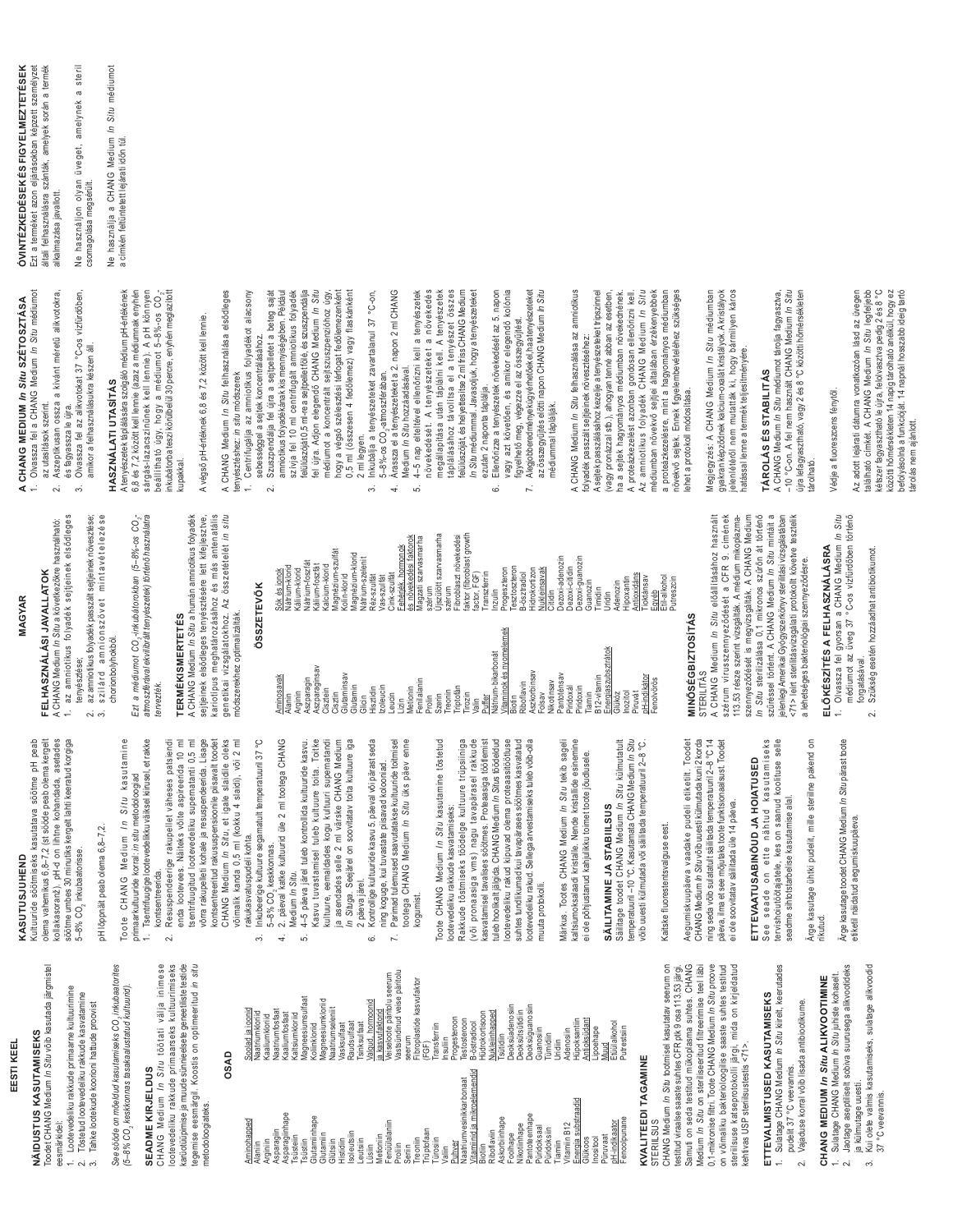### EESTI KEEL **EESTI KEEL**

Toodet CHANG Medium *In Situ* võib kasutada järgmistel Toodet CHANG Medium In Situ võib kasutada järgmistel **VÄIDUSTUS KASUTAMISEKS NÄIDUSTUS KASUTAMISEKS**

- Lootevedeliku rakkude primaarne kultuurimine 1. Lootevedeliku rakkude primaarne kultuurimine Töstetud lootevedeliku rakkude kasvatamine 2. Tõstetud lootevedeliku rakkude kasvatamine eesmärkidel: **aesmärkidel** .<br>വിന്
- *See sööde on mõeldud kasutamiseks CO2 inkubaatorites*  sööde on mõeldud kasutamiseks CO, inkubaatorites Tahke lootekude koorioni hattude proovist 3. Tahke lootekude koorioni hattude proovist See.

*(5–8% CO2 keskkonnas tasakaalustatud kultuurid).*  (5-8% CO, keskkonnas tasakaalustatud kultuurid).

## SEADME KIRJELDUS

CHANG Medium *In Situ* töötati välja inimese lootevedeliku rakkude primaarseks kultuurimiseks<br>karüotüüpimise ja muude sünnieelsete geneetiliste testide lootevedeliku rakkude primaarseks kultuurimiseks karüotüüpimise ja muude sünnieelsete geneetiliste testide legemise eesmärgil. Koostis on optimeeritud in situ CHANG Medium In Situ töötati välja inimese **SEADME KIRJELDUS** 

### **OSAD**

tegemise eesmärgil. Koostis on optimeeritud *in situ*

metodoloogiateks.

metodoloogiateks

|                                                             | –<br>SSS                                                           |
|-------------------------------------------------------------|--------------------------------------------------------------------|
| Aminohapped<br>Arginiin<br>Alaniin                          | Soolad ja ioonid<br>Naatriumkloriid<br><b>Kaaliumkloriid</b>       |
| Asparagiinhape<br>Asparagiin<br>Tsüsteiin                   | Naatriumfosfaat<br><b>Kaaliumfosfaat</b><br><b>Kaltsiumkloriid</b> |
| Glutamiinhape<br>Tsüstiin                                   | Magneesiumsulfaat<br><b>Koliinkloriid</b>                          |
| Glutamiin<br>Glütsiin                                       | Magneesiumkloriid<br>Vaatriumseleniit                              |
| soleutsiin<br>Histidiin                                     | Raudsulfaat<br>Vasksulfaat                                         |
| eutsiin<br>Lüsiin                                           | Valqud, hormoonid<br>Tsinksulfaat                                  |
| Fenüülalaniin<br>Metioniin                                  | Veiseloote päritolu seerum<br>a kasvufaktorid                      |
| Proliin                                                     | Vastsündinud veise päritolu                                        |
| Seriin                                                      | seerum                                                             |
| Trüptofaan<br>Treoniin                                      | Fibroplastide kasvufaktor<br>(FGF)                                 |
| Türosiin                                                    | Transferriin                                                       |
| Valiin                                                      | Insuliin                                                           |
| Puhver                                                      | Progesteroon                                                       |
| ja mikroelemendid<br>Naatriumvesinikkarbonaat<br>Vitamiinid | Testosteroon<br>3-östradiool                                       |
| Biotiin                                                     | Hüdrokortisoon                                                     |
| Askorbiinhape<br>Riboflaviin                                | Vukleiinhapped<br>Tsütidiin                                        |
| Foolhape                                                    | Deoksüadenosiin                                                    |
| Nikotiinhape                                                | Deoksütsütdiin                                                     |
| Pantoteenhape<br>Püridoksaal                                | Deoksüguanosiin<br>Guanosiin                                       |
| Püridoksiin                                                 | Tümidiin                                                           |
| Tiamiin                                                     | Uridiin                                                            |
| substraadid<br>Vitamiin B12<br>Energia                      | Hüpoksantiin<br>Adenosiin                                          |
| nositool<br>Glükoos                                         | Antioksüdant<br>-ipoehape                                          |
| Püruvaat                                                    | Muud                                                               |
| p.H-indikaator<br>Fenoolpunane                              | Etüülalkohol<br>Putrestsiin                                        |
| <b>KVAI ITFFDI TAGAMINF</b>                                 |                                                                    |

## **KVALITEEDI TAGAMINE STERIILSUS**

CHANG Medium *In Situ* tootmisel kasutatav seerum on testitud viraalse saaste suhtes CFR ptk 9 osa 113.53 järgi. Samuti on seda testitud mükoplasma suhtes. CHANG Medium *In Situ* on steriliseeritud filtreerimise teel läbi 0,1-mikronise filtri. Toote CHANG Medium *In Situ* proove on võimaliku bakterioloogilise saaste suhtes testitud steriilsuse katseprotokolli järgi, mida on kirjeldatud CHANG Medium In Situ tootmisel kasutatav seerum on Samuti on seda testitud mükoplasma suhtes. CHANG Medium In Situ on steriliseeritud filtreerimise teel läbi 0,1-mikronise filtri. Toote CHANG Medium *In Situ* proove testitud viraalse saaste suhtes CFR ptk 9 osa 113.53 järgi on võimaliku bakterioloogilise saaste suhtes testitud steriilsuse katseprotokolli järgi, mida on kirjeldatud kehtivas USP steriilsustestis <71> kehtivas USP steriilsustestis <71>. STERIILSUS

## **ETTEVALMISTUSED KASUTAMISEKS**  ETTEVALMISTUSED KASUTAMISEKS

1. Sulatage CHANG Medium *In Situ* kiirelt, keerutades Sulatage CHANG Medium In Situ kiirelt, keerutades pudelit 37 °C veevannis. pudelit 37 °C veevannis.

2. Vajaduse korral võib lisada antibiootikume. Vajaduse korral võib lisada antibiootikume.  $\sim$ 

## Sulatage CHANG Medium In Situ juhiste kohaselt. CHANG MEDIUM In Situ ALIKVOOTIMINE **CHANG MEDIUM** *In Situ* **ALIKVOOTIMINE**

- 2. Jaotage aseptiliselt sobiva suurusega alikvootideks 2. Jaotage aseptiliselt sobiva suurusega alikvootideks 1. Sulatage CHANG Medium *In Situ* juhiste kohaselt. ja külmutage uuesti.
	- 3. Kui olete valmis kasutamiseks, sulatage alikvoodid ja külmutage uuesti.<br>Kui olete valmis kasutamiseks, sulatage alikvoodid 37 °C veevannis. 37 °C veevannis. ക്

## KASUTUSJUHEND **KASUTUSJUHEND**

### Kultuuride söötmiseks kasutatava söötme pH peab Kultuuride söötmiseks kasutatava söötme pH peab olema vahemikus 6,8–7,2 (st sööde peab olema kergelt<br>kollakasoranž). pH-d on lihtne kohandada, asetades<br>söötme umbes 30 minutiks kergelt lahti keeratud korgiga olema vahemikus 6,8–7,2 (st sööde peab olema kergelt

kollakasoranž). pH-d on lihtne kohandada, asetades

söötme umbes 30 minutiks kergelt lahti keeratud korgiga pH lõppnäit peab olema 6,8–7,2. pH lõppnäit peab olema 6,8-7,2. 5–8% CO<sub>2</sub> inkubaatorisse. 5-8% CO<sub>2</sub> inkubaatorisse.

Toote CHANG Medium *In Situ* kasutamine 1. Tsentrifuugige lootevedelikku väiksel kiirusel, et rakke Toote CHANG Medium In Situ kasutamine Tsentrifuugige lootevedelikku välksel kiirusel, et rakke primaarkultuuride korral: in situ metodoloogiad primaarkultuuride korral: *in situ* metodoloogiad

 $\overline{a}$ 

- Resuspendeerige rakupellet väheses patsiendi 2. Resuspendeerige rakupellet väheses patsiendi enda lootevees. Näiteks võite aspireerida 10 ml enda lootevees. Näiteks võite aspireerida 10 ml tsentrifuugitud lootevedeliku supernatanti 0,5 ml tsentrifuugitud lootevedeliku supernatanti 0,5 ml võrra rakupelleti kohale ja resuspendeerida. Lisage kontsentreeritud rakususpensioonile piisavalt toodet CHANG Medium *In Situ*, et igale slaidile oleks võimalik kanda 0,5 ml (kokku 4 slaidi), või 2 ml võrra rakupelleti kohale ja resuspendeerida. Lisage kontsentreeritud rakususpensioonile piisavalt toodet CHANG Medium In Situ, et igale slaidile oleks võimalik kanda 0,5 ml (kokku 4 slaidi), või 2 ml kontsentreerida. kontsentreerida.  $\sim$ 
	- 3. Inkubeerige kultuure segamatult temperatuuril 37 °C Inkubeerige kultuure segamatult temperatuuril 37 °C rakukasvatuspudeli kohta. rakukasvatuspudeli kohta.  $\ddot{\mathrm{c}}$
- 4. 2. päeval katke kultuurid üle 2 ml tootega CHANG 2. päeval katke kultuurid üle 2 ml tootega CHANG 5–8% CO<sub>2</sub> keskkonnas. 5-8% CO., keskkonnas.  $\ddot{ }$
- 5. 4–5 päeva järel tuleb kontrollida kultuuride kasvu. Kasvu tuvastamisel tuleb kultuure toita. Toitke Kasvu tuvastamisel tuleb kultuure toita. Toitke kultuure, eemaldades kogu kultuuri supernatandi kultuure, eemaldades kogu kultuuri supernatandi *In Situga.* Seejärel on soovitatav toita kultuure iga ja asendades selle 2 ml värske CHANG Medium Situga. Seejärel on soovitatav toita kultuure iga 5. 4-5 päeva järel tuleb kontrollida kultuuride kasvu ja asendades selle 2 ml värske CHANG Medium Medium *In Situ*. Medium In Situ.
- 6. Kontrollige kultuuride kasvu 5. päeval või pärast seda Kontrollige kultuuride kasvu 5. päeval või pärast seda ning koguge, kui tuvastate piisavad kolooniad. ning koguge, kui tuvastate piisavad kolooniad. 2 päeva järel. päeva järel c.
	- Parimad tulemused saavutatakse kultuuride toitmisel<br>tootega CHANG Medium *In Situ* üks päev enne 7. Parimad tulemused saavutatakse kultuuride toitmisel tootega CHANG Medium *In Situ* üks päev enne kogumist.  $\overline{r}$

Toote CHANG Medium *In Situ* kasutamine tõstetud Rakkude tõstmiseks töödelge kultuure trüpsiiniga (või pronaasiga vms) nagu tavapärasel rakkude kasvatamisel tavalises söötmes. Proteaasiga töötlemist tuleb hoolikalt jälgida. CHANG Medium *In Situ*s töödeldud<br>lootevedeliku rakud kipuvad olema proteaasitöötluse tuleb hoolikalt jälgida. CHANG Medium *In Situ*s töödeldud lootevedeliku rakud kipuvad olema proteaasitöötluse suhtes tundlikumad kui tavapärases söötmes kasvatatud lootevedeliku rakud. Sellega arvestamiseks tuleb võib-olla Toote CHANG Medium In Situ kasutamine tõstetud (või pronaasiga vms) nagu tavapärasel rakkude kasvatamisel tavalises söötmes. Proteaasiga töötlemist suhtes tundlikumad kui tavapärases söötmes kasvatatud ootevedeliku rakud. Sellega arvestamiseks tuleb võib-olla Rakkude tõstmiseks töödelge kultuure trüpsiiniga ootevedeliku rakkude kasvatamiseks: lootevedeliku rakkude kasvatamiseks: muuta protokolli. muuta protokolli.

Märkus. Tootes CHANG Medium *In Situ* tekib sageli kaltsiumoksalaadi kristalle. Nende kristallide esinemine Märkus. Tootes CHANG Medium In Situ tekib sageli kaltsiumoksalaadi kristalle. Nende kristallide esinemine ai ole põhjustanud kahjulikku toimet toote jõudlusele. ei ole põhjustanud kahjulikku toimet toote jõudlusele.

## **SÄILITAMINE JA STABIILSUS**  SÄILITAMINE JA STABIILSUS

Säilitage toodet CHANG Medium *In Situ* külmutatult võib uuesti külmutada või säilitada temperatuuril 2–8 °C. Säilitage toodet CHANG Medium In Situ külmutatult temperatuuril-10 °C. Kasutamata CHANG Medium In Situ temperatuuril –10 °C. Kasutamata CHANG Medium *In Situ* võib uuesti külmutada või säilitada temperatuuril 2-8 °C

## Kaitske fluorestentsvalguse eest. Kaitske fluorestentsvalguse eest.

Aegumiskuupäeva vaadake pudeli etiketilt. Toodet CHANG Medium *In Situ* võib uuesti külmutada kuni 2 korda ning seda võib sulatatult säilitada temperatuuril 2–8 °C 14 päeva, ilma et see mõjutaks toote funktsionaalsust. Toodet Aegumiskuupäeva vaadake pudeli etiketilt. Toodet CHANG Medium *In Situvõib* uuesti külmutada kuni 2 korda ning seda võib sulatatult säilitada temperatuuril 2-8 °C 14 päeva, ilma et see mõjutaks toote funktsionaalsust. Toodet ei ole soovitatav säilitada üle 14 päeva. ai ole soovitatav säilitada üle 14 päeva.

#### See seade on ette nähtud kasutamiseks See seade on ette nähtud kasutamiseks tervishoiutöötajatele, kes on saanud koolituse selle ervishoiutöötajatele, kes on saanud koolituse selle ETTEVAATUSABINÕUD JA HOIATUSED **ETTEVAATUSABINÕUD JA HOIATUSED**  seadme sihtotstarbelise kasutamise alal. seadme sihtotstarbelise kasutamise alal.

Ärge kasutage ühtki pudelit, mille steriilne pakend on Ärge kasutage ühtki pudelit, mille steriilne pakend on rikutud.

Ärge kasutage toodet CHANG Medium *In Situ* pärast toote Ärge kasutage toodet CHANG Medium In Situ pärast toote stiketil näidatud aegumiskuupäeva. etiketil näidatud aegumiskuupäeva.

### FELHASZNÁLÁSI JAVALLATOK MAGYAR **MAGYAR**

- 1. az amniotikus folyadék sejtjeinek elsődleges 1. az amniotikus folyadék sejtjeinek elsődleges A CHANG Medium In Situ a következőkre használható: A CHANG Medium *In Situ* a következőkre használható: **FELHASZNÁLÁSI JAVALLATOK**
- amikor a felhasználásukra készen áll. amikor a felhasználásukra készen áll.  $\mathfrak{S}$ 
	- 2. az amniotikus folyadék passzált sejtjeinek növesztése; szilárd amnionszövet mintavételezése az amniotikus folyadék passzált sejtjeinek növesztése;

tenyésztése;

 $\sim$ 

tenyésztése;

3. s z i l á r d a m n i o n s z ö v e t m i n t a v é t e l e z é s e chorionbolyhokból. chorionbolyhokból.

atmoszférával ekvilibrált tenyészetek) történő használatra *- Ezt a médiumot CO2-inkubátorokban (5–8%-os CO2 tervezték.*  tervezték.

### **TERMÉKISMERTETÉS TERMÉKISMERTETÉS**

A CHANG Medium *In Situ* a humán amniotikus folyadék sejtjeinek elsődleges tenyésztésére lett kifejlesztve, kariotípus meghatározásához és más antenatális genetikai vizsgálatokhoz. Az összetételét in situ A CHANG Medium In Situ a humán amniotikus folyadék sejtjeinek elsődleges tenyésztésére lett kifejlesztve, kariotípus meghatározásához és más antenatális genetikai vizsgálatokhoz. Az összetételét *in situ* módszerekhez optimalizálták. módszerekhez optimalizálták.

| Aminosavak<br>Alanin       | Vátrium-klorid<br>Sók és ionok                      |
|----------------------------|-----------------------------------------------------|
| Arginin                    | Kálium-klorid                                       |
| Aszparagin                 | Vátrium-foszfát                                     |
| Aszparaginsav<br>Cisztein  | <alium-foszfát<br>Kalcium-klorid</alium-foszfát<br> |
| Cisztin                    | Magnézium-szulfát                                   |
| Glutaminsav                | <olin-klorid< td=""></olin-klorid<>                 |
| Glutamin                   | Magnézium-klorid                                    |
| Glicin                     | Vátrium-szelenit                                    |
| Izoleucin<br>Hisztidin     | Réz-szulfát<br>Vas-szulfát                          |
| Leucin                     | Cink-szulfát                                        |
| Lizin                      | Fehérjék, hormonok                                  |
| Metionin                   | és növekedési faktorok                              |
| Fenilalanin                | Magzati szarvasmarha                                |
| Szerin<br>Prolin           | Újszülött szarvasmarha<br>szérum                    |
| Treonin                    | szérum                                              |
| Triptofán                  | Fibroblaszt növekedési                              |
| Tirozin                    | faktor (fibroblast growth<br>factor, FGF)           |
| Valin                      |                                                     |
| Puffer                     | Transzferrin                                        |
| Nátrium-bikarbonát         | Inzulin                                             |
| Vitaminok és nyomelemek    | Progeszteron                                        |
| Biotin                     | Tesztoszteron                                       |
| Riboflavin                 | B-ösztradiol                                        |
| Aszkorbinsav               | Hidrokortizon                                       |
| Folsav                     | Vukleinsavak                                        |
| Pantoténsav<br>Nikotinsav  | Dezoxi-adenozin<br>Citidin                          |
| Piridoxál                  | Dezoxi-citidin                                      |
| Piridoxin                  | Dezoxi-guanozin                                     |
| Tiamin                     | Guanozin                                            |
| B <sub>12-vitamin</sub>    | <b>Timidin</b>                                      |
| Energiaszubsztrátok        | Uridin                                              |
| Glükóz                     | Adenozin                                            |
| Inozitol                   | Hipoxantin                                          |
| Piruvát                    | Antioxidáns                                         |
| pH-indikátor<br>Fenolvörös | Tioktánsav                                          |
|                            | Egyéb<br>Etil-alkohol                               |

A CHANG Medium In Situ előállításához használt A CHANG Medium *In Situ* előállításához használt szérum vírusszennyeződését a CFR 9. címének szennyeződését is megvizsgálták. A CHANG Medium In Situ sterilizálása 0,1 mikronos szűrőn át történő *In Situ* sterilizálása 0,1 mikronos szűrőn át történő szűréssel történt. A CHANG Medium /n Situ mintáit a szűréssel történt. A CHANG Medium *In Situ* mintáit a jelenlegi Amerikai Gyógyszerkönyv sterilitási vizsgálatában <71> leírt sterilitásvizsgálati protokollt követve tesztelik szérum vírusszennyeződését a CFR 9. címének 113.53 része szerint vizsgálták. A médium mikoplazma-113.53 része szerint vizsgálták. A médium mikoplazmaszemyeződését is megvizsgálták. A CHANG Medium jelenlegi Amerikai Gyógyszerkönyv sterilitási vizsgálatában <71> leírt sterilitásvizsgálati protokollt követve tesztelik a lehetséges bakteriológiai szennyeződésre. a lehetséges bakteriológiai szennyeződésre.

- Olvassza fel gyorsan a CHANG Medium /n Situ<br>médiumot az üveg 37 °C-os vízfürdőben történő 1. Olvassza fel gyorsan a CHANG Medium *In Situ*  $\ddot{ }$ 
	- forgatásával. forgatásával.  $\sim$

### A CHANG MEDIUM In Situ SZÉTOSZTÁSA<br>1. Olvassza fel a CHANG Medium In Situ médiumot **A CHANG MEDIUM** *In Situ* **SZÉTOSZTÁSA** az utasítások szerint. az utasítások szerint.

- és fagyassza le újra. és fagyassza le újra.
	-
- 

## kupakkal.

### ÖSSZETEVŐK **ÖSSZETEVŐK**

|                      | Vátrium-klorid                                 |
|----------------------|------------------------------------------------|
|                      | <alium-klorid< td=""></alium-klorid<>          |
|                      | Vátrium-foszfát                                |
| agin<br>aginsav      | <alium-foszfát< td=""></alium-foszfát<>        |
|                      | Kalcium-klorid                                 |
|                      | Magnézium-szulfát                              |
| nsav                 | <olin-klorid< td=""></olin-klorid<>            |
| $\epsilon$           | Magnézium-klorid                               |
|                      | Nátrium-szelenit                               |
|                      | Réz-szulfát                                    |
| $\sim$ $\epsilon$    | Vas-szulfát                                    |
|                      | Cink-szulfát                                   |
|                      | Fehérjék, hormonok                             |
| ٠Ē<br>$\overline{a}$ | és növekedési faktorok<br>Magzati szarvasmarha |
|                      | szérum                                         |
|                      | Újszülött szarvasmarha                         |
|                      | szérum                                         |
| $\equiv$             | Fibroblaszt növekedési                         |
|                      | faktor (fibroblast growth<br>factor, FGF)      |
|                      |                                                |
|                      | Transzferrin                                   |
| -bikarbonát          | Inzulin                                        |
| ok és nyomelemek     | Progeszteron                                   |
|                      | Tesztoszteron                                  |
| ءِ.                  | 3-ösztradiol                                   |
| vinsav               | Hidrokortizon                                  |
|                      | Nukleinsavak                                   |
| λē                   | Citidin                                        |
| nsav                 | Dezoxi-adenozin                                |
| $=$                  | Dezoxi-citidin                                 |
| $\equiv$             | Dezoxi-guanozin                                |
|                      | Guanozin                                       |
| imin                 | Timidin                                        |
| szubsztrátok         | Uridin                                         |
|                      | Adenozin                                       |
|                      | Hipoxantin                                     |
|                      | Antioxidáns                                    |
| dator                | Tioktánsav                                     |

#### **MINÓSÉGBIZTOSÍTÁS MINÓSÉGBIZTOSÍTÁS** STERILITÁS **STERILITAS**

Putreszcin

## ELŐKÉSZÍTÉS A FELHASZNÁLÁSRA ELŐKÉSZÍTÉS A FELHASZNÁLÁSRA

- médiumot az üveg 37 °C-os vízfürdőben történő
	- 2. Szükség esetén hozzáadhat antibiotikumot. Szükség esetén hozzáadhat antibiotikumot.

1. Olvassza fel a CHANG Medium *In Situ* médiumot

- 2. Aszeptikusan ossza a kívánt méretű alikvotokra, 2. Aszeptikusan ossza a kívánt méretű alikvotokra,
	- 3. Olvassza fel az alikvotokat 37 °C-os vízfürdőben, Olvassza fel az alikvotokat 37 °C-os vízfürdőben,
- HASZNÁLATI UTASÍTÁS **HASZNÁLATI UTASÍTÁS**

A tenyészetek táplálására szolgáló médium pH-értékének 6,8 és 7,2 között kell lennie (azaz a médiumnak enyhén sárgás-lazacszínűnek kell lennie). A pH könnyen inkubátorba teszi körülbelül 30 percre, enyhén meglazított A tenyészetek táplálására szolgáló médium pH-értékének 6,8 és 7,2 között kell lennie (azaz a médiumnak enyhén beállítható úgy, hogy a médiumot 5-8%-os CO<sub>2</sub>

-

A végső pH-értéknek 6,8 és 7,2 között kell lennie. A végső pH-értéknek 6,8 és 7,2 között kell lennie.

- A CHANG Medium *In Situ* felhasználása elsődleges A CHANG Medium In Situ felhasználása elsődleges Centrifugálja az amniotikus folyadékot alacsony ienyésztéshez: in situ módszerek tenyésztéshez: *in situ* módszerek
	- 1. Centrifugálja az amniotikus folyadékot alacsony sebességgel a sejtek koncentrálásához. sebességgel a sejtek koncentrálásához.
- 2. Szuszpendálja fel újra a sejtpelletet a beteg saját amniotikus folyadékának kis mennyiségében. Például szívja fel 10 ml centrifugált amniotikus folyadék felülúszóját 0,5 ml-re a sejtpellet fölé, és szuszpendálja médiumot a koncentrált sejtszuszpenzióhoz úgy, hogy a végső szélesztési térfogat fedőlemezenként<br>0,5 ml (összesen 4 fedőlemez) vagy flaskánként nogy a végső szélesztési térfogat fedőlemezenként 0,5 ml (összesen 4 fedőlemez) vagy flaskánként Szuszpendálja fel újra a sejtpelletet a beteg saját amniotikus folyadékának kis mennyiségében. Például szívja fel 10 ml centrifugált amniotikus folyadék felülúszóját 0,5 ml-re a sejtpellet fölé, és szuszpendálja fel újra. Adjon elegendő CHANG Medium /n Situ Ifel ujra. Adjon elegendő CHANG Medium *In Situ* médiumot a koncentrált sejtszuszpenzióhoz úgy,  $\sim$
- 3. Inkubálja a tenyészeteket zavartalanul 37 °C-on, Inkubálja a tenyészeteket zavartalanul 37 °C-on, 5-8%-os CO<sub>2</sub>-atmoszférában. 2 ml legyen.  $\ddot{\circ}$ 
	- 5–8%-os CO<sub>2</sub>-atmoszférában.<br>4. Árassza el a tenyészeteket a 2. napon 2 ml CHANG Árassza el a tenyészeteket a 2. napon 2 ml CHANG<br>Medium *In Situ* hozzáadásával.  $\overline{a}$
- 5. 4–5 nap elteltével ellenőrizni kell a tenyészetek növekedését. A tenyészeteket a növekedés megállapítása után táplálni kell. A tenyészetek táplálásához távolítsa el a tenyészet összes 4-5 nap elteltével ellenőrizni kell a tenyészetek növekedését. A tenyészeteket a növekedés megállapítása után táplálni kell. A tenyészetek táplálásához távolitsa el a tenyészet összes felülúszóját, és helyettesítse 2 ml friss CHANG Medium felülúszóját, és helyettes ítse 2 ml friss CHANG Medium Medium *In Situ* hozzáadásával. s.
	- *In Situ* médiummal. Javasoljuk, hogy a tenyészeteket 6. Ellenőrizze a tenyészetek növekedését az 5. napon vagy azt követően, és amikor elegendő kolónia In Situ médiummal. Javasoljuk, hogy a tenyészeteket Ellenőrizze a tenyészetek növekedését az 5. napon<br>vagy azt követően, és amikor elegendő kolónia ezután 2 naponta táplálja. ezután 2 naponta táplálja. Ġ
- 7. Alegjobberedmények úgyérhetőek el, haa tenyészeteket Alegjobberedmények úgyérhetőek el, haa tenyészeteket az összegyűjtés előtti napon CHANG Medium /n Situ az összegyűjtés előtti napon CHANG Medium *In Situ* figyelhető meg, végezze el az összegyűjtést. figyelhető meg, végezze el az összegyűjtést.  $\overline{r}$

A CHANG Medium *In Situ* felhasználása az amniotikus A CHANG Medium In Situ felhasználása az amniotikus médiummal táplálják. médiummal táplállák

A sejtek passzálásához kezelje a tenyészeteket tripszinnel (vagy pronázzal stb.), ahogyan tenné abban az esetben, ha a sejtek hagyományos médiumban növekednének. A proteázkezelést azonban gondosan ellenőrizni kell. médiumban növekvő sejtjei általában érzékenyebbek a proteázkezelésre, mint a hagyományos médiumban növekvő sejtek. Ennek figyelembevételéhez szükséges A sejtek passzálásához kezelje a tenyészeteket tripszinnel (vagy pronázzal stb.), ahogyan tenné abban az esetben, ha a sejtek hagyományos médiumban növekednének. A proteázkezelést azonban gondosan ellenőrizni kell. Az amniotikus folyadék CHANG Medium In Situ Az amniotikus folyadék CHANG Medium *In Situ* médiumban növekvő sejtjei általában érzékenyebbek a proteázkezelésre, mint a hagyományos médiumban növekvő sejtek. Ennek figyelembevételéhez szükséges folyadék passzált sejtjeinek növesztéséhez: folyadék passzált sejtjeinek növesztéséhez: lehet a protokoll módosítása. ehet a protokoll módosítása.

Megjegyzés: A CHANG Medium *In Situ* médiumban gyakran képződnek kalcium-oxalát kristályok. A kristályok jelenlétéről nem mutatták ki, hogy bármilyen káros Megjegyzés: A CHANG Medium In Situ médiumban gyakran képződnek kalcium-oxalát kristályok. A kristályok elenlétéről nem mutatták ki, hogy bármilyen káros hatással lenne a termék teljesítményére. hatással lenne a termék teljesítményére.

## TÁROLÁS ÉS STABILITÁS **TÁROLÁS ÉS STABILITÁS**

A CHANG Medium *In Situ* médiumot tárolja fagyasztva, -10 °C-on. A fel nem használt CHANG Medium *in Situ*<br>újra lefagyasztható, vagy 2 és 8 °C közötti hőmérsékleten újra lefagyasztható, vagy 2 és 8 °C közötti hőmérsékleten A CHANG Medium In Situ médiumot tárolja fagyasztva, –10 °C-on. A fel nem használt CHANG Medium *In Situ* tárolható. árolható.

### Védje a fluoreszcens fénytől. Védje a fluoreszcens fénytől.

Az adott lejárati dátumra vonatkozóan lásd az üvegen található címkét. A CHANG Medium *In Situ* legfeljebb kétszer fagyasztható le újra, felolvasztva pedig 2 és 8 °C kétszer fagyasztható le újra, felolvasztva pedig 2 és 8 °C közötti hőmérsékleten 14 napig tárolható anélkül, hogy ez<br>befolyásolná a funkcióját. 14 napnál hosszabb ideig tartó közötti hőmérsékleten 14 napig tárolható anélkül, hogy ez befolyásolná a funkcióját. 14 napnál hosszabb ideig tartó Az adott lejárati dátumra vonatkozóan lásd az üvegen található címkét. A CHANG Medium /n Situ legfeljebb

tárolás nem ajánlott.

tárolás nem ajánlott.

**ÓVINTÉZKEDÉSEK ÉS FIGYELMEZTETÉSEK**  Ezt a terméket azon eljárásokban képzett személyzet általi felhasználásra szánták, amelyek során a termék **ÓVINTÉZKEDÉSEK ÉS FIGYELMEZTETÉSEK** Ezt a terméket azon eljárásokban képzett személyzet általi felhasználásra szánták, amelyek során a termék alkalmazása javallott alkalmazása javallott.

Ne használjon olyan üveget, amelynek a steril Ne használjon olyan üveget, amelynek a steril

Ne használja a CHANG Medium *In Situ* médiumot ve használja a CHANG Medium In Situ médiumot

a címkén feltüntetett lejárati időn túl. a címkén feltüntetett lejárati időn túl. csomagolása megsérült. csomagolása megsérült.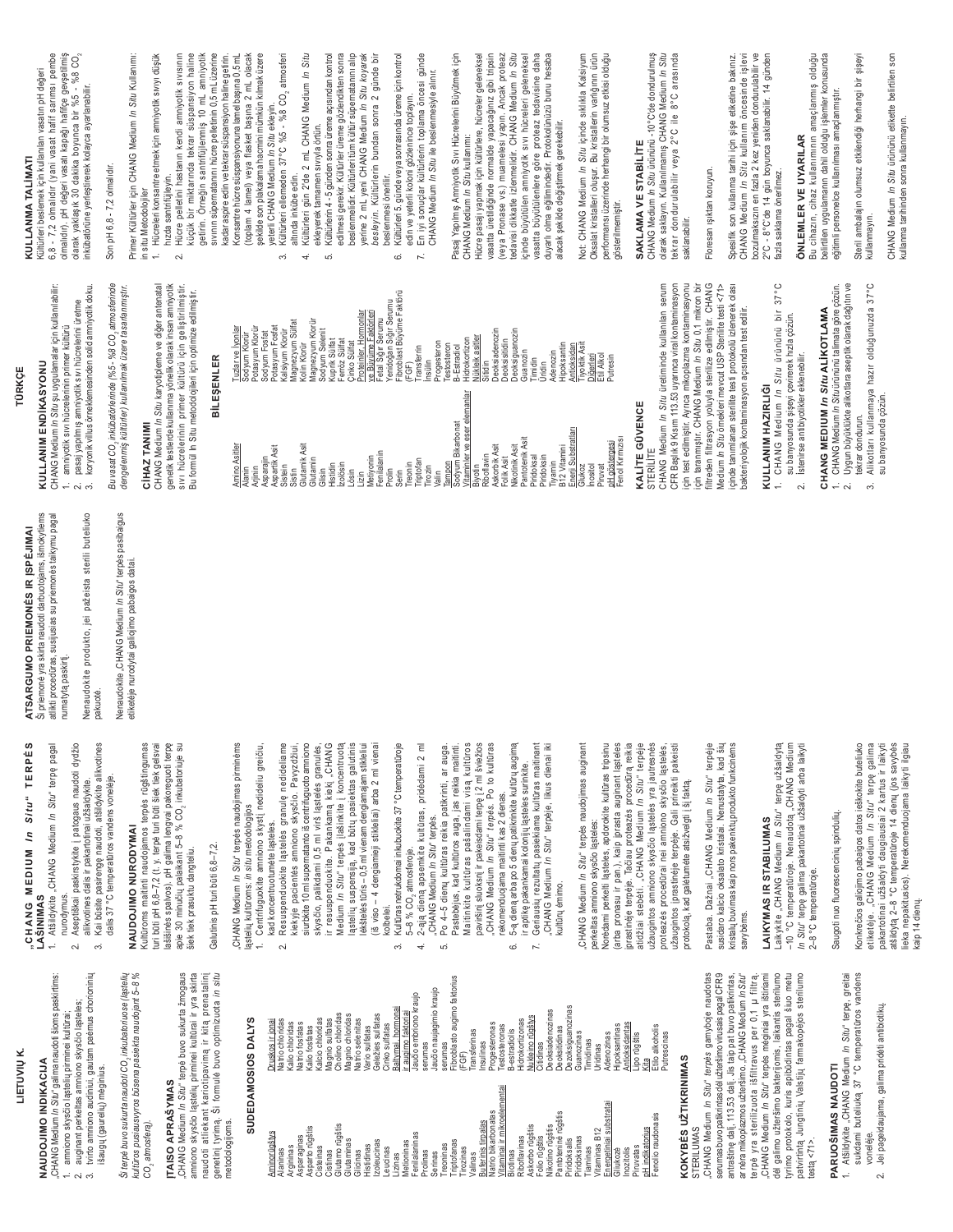|                                                                                                               |                                                                                                                                                                                                                 | TÜRKÇE                                                                                                                                                                                               |                                                                                                                   |                                                                                                                                                                                                                        |
|---------------------------------------------------------------------------------------------------------------|-----------------------------------------------------------------------------------------------------------------------------------------------------------------------------------------------------------------|------------------------------------------------------------------------------------------------------------------------------------------------------------------------------------------------------|-------------------------------------------------------------------------------------------------------------------|------------------------------------------------------------------------------------------------------------------------------------------------------------------------------------------------------------------------|
| In Situ" terpę paga!<br>TERPE<br>Situ"                                                                        | Ši priemonė yra skirta naudoti darbuotojams, išmokytiems<br>atlikti procedūras, susijusias su priemonės taikymu pagal<br>ATSARGUMO PRIEMONĖS IR ĮSPĖJIMAI<br>Šipriemonė va skirta neudruti<br>numatytą paskirtį | CHANG Medium /n Situ şu uygulamalar için kullanılabilir:<br>amniyotik sıvı hücrelerinin primer kültürü<br>KULLANIM ENDİKASYONU                                                                       |                                                                                                                   | 6,8 - 7,2 olmalıdır (yani vasat hafif sarımsı pembe<br>olmalıdır). pH değeri vasatı kapağı hafifçe gevşetilmiş<br>Kültürleri beslemek için kullanılan vasatın pH değeri<br>KULLANMA TALIMATI                           |
| atšildykite alikvotines<br>ogaus naudoti dydžio<br>užšaldykite.                                               | Nenaudokite produkto, jei pažeista sterili buteliuko<br>pakuotė.                                                                                                                                                | pasaj yapılmış amniyotik sıvı hücrelerini üretme<br>റ്റ്                                                                                                                                             | koryonik villus örneklemesinden solid amniyotik doku                                                              | olarak yaklaşık 30 dakika boyunca bir %5 - %8 CO <sub>2</sub><br>inkübatörüne yerleştirerek kolayca ayarlanabilir.                                                                                                     |
| lens voneleje                                                                                                 | Nenaudokite "CHANG Medium In Situ" terpės pasibaigus<br>etiketėje nurodytai galiojimo pabaigos datai.                                                                                                           | Bu vasat CO, inkübatörlerinde (%5 - %8 CO, atmosferinde<br>dengelenmiş kültürler) kullanılmak üzere tasarlanmıştır.                                                                                  |                                                                                                                   | Primer Kültürler için CHANG Medium <i>In Situ</i> Kullanımı:<br>Son pH 6,8 - 7,2 olmalıdır.                                                                                                                            |
| terpės rūgštingumas<br>gvai pakoreguoti terpę<br>i būti šiek tiek gelsvai<br>CO <sub>2</sub> inkubatoriuje su |                                                                                                                                                                                                                 | sıvı hücrelerinin primer kültürü için geliştirilmiştir.<br>CHANG Medium <i>In Situ</i> karyotipleme ve diğer antenatal<br>genetik testlerde kullanıma yönelik olarak insan amniyotik<br>CIHAZ TANIMI |                                                                                                                   | 1. Hücreleri konsantre etmek için amniyotik sıvıyı düşük<br>Hücre pelletini hastanın kendi amniyotik sıvısının<br>hızda santrifüjleyin.<br>in situ Metodolojiler<br>$\sim$                                             |
|                                                                                                               |                                                                                                                                                                                                                 | Bu formül In Situ metodolojileri için optimize edilmiştir.<br>BİLEŞENLER                                                                                                                             |                                                                                                                   | sivinin süpernatanını hücre pelletinin 0,5 mL üzerine<br>küçük bir miktarında tekrar süspansiyon haline<br>getirin. Örneğin santrifüjlenmiş 10 mL amniyotik                                                            |
| naudojimas pirminėms<br>stį nedideliu greičiu<br>solipc                                                       |                                                                                                                                                                                                                 | Amino Asitler<br>Alanin<br>Arjinin                                                                                                                                                                   | Sodyum Kilorür<br>Potasyum Klorür<br>Sodyum Fosfat<br>Potasyum Fosfat<br>Tuzlar ve İyonlar                        | Konsantre hücre süspansiyonuna lamel başına 0,5 mL<br>(toplam 4 lamel) veya flasket başına 2 mL olacak<br>şekilde son plakalama hacmini mümkün kılmak üzere<br>kadar aspire edin ve tekrar süspansiyon haline getirin. |
| granulę nedideliame<br>skysčio. Pavyzdžiui,                                                                   |                                                                                                                                                                                                                 | Asparajin<br>Aspartik Asit<br>istein<br>Sistin                                                                                                                                                       | Magñezyum Sülfat<br>Kolin Klorür<br>Kalsiyum Klorür                                                               | Kültürleri ellemeden 37°C %5 - %8 CO2 atmosferi<br>yeterli CHANG Medium /n Situ ekleyin.<br>altında inkübe edin.<br>$\sim$                                                                                             |
| centrifuguoto amniono<br>irš ląstelės granulės,<br>kamą kiekį "CHANG<br>inkite į koncentruotą                 |                                                                                                                                                                                                                 | Glutamik Asit<br>Glutamin<br>Glisin                                                                                                                                                                  | Magnezyum Klorür<br>Sodyum Selenit                                                                                | Kültürleri gün 2'de 2 mL CHANG Medium In Situ<br>Kültürlerin 4 - 5 günden sonra üreme açısından kontrol<br>ekleyerek tamamen sıvıyla örtün.<br>4<br>ယ                                                                  |
| ų pasiektas galutinis<br>dengiamajam stikleliui                                                               |                                                                                                                                                                                                                 | <b>Izolösin</b><br>Histidin<br>ösin                                                                                                                                                                  | Kuprik Sülfat<br>Ferröz Sülfat<br>Cinko Sülfat                                                                    | edilmesi gerekir. Kültürler üreme gözlendikten sonra<br>beslenmelidir. Kültürleri tüm kültür süpematanını alıp                                                                                                         |
| sliai) arba 2 ml vienai                                                                                       |                                                                                                                                                                                                                 | Metiyonin<br>Fenilalanin<br>$\lim_{z \to 0}$                                                                                                                                                         | Proteinler, Hormonlar<br>⁄e Büyüme Fak                                                                            | yerine 2 mL yeni CHANG Medium In Situ koyarak<br>besleyin. Kültürlerin bundan sonra 2 günde bir<br>beslenmesi önerilir.                                                                                                |
| ite 37 °C temperatūroje                                                                                       |                                                                                                                                                                                                                 | reonin<br>Prolin<br>Serin                                                                                                                                                                            | Fetal Šığır Serumu<br>Yenidoğan Sığır Serumu<br>Fibroblast Büyüme Faktörü<br>(FGF)                                | Kültürleri 5. günde veya sonrasında üreme için kontrol<br>edin ve yeterli koloni gözlenince toplayın.<br>6                                                                                                             |
| iras, pridėdami 2 ml<br>άŚ.                                                                                   |                                                                                                                                                                                                                 | Triptofan<br>irozin                                                                                                                                                                                  | ransferrin<br>insülin                                                                                             | En iyi sonuçlar kültürlerin toplama öncesi günde<br>CHANG Medium In Situ ile beslenmesiyle alınır.<br>$\mathcal{L}$                                                                                                    |
| a patikrinti, ar auga.                                                                                        |                                                                                                                                                                                                                 | Sodyum Bikarbonat<br>ampon<br>/alin                                                                                                                                                                  | Progesteron<br>Testosteron<br>B-Estradiol                                                                         | Pasaj Yapılmış Amniyotik Sıvı Hücrelerini Büyütmek için                                                                                                                                                                |
| ja, jas reikia maitinti.<br>ndami visą kultūros<br>ni terpę į 2 ml šviežios<br>arpės. Po to kultūras          |                                                                                                                                                                                                                 | Vitaminler ve eser elemanlar<br>Biyotin<br>Riboflavin                                                                                                                                                | Vükleik asitler<br>Hidrokortizon<br>Sitidin                                                                       | CHANG Medium <i>In Situ</i> kullanmı:<br>Hücre pæsaj yapmak için kültürlere, hücreler geleneksel<br>vasatta üretildiğinde normalde yapacağınız gibi tripsin<br>(veya Pronase vs.) muamelesi yapın. Ancak proteaz       |
| 2 dienas.                                                                                                     |                                                                                                                                                                                                                 | Askorbik Asit<br>Folik Asit                                                                                                                                                                          | Deoksiadenozin<br>Deoksisitidin                                                                                   |                                                                                                                                                                                                                        |
| krinkite kultūrų augimą<br>ląsteles surinkite.                                                                |                                                                                                                                                                                                                 | Pantotenik Asit<br>Nikotinik Asit                                                                                                                                                                    | Deoksiguanozin<br>Guanozin                                                                                        | tedavisi dikkatle izlenmelidir. CHANG Medium In Situ<br>içinde büyütülen amniyotik sıvı hücreleri geleneksel                                                                                                           |
| na kultūras maitinant<br>rpėje, likus dienai iki                                                              |                                                                                                                                                                                                                 | Piridoksal<br>Piridoksin<br>iyamin                                                                                                                                                                   | Adenozin<br><b>Fimidin</b><br>Üridin                                                                              | vasatta büyütülenlere göre proteaz tedavisine daha<br>duyarlı olma eğilimindedir. Protokolünüzü bunu hesaba                                                                                                            |
| naudojimas auginant                                                                                           |                                                                                                                                                                                                                 | B 12 Vitamini<br>Enerji Substratları                                                                                                                                                                 | Hipoksantin<br>iyoktik Asit<br>Antioksidan                                                                        | alacak şekilde değiştirmek gerekebilir.                                                                                                                                                                                |
| okite kultūras tripsinu                                                                                       |                                                                                                                                                                                                                 | Glukoz<br>Inositol<br>Piruvat                                                                                                                                                                        | Diğerleri<br>Etil Alkol<br>Putresin                                                                               | Not: CHANG Medium <i>In Situ</i> içinde sıklıkla Kalsiyum<br>Oksalat kristalleri oluşur. Bu kristallerin varlığının ürün<br>performansı üzerinde herhangi bir olumsuz etkisi olduğu                                    |
| sta auginant ląsteles                                                                                         |                                                                                                                                                                                                                 | pH göstergesi<br>Fenol Kırmızısı                                                                                                                                                                     |                                                                                                                   | gösterilmemiştir.                                                                                                                                                                                                      |
| azės procedūrą reikia<br>ium <i>In Situ</i> " terpėje                                                         |                                                                                                                                                                                                                 | KALITE GÜVENCE                                                                                                                                                                                       |                                                                                                                   | SAKLAMA VE STABILITE                                                                                                                                                                                                   |
| stelės yra jautresnės<br>ono skysčio ląstelės,                                                                |                                                                                                                                                                                                                 | CHANG Medium In Situ üretiminde kullanılan serum<br>STERILITE                                                                                                                                        |                                                                                                                   | CHANG Medium <i>In Situ</i> ürününü -10°C'de dondurulmuş<br>olarak saklayın. Kullanılmamış CHANG Medium <i>In Situ</i><br>tekrar dondurulabilir veya 2°C ile 8°C arasında                                              |
| Gali prireikti pakeisti<br>lgti į šį faktą.                                                                   |                                                                                                                                                                                                                 | CFR Başlık 9 Kısım 113.53 uyarınca viral kontaminasyon<br>için test edilmiştir. Ayrıca mikoplazma kontaminasyonu<br>için taranmıştır. CHANG Medium <i>In Situ</i> 0,1 mikron bir                     |                                                                                                                   | saklanabilir.                                                                                                                                                                                                          |
| lium <i>In Situ</i> " terpėje<br>Nenustatyta, kad šių                                                         |                                                                                                                                                                                                                 | filtreden filtrasyon yoluyla sterilize edilmiştir. CHANG<br>Medium In Situ örnekleri mevcut USP Sterilite testi <71>                                                                                 |                                                                                                                   | Floresan ışıktan koruyun.                                                                                                                                                                                              |
| ų produkto funkcinėms                                                                                         |                                                                                                                                                                                                                 | içinde tanımlanan sterilite testi protokolü izlenerek olası<br>bakteriyolojik kontaminasyon açısından test edilir.                                                                                   |                                                                                                                   | Spesifik son kullanma tarihi için şişe etiketine bakınız.<br>CHANG Medium <i>In Situ</i> kullanım öncesinde işlevi                                                                                                     |
| လ                                                                                                             |                                                                                                                                                                                                                 | CHANG Medium In Situ ürününü bir<br><b>KULLANIM HAZIRLIĞI</b>                                                                                                                                        | 37°                                                                                                               | bozulmaksızın en fazla 2 kez yeniden dondurulabilir ve<br>2°C - 8°C'de 14 gün boyunca saklanabilir. 14 günden<br>fazla saklama önerilmez.                                                                              |
| Situ" terpę užšaldytą<br>otą "CHANG Medium<br>i užšaldyti arba laikyti                                        |                                                                                                                                                                                                                 | su banyosunda şişeyi çevirerek hızla çözün.<br>İstenirse antibiyotikler eklenebilir.<br>$\sim$                                                                                                       |                                                                                                                   | <b>ÖNLEMLER VE UYARILAR</b>                                                                                                                                                                                            |
|                                                                                                               |                                                                                                                                                                                                                 | CHANG MEDIUM In Situ ALIKOTLAMA                                                                                                                                                                      |                                                                                                                   | Bu cihazın, cihaz kullanımının amaçlanmış olduğu<br>belirtilen uygulamanın dahil olduğu işlemler konusunda                                                                                                             |
| ullu.                                                                                                         |                                                                                                                                                                                                                 | $\sim$                                                                                                                                                                                               | Uygun büyüklükte alikotlara aseptik olarak dağıtın ve<br>CHANG Medium <i>In Situ</i> ürününü talimata göre çözün. | eğitimli personelce kullanılması amaçlanmıştır.                                                                                                                                                                        |
| tos ieškokite buteliuko<br>· Situ" terpę galima<br>iai 2 kartus ir laikyti                                    |                                                                                                                                                                                                                 | tekrar dondurun.<br>က်                                                                                                                                                                               | Alikotları kullanmaya hazır olduğunuzda 37°C                                                                      | Steril ambalajın olumsuz etkilendiği herhangi bir şişeyi<br>kullanmayın.                                                                                                                                               |
| 4 dienų (jos savybės<br>duojama laikyti ilgiau                                                                |                                                                                                                                                                                                                 | su banyosunda çözün.                                                                                                                                                                                 |                                                                                                                   | CHANG Medium <i>In Situ</i> ürününü etikette belirtilen son<br>kullanma tarihinden sonra kullanmayın.                                                                                                                  |
|                                                                                                               |                                                                                                                                                                                                                 |                                                                                                                                                                                                      |                                                                                                                   |                                                                                                                                                                                                                        |

്

tvirto amniono audiniui, gautam paémus chorioninių

 $\sim$ 

išaugų (gaurelių) mėginius.

auginant perkeltas amniono skysčio ląsteles;

amniono skysčio ląstelių pirminei kultūrai;

Ši terpė buvo sukurta naudoti CO<sub>2</sub> inkubatoriuose (ląstelių kultūros pusiaus vyros būsena pasiekta naudojant 5-8 % "CHANG Medium *In Situ*" terpė buvo sukurta žmogaus<br>amniono skysčio ląstelių pirminei kultūrai ir yra skirta naudoti atliekant kariotipavimą ir kitą prenatalinį<br>genetinį tyrimą. Ši formulė buvo optimizuota *in situ* 

**ITAISO APRAŠYMAS** 

CO<sub>2</sub> atmosfera).

"CHANG Medium In Situ" galima naudoti šioms paskirtims:

**NAUDOJIMO INDIKACIJA** 

LIETUVIŲ K.

 $\sim$ 

rationalista<br>Kalio chloridas<br>Natio fosfatas<br>Kalio fosfatas

Asparaginas<br>Asparto rūgštis<br>Cisteinas Cistinas<br>Glutamo rūgštis<br>Glutaminas

Argininas

Naninas

**SUDEDAMOSIOS DALYS** 

metodologijoms.

Druskos ir jonai vatrio chloridas

Aminorūgštys

# CHANG MEDIUM In

Konkrečios galiojimo pabaigos dat<br>etiketėje. "CHANG Medium *In*<br>pakartotinai užšaldyti daugiausi turi būti pH 6,8–7,2 (t. y. terpė turi<br>lašišinės spalvos). pH galima leng siurbkite 10 ml supernatanto iš «<br>skysčio, palikdami 0,5 ml vir Medium *In Situ*" terpės įlaši<br>Iąstelių suspensiją, kad būtu<br>Iėkštelėstūris – 0,5 ml vienam o 5–8 % CO<sub>2</sub> atmosferoje.<br>2-ają dieną apsemkite kultū ląstelių kultūroms: *in situ* metodolo<br>1. Centrifuguokite amniono sky (iš viso – 4 dengiamieji stikle<br>kolbelei. "CHANG Medium *In Situ*" terpe<br>Po 4–5 dienų kultūras reikia Pastebėjus, kad kultūros aug Maitinkite kultūras pašalin CHANG Medium In Situ" te CHANG Medium In Situ" ter iprastinėje terpėje. Tačiau protea<br>atidžiai stebėti. "CHANG Medi užaugintos amniono skysčio ląs -10 °C temperatūroje. Nenaudo Saugoti nuo fluorescencinių spindi 1. Atšildykite "CHANG Medium 2. Aseptiškai paskirstykite į pat alikvotines dalis ir pakartotinai Kai būsite pasirengę naudoti, dalis 37 °C temperatūros vano **NAUDOJIMO NURODYMAI** Kultūroms maitinti naudojamos apie 30 minučių palaikant 5-8 % kad koncentruotumėte ląsteles ir resuspenduokite. Pakanl Kultūras netrukdomai inkubuok paviršinį sluoksnį ir pakeisdan 5-ą dieną arba po 5 dienų patil Geriausių rezultatų pasiekiar CHANG Medium In Situ" terpes perkeltas amniono skysčio lastele Norédami perkelti ląsteles, apdor (arba pronasu ir pan.), kaip įpra proteazės procedūrai nei amnio protokola, kad galėtumėte atsižve Pastaba. Dažnai "CHANG Med susidaro kalcio oksalato kristalai kristalų buvimas kaip nors pakenkt **LAIKYMAS IR STABILUMA** *In Situ*" terpę galima pakartotinai<br>2–8 °C temperatūroje. CHANG Medium In Situ" terpés kiekyje pacientės amniono rekomenduojama maitinti kas ir aptikę pakankamai kolonijų Laikykite "CHANG Medium In Resuspenduokite lasteles užaugintos įprastinėje terpėje. Galutinis pH turi būti 6,8-7,2. šiek tiek prasuktu dangteliu. kultūrų ėmimo. LAŠINIMAS nurodvmus.

Ġ

Progesteronas<br>Testosteronas<br>B-estradiolis

ftaminai ir mikroelementai

Deoksiadenozinas<br>Deoksitidinas<br>Dezoksiguanozinas<br>Guanozinas

Askorbo rūgštis<br>Folio rūgštis<br>Pakotino rūgštis<br>Pirdoksails<br>Pirdoksails<br>Pirdoksans<br>Vitaminas B12<br>Vitaminas B12

imidinas

Lipo rūgštis<br><u>Kita</u><br>Etilo alkoholis<br>Putrescinas

enolio raudonasis

Piruvatas<br>pH indikatorius

nozitolis

ijukozé

<u>Nukleino rūgštys</u><br>Citidinas

Hidrokortizonas

Riboflavinas

 $\overline{a}$ 

6

Fibroblasto augimo faktorius

Treoninas<br>Triptofanas

irozinas

ransferinas

FGF)

nsulinas

Valinas<br><u>Buferinis tirpalas</u><br>Natrio bikarbonatas

Jaučio naujagimio kraujo <u>ır augimo faktoriai</u><br>Jaučio embriono kraujo

.<br>က

hormonai

**Baltymai** serumas serumas

Lizinas<br>Metioninas<br>Fenilalaninas

Prolinas Serinas

Izoleucinas<br>Leucinas

Glicinas<br>Histidinas

Geležies sulfatas

Cinko sulfatas ario sulfatas

Kalcio chloridas<br>Magnio sulfatas<br>Cholino chloridas<br>Magnio chloridas<br>Matrio selenitas

savybėms.

serumas buvo patikrintas dėl užteršimo virusais pagal CFR 9 antraštinę dalį, 113.53 dalį. Jis taip pat buvo patikrintas,<br>ar nėra mikoplazmos užteršimo. "CHANG Medium *In Situ*" terpė yra sterilizuota išfiltravus per 0,1 µ filtrą.<br>"CHANG Medium *In Situ*" terpės mėginiai yra ištiriami dėl galimo užteršimo bakterijomis, laikantis sterilumo tyrimo protokolo, kuris apibūdintas pagal šiuo metu<br>patvirtintą Jungtinių Valstijų farmakopėjos sterilumo

CHANG Medium In Situ" terpes gamyboje naudotas

KOKYBĖS UŽTIKRINIMAS

STERILUMAS

atšildytą 2-8 °C temperatūroje Atšildykite "CHANG Medium *In Situ*" terpę, greitai<br>sukdami buteliuką 37 °C temperatūros vandens Jei pageidaujama, galima pridėti antibiotikų.

lieka nepakitusios). Nerekomen

vaip 14 dienų.

 $\sim$ 

vonelėje.

PARUOŠIMAS NAUDOTI

testa $<$ 71>.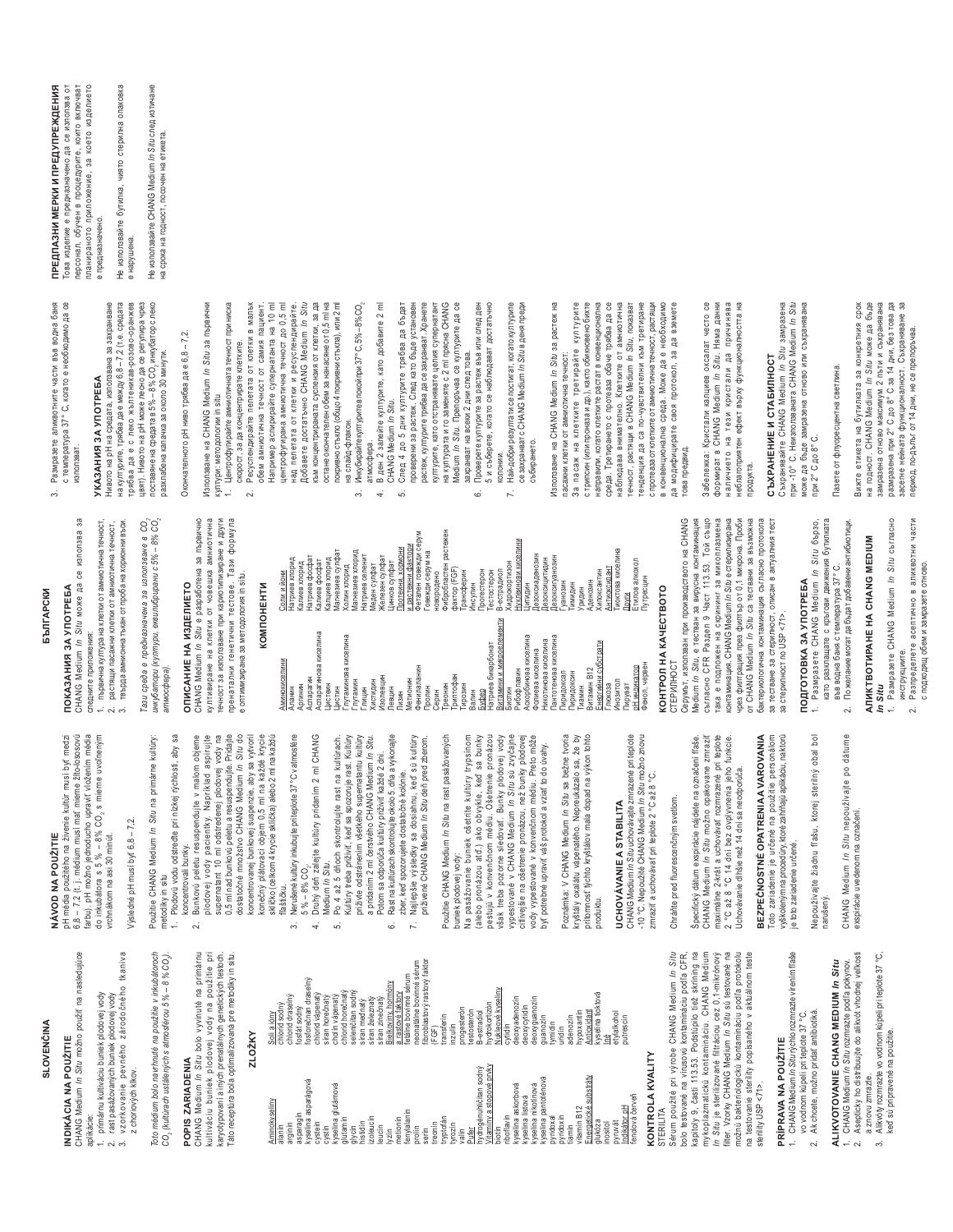## **SLOVENČINA**

## **INDIKÁCIA NA POUŽITIE**

CHANG Medium In Situ možno použiť na nasledujúce

- aplikácie:
- primárnu kultiváciu buniek plodovej vody
- rast pasážovaných buniek plodovej vody
- 3. vzorkovanie pevného zárodočného tkaniva z choriových klkov.

Toto médium bolo navrhnuté na použitie v inkubátoroch

# CO, (kultúrach ustálených s atmosférou 5 % – 8 % CO,)

CHANG Medium /n Situ bolo vyvinuté na primárnu<br>kultiváciu buniek plodovej vody na použitie pri<br>karyotypovaní ainých prenatálnych genetických testoch.<br>Táto receptúra bola optimalizovaná pre metodiky in situ. POPIS ZARIADENIA

### **ZI OŽKY**

| Aminokyseliny<br>alanín               | chlorid sodný<br>Soli a jóny             |
|---------------------------------------|------------------------------------------|
| arginín                               | chlorid draselný                         |
| asparagin                             | fosfát sodný                             |
| kyselina as parágová                  | fosforečnan draselný                     |
| cystein<br>cystin                     | chlorid vápenatý<br>síran horečnatý      |
| glutámová<br>kyselina                 | cholín vápenatý                          |
| glutamín                              | chlorid horečnatý                        |
| glycin<br>histidin                    | seleničitan sodný<br>síran mednatý       |
| izoleucin                             | síran železnatý                          |
| leucin                                | síran zinečnatý                          |
| metionin<br>lyzin                     | Bielkoviny, hormóny<br>a rastové faktory |
| fenylalanín                           | fetálne bovinné sérun                    |
| prolín                                | neonatálne bovinné s                     |
| serin                                 | fibroblastový rastový                    |
| tryptofán<br>treonin                  | transferin<br>(FGF)                      |
| tyrozín                               | inzulin                                  |
| valin                                 | progesterón                              |
| hydrogénuhličitan sodný<br>Pufer      | testosterón<br>B-estradiol               |
| Vitaminy a stopové prvky              | hydrokortizón                            |
| biotin                                | kyseliny<br>Nukleové                     |
| riboflavin                            | cytidin                                  |
| kyselina askorbová                    | deoxyadenozin                            |
| kyselina listová                      | deoxycytidin                             |
| nikotínová<br>kyselina<br>kyselina    | deoxyguanozin                            |
| pantoténová<br>pyridoxal              | guanozin<br>tymidín                      |
| pyridoxín                             | uridín                                   |
| tiamin                                | adenozin                                 |
| Energetické substráty<br>vitamín B12  | hypoxantin                               |
| glukóza                               | kyselina tioktová<br>Antioxidant         |
| inositol                              | έ                                        |
| pyruvát                               | etylalkohol                              |
| červeň<br>Indikátor pH<br>fenolová    | putrescin                                |
|                                       |                                          |
| KONTROLA KVALIT<br><b>STERILITA</b>   |                                          |
|                                       |                                          |
| Sérum použité pri výrobe CHANG Medium |                                          |

In Situ In Situ je sterilizované filtráciou cez 0,1-mikrónový<br>filter. Vzorky CHANG Medium In Situ sú testované na kapitoly 9, časti 113.53. Podstúpilo tiež skríning na mykoplazmatickú kontamináciu. CHANG Medium možnú bakteriologickú kontamináciu podľa protokolu bolo testované na vírusovú kontamináciu podľa CFR, testovanie sterility popísaného v aktuálnom teste sterility USP<71>  $\frac{1}{2}$ 

# PRÍPRAVA NA POUŽITIE<br>1. CHANG Medium *In Situ r*ýchlo rozmrazte vírením fiaše

- vo vodnom kúpeli pri teplote 37 °C.
	-
	- 2. Ak chcete, možno pridať antibiotiká.

ALIKVOTOVANIE CHANG MEDIUM In Situ

- 2. Asepticky ho distribuujte do alikvót vhodnej veľkosti CHANG Medium In Situ rozmrazte podľa pokynov.  $\ddot{ }$ 
	- 3. Alikvóty rozmrazte vo vodnom kúpeli pri teplote 37 °C, a znovu zmrazte.
		- keď sú pripravené na použitie.

## NÁVOD NA POUŽITIE

6,8 – 7,2 (t. j. médium musí mať mierne žlto-lososovú<br>farbu). pH možno jednoducho upraviť vložením média pH média použitého na živenie kultúr musí byť medzi do inkubátora s 5 % - 8% CO, s mierne uvoľneným vrchnákom na asi 30 minút.

CHANG Medium In Situ може да се използва за

следните приложения:

**NOKA3AHIS 3A YNOTPEEA** 

*EDJITAPCKN* 

## /ysledné pH musí byť 6,8 - 7,2.

Použitie CHANG Medium In Situ na primárne kultúry: metodiky in situ

## Plodovú vodu odstreďte pri nízkej rýchlosti, aby sa koncentrovali bunky.  $\ddot{ }$

- supematant 10 ml odstredenej plodovej vody na dostatočné množstvo CHANG Medium In Situ do konečný plátovací objem 0,5 ml na každé krycie<br>sklíčko (celkom 4 krycie sklíčka) alebo 2 ml na každú Bunkovú peletu resuspendujte v malom objeme plodovej vody pacientky. Napríklad aspirujte 0,5 ml nad bunkovú peletu a resuspendujte. Pridajte koncentrovanej bunkovej suspenzie, aby sa vytvoril  $\sim$ 
	- Nerušené kultúry inkubujte pri teplote 37°C v atmosfére flaštičku.  $\ddot{\mathrm{c}}$ 
		- Druhý deň zálejte kultúry pridaním 2 ml CHANG  $5\% - 8\%$  CO<sub>2</sub>.  $\overline{4}$
- Po 4 až 5 dňoch skontrolujte rast na kultúrach Medium In Situ. <sub>10</sub>

Натриев фосфат<br>Калиев фосфат<br>Калциев хлорид<br>Магнезиев сулфат<br>Холин хлорид<br>Холин хлорид

Аспарагин<br>Аспарагинова киселина<br>Цистеин

-<br>Глутаминова киселина<br>Глутамин

Цистин

<u>Соли и йони</u><br>Натриев хлорид

<u>Аминокиселини</u><br>Аланин

Аргинин

Калиев хлорид

- Kultúry treba priživiť, keď sa spozoruje rast. Kultúry priživte odstránením všetkého supernatantu kultúry a pridaním 2 ml čerstvého CHANG Medium /n Situ. Potom sa odporúča kultúry priživiť každé 2 dni.
	- Rast na kultúrach skontrolujte okolo 5. dňa a vykonajte zber, keď spozorujete dostatočné kolónie. ق
- Najlepšie výsledky sa dosiahnu, keď sú kultúry<br>priživené CHANG Medium /n Sítu deň pred zberom. L.

n<br>érum<br>faktor

Фенилаланин<br>Пролин

Летионин

Тизин

Серин<br>Треонин<br>Триптофан

ниводи

Валин

Použitie CHANG Medium In Situ na rast pasážovaných buniek plodovej vody:

Фибробластен растежен<br>фактор (FGF) Фетален говежди серум<br>Говежди серум на

рансферин

**Лнсулин** 

новородено

pestujú v konvenčnom médiu. Ošetrenie pronázou pasážovanie buniek ošetrite kultúry trypsínom (alebo pronázou atď.) ako obvykle, keď sa bunky však treba pozorne sledovať. Bunky plodovej vody vypestované v CHANG Medium /n Situ sú zvyčajne citivejšie na ošetrenie pronázou, než bunky plodovej vody vypestované v konvenčnom médiu. Preto môže byť potrebné upraviť váš protokol a vziať to do úvahy.  $\frac{a}{2}$ 

Poznámka: V CHANG Medium /n Sítu sa bežne tvoria<br>kryštály oxalátu vápernatého. Nepreukázalo sa, že by<br>prítormosť týchto kryštálov mala dopad na výkon tohto produktu.

# **JCHOVÁVANIE A STABILITA**

CHANG Medium /n Situ uchovávajte zmrazené pri teplote<br>-10 °C. Nepoužité CHANG Medium /n Situ možno znovu<br>zmraziť a uchovávať pri teplote 2 °C až 8 °C.

## Chráňte pred fluorescenčným svetlom.

CHANG Medium In Situ možno opakovane zmraziť maximálne 2-krát a uchovávať rozmrazené pri teplote Specifický dátum exspirácie nájdete na označení fľaše °C až 8 °C 14 dní bez ovplyvnenia jeho funkcie Uchovávanie dlhšie než 14 dní sa neodporúča.

Medium In Situ, е тестван за вирусна контаминация<br>съгласно СFR Раздел 9 Част 113.53. Той също така е подложен на скрининг за микоплазмена<br>контаминация. CHANG Medium In Situe стерилизирана

чрез филтрация през филтър от 0,1 микрона. Проби or CHANG Medium In Situ ca тествани за възможна бактериологична контаминация съгласно протокола за тестване за стерилност, описан в актуалния тест

Серумът, използван при производството на CHANG

KOHTPOJI HA KAYECTBOTO

CTEPMIHOCT

## BEZPEČNOSTNÉ OPATRENIA A VAROVANIA Toto zariadenie je určené na použitie personálom vyškoleným na procedúry, ktoré zahŕňajú aplikáciu, na ktorú

Nepoužívajte žiadnu fľašu, ktorej sterilný obal bol narušený.

je toto zariadenie určené.

CHANG Medium In Situ nepoužívajte po dátume exspirácie uvedenom na označen

In Situ

Разпределете асептично в аликвотни части инструкциите.  $\sim$ 

Размразете аликвотните части във водна баня<br>с температура 37° С, когато е необходимо да се използват. က်<br>က

## *YKA3AHNR 3A YNOTPEEA*

цвят). Нивото на рН може лесно да се регулира чрез поставяне на средата в 5% - 8% СО, инкубатор с леко Нивото на рН на средата, използвана за захранване на културите, трябва да е между 6,8 – 7,2 (т.е. средата грябва да е с леко жълтеникав-розово-оранжев първична култура на клетки от амниотична течност,

твърда амнионна тъкан от проба на хорионни въси Тази среда е предназначена за използване в СО инкубатори (култури, еквилибрирани с 5% - 8% СО

растящи пасажни клетки от амниотична течност,

Окончателното рН ниво трябва да е 6,8 - 7,2.

разхлабена капачка за около 30 минути.

Използване на CHANG Medium In Situ за първични култури: методологии in situ

CHANG Medium In Situ e paspa6oтена за първично

**OTINCAHNE HA M3ДЕЛИЕТО** 

атмосфера).

култивиране на клетки от човешка амниотична течност за използване при кариотипизиране и други пренатални генетични тестове. Тази формула

е оптимизирана за методология in situ.

KOMNOHEHTM

- Центрофугирайте амниотичната течност при ниска скорост, за да концентрирате клетките.
- Ресуспендирайте пелетата от клетки в малък над пелетата от клетки и ресуспендирайте.<br>Добавете достатъчно CHANG Medium /n Situ към концентрираната суспензия от клетки, за да остане окончателен обем за нанасяне от 0,5 ml на Например аспирирайте супернатанта на 10 ml центрофугирана амниотична течност до 0,5 ml покривно стъкло (общо 4 покривни стъкла), или 2 ml обем амниотична течност от самия пациент на слайд-флакон.  $\sim$ 
	- Инкубирайте културите в покой при 37°С, 5% 8% СО, атмосфера. ာ<br>က
- В ден 2 залейте културите, като добавите 2 ml CHANG Medium In Situ.  $\rightarrow$

Железен сулфат<br>Цинков сулфат<br>Протеини, хормони<br>Ирастежни фактори

Натриев селенит<br>Меден сулфат

Глицин<br>Хистидин<br>Изолевцин<br>Левцин

- на културата и го заменяте с 2 ml прясна CHANG Medium In Situ. Препоръчва се културите да се След 4 до 5 дни културите трябва да бъдат проверени за растеж. След като бъде установен растеж, културите трябва да се захранват. Хранете културите, като отстранявате целия супернатант s.
	- Проверете културите за растеж във или след ден 5 и съберете, когато се наблюдават достатъчно захранват на всеки 2 дни след това.  $\vec{\circ}$
- Най-добри резултати се постигат, когато културите се захранват с CHANG Medium In Situ в деня преди събирането. КОЛОНИИ.  $\overline{r}$

Нуклеинови киселини

**Кидрокортизон** 

Тестостерон<br>В-естрадиол

Б<u>уфер</u><br>Нагриев бикарбонат<br>Витамини и микроелементи В<br>Биотин

Прогестерон

Дезоксиаденозин

нидин

Рибофлавин<br>Аскорбинова киселина

**Дезоксицитидин** 

езоксигуанозин

]антотенова киселина Фолиева киселина<br>Никотинова киселина

иянозин ИМИДИН

Използване на CHANG Medium In Situ за растеж на среда. Третирането с протеаза обаче трябва да се наблюдава внимателно. Клетките от амниотична За пасаж на клетките третирайте културите с трипсин (или проназа и др.), както обикновено бихте направили, когато клетките растат в конвенционална гечност, растящи в CHANG Medium In Situ, показват генденция да са по-чувствителни към третиране с протеаза от клетките от амниотична течност, растящи конвенционална среда. Може да е необходимо модифицирате своя протокол, за да вземете пасажни клетки от амниотична течност: гова предвид.  $\mathbb{R}$ 

иоктова киселина

Антиоксидант

**Кипоксантин** 

<u>Енергийни субстрати</u><br>Глюкоза

Инозитол

Пируват

Витамин В12

**Пиридоксин** 

Тиамин

і иридоксал

Аденозин

ридин

<u>Пруги</u><br>Етилов алкохол

Путресцин

рН индикатор<br>Фенол, червен

Забележка: Кристали калциев оксалат често се<br>формират в CHANG Medium In Situ. Няма данни наличието на тези кристали да причинява неблагоприятен ефект върху функционалността на

# СЪХРАНЕНИЕ И СТАБИЛНОСТ

тродукта.

Съхранявайте CHANG Medium /n Situ замразена<br>при -10° С. Неизползваната CHANG Medium /n Situ може да бъде замразена отново или съхранявана три 2° С до 8° С.

## Пазете от флуоресцентна светлина.

като разклащате с кръгови движения бугилката

във водна баня с температура 37° С.

 $\sim$ 

Pasmpasere CHANG Medium In Situ 6bpso

ПОДГОТОВКА ЗА УПОТРЕБА

за стерилност по USP <71>.

Вижте етикета на бутилката за конкретния срок<br>на годност. CHANG Medium *In Situ* може да бъде замразена отново максимум 2 пъти и съхранявана размразена при 2° С до 8° С за 14 дни, без това да засегне нейната функционалност. Съхраняване за

ПРЕДПАЗНИ МЕРКИ И ПРЕДУПРЕЖДЕНИЯ Това изделие е предназначено да се използва от персонал, обучен в процедурите, които включват планираното приложение, за което изделието е предназначено.

Не използвайте CHANG Medium In Situ след изтичане

Не използвайте бутилка, чиято стерилна опаковка е нарушена.

на срока на годност, посочен на етикета.

1. Размразете CHANG Medium In Situ съгласно

период, по-дълъг от 14 дни, не се препоръчва. По желание могат да бъдат добавени антибиотици. AJIMKTBOTMPAHE HA CHANG MEDIUM с подходящ обем и замразете отново.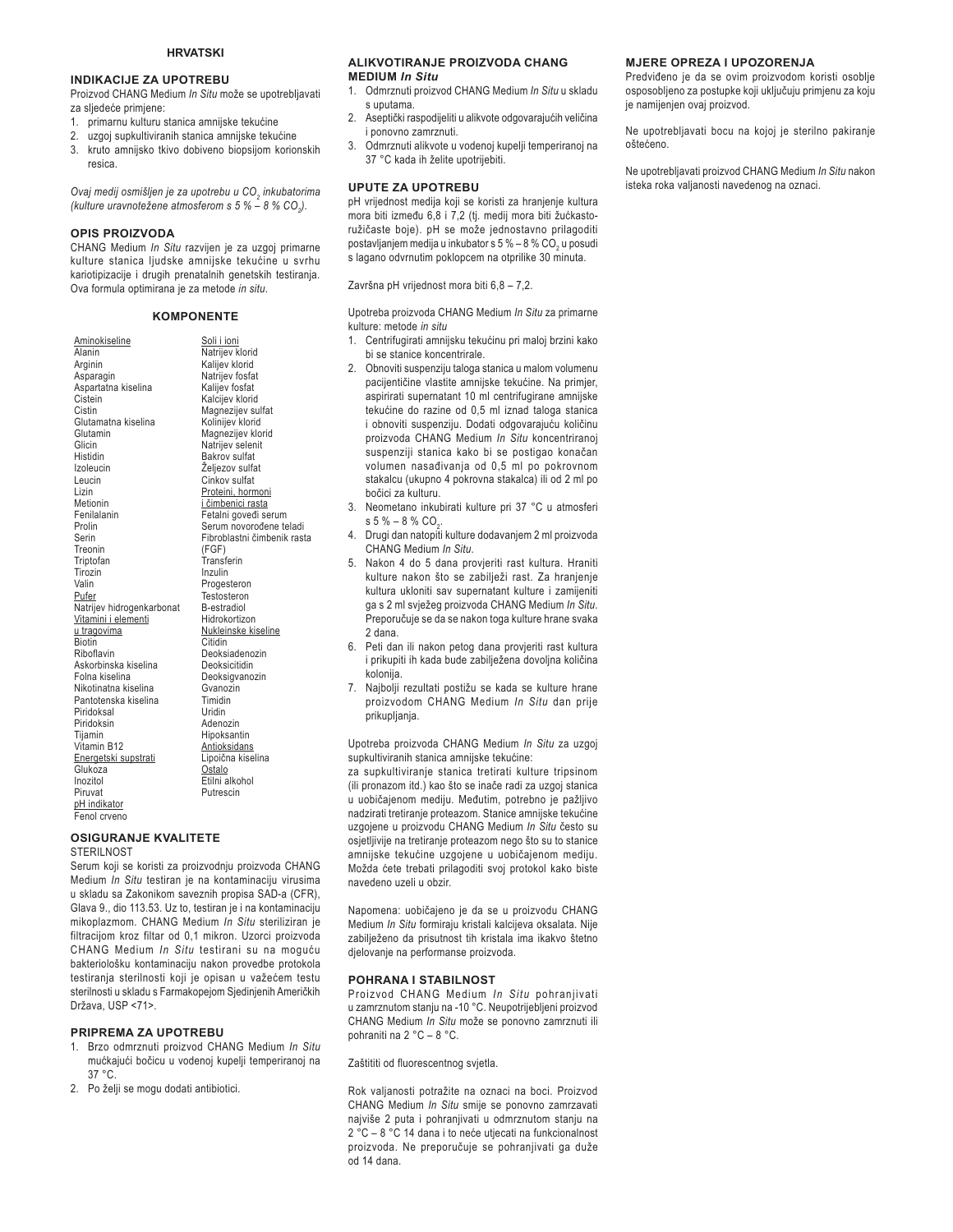#### **INDIKACIJE ZA UPOTREBU**

Proizvod CHANG Medium *In Situ* može se upotrebljavati za sljedeće primjene:

- 1. primarnu kulturu stanica amnijske tekućine
- 2. uzgoj supkultiviranih stanica amnijske tekućine
- 3. kruto amnijsko tkivo dobiveno biopsijom korionskih resica.

*2YDMPHGLMRVPLãOMHQMH]DXSRWUHEXX&2<sup>2</sup> inkubatorima (kulture uravnotežene atmosferom s 5 % – 8 % CO<sub>2</sub>).* 

#### **OPIS PROIZVODA**

CHANG Medium *In Situ* razvijen je za uzgoj primarne kulture stanica ljudske amnijske tekućine u svrhu kariotipizacije i drugih prenatalnih genetskih testiranja. Ova formula optimirana je za metode *in situ*.

#### **KOMPONENTE**

Soli i ioni Natrijev klorid Kalijev klorid Natrijev fosfat Kalijev fosfat Kalcijev klorid Magnezijev sulfat Kolinijev klorid Magnezijev klorid Natrijev selenit Bakrov sulfat Željezov sulfat Cinkov sulfat Proteini, hormoni <u>i čimbenici rasta</u><br>Fetalni goveđi serum Serum novorođene teladi Fibroblastni čimbenik rasta

(FGF) Transferin Inzulin Progesteron **Testosteron** B-estradiol Hidrokortizon Nukleinske kiseline **Citidin** Deoksiadenozin Deoksicitidin Deoksigvanozin Gvanozin Timidin Uridin Adenozin Hipoksantin **Antioksidans** Lipojčna kiselina <u>Ostalo</u><br>Etilni alkohol Putrescin

**Aminokiseline** Alanin Arginin Asparagin Aspartatna kiselina Cistein Cistin Glutamatna kiselina Glutamin Glicin Histidin Izoleucin Leucin Lizin Metionin Fenilalanin Prolin Serin Treonin Triptofan Tirozin Valin Pufer Natrijev hidrogenkarbonat Vitamini i elementi u tragovima Biotin Riboflavin Askorbinska kiselina Folna kiselina Nikotinatna kiselina Pantotenska kiselina **Piridoksal** Piridoksin **Tijamin** Vitamin B12 Energetski supstrati Glukoza Inozitol Piruvat pH indikator Fenol crveno

#### **OSIGURANJE KVALITETE** STERIL NOST

Serum koji se koristi za proizvodnju proizvoda CHANG Medium *In Situ* testiran je na kontaminaciju virusima u skladu sa Zakonikom saveznih propisa SAD-a (CFR), Glava 9., dio 113.53. Uz to, testiran je i na kontaminaciju mikoplazmom. CHANG Medium *In Situ* steriliziran je filtracijom kroz filtar od 0,1 mikron. Uzorci proizvoda CHANG Medium *In Situ* testirani su na moguću bakteriološku kontaminaciju nakon provedbe protokola testiranja sterilnosti koji je opisan u važećem testu sterilnosti u skladu s Farmakopejom Sjedinjenih Američkih Država, USP <71>.

#### **PRIPREMA ZA UPOTREBU**

- 1. Brzo odmrznuti proizvod CHANG Medium *In Situ* mućkajući bočicu u vodenoj kupelji temperiranoj na 37 °C.
- 2. Po želji se mogu dodati antibiotici.

#### **ALIKVOTIRANJE PROIZVODA CHANG MEDIUM** *In Situ*

- 1. Odmrznuti proizvod CHANG Medium *In Situ* u skladu s uputama.
- 2. Aseptički raspodijeliti u alikvote odgovarajućih veličina i ponovno zamrznuti.
- 3. Odmrznuti alikvote u vodenoj kupelji temperiranoj na 37 °C kada ih želite upotrijebiti.

#### **UPUTE ZA UPOTREBU**

pH vrijednost medija koji se koristi za hranjenje kultura mora biti između 6,8 i 7,2 (tj. medij mora biti žućkastoružičaste boje). pH se može jednostavno prilagoditi postavljanjem medija u inkubator s 5 % – 8 % CO<sub>2</sub> u posudi s lagano odvrnutim poklopcem na otprilike 30 minuta.

Završna pH vrijednost mora biti 6,8 – 7,2.

Upotreba proizvoda CHANG Medium *In Situ* za primarne kulture: metode *in situ*

- 1. Centrifugirati amnijsku tekućinu pri maloj brzini kako bi se stanice koncentrirale.
- 2. Obnoviti suspenziju taloga stanica u malom volumenu pacijentičine vlastite amnijske tekućine. Na primjer, aspirirati supernatant 10 ml centrifugirane amnijske tekućine do razine od 0,5 ml iznad taloga stanica i obnoviti suspenziju. Dodati odgovarajuću količinu proizvoda CHANG Medium *In Situ* koncentriranoj suspenziji stanica kako bi se postigao konačan volumen nasađivanja od 0,5 ml po pokrovnom stakalcu (ukupno 4 pokrovna stakalca) ili od 2 ml po bočici za kulturu.
- 3. Neometano inkubirati kulture pri 37 °C u atmosferi s 5 % – 8 % CO<sub>2</sub>.
- 4. Drugi dan natopiti kulture dodavanjem 2 ml proizvoda CHANG Medium *In Situ*.
- 5. Nakon 4 do 5 dana provjeriti rast kultura. Hraniti kulture nakon što se zabilježi rast. Za hranjenje kultura ukloniti sav supernatant kulture i zamijeniti ga s 2 ml svježeg proizvoda CHANG Medium In Situ. Preporučuje se da se nakon toga kulture hrane svaka 2 dana.
- 6. Peti dan ili nakon petog dana provjeriti rast kultura i prikupiti ih kada bude zabilježena dovoljna količina kolonija.
- 7. Najbolji rezultati postižu se kada se kulture hrane proizvodom CHANG Medium *In Situ* dan prije prikupliania.

Upotreba proizvoda CHANG Medium *In Situ* za uzgoj supkultiviranih stanica amnijske tekućine:

za supkultiviranje stanica tretirati kulture tripsinom (ili pronazom itd.) kao što se inače radi za uzgoj stanica u uobičajenom mediju. Međutim, potrebno je pažljivo nadzirati tretiranje proteazom. Stanice amnijske tekućine uzgojene u proizvodu CHANG Medium *In Situ* često su osjetljivije na tretiranje proteazom nego što su to stanice amnijske tekućine uzgojene u uobičajenom mediju. Možda ćete trebati prilagoditi svoj protokol kako biste navedeno uzeli u obzir.

Napomena: uobičajeno je da se u proizvodu CHANG Medium *In Situ* formiraju kristali kalcijeva oksalata. Nije zabilježeno da prisutnost tih kristala ima ikakvo štetno djelovanje na performanse proizvoda.

#### **POHRANA I STABILNOST**

Proizvod CHANG Medium *In Situ* pohranjivati u zamrznutom stanju na -10 °C. Neupotrijebljeni proizvod CHANG Medium *In Situ* može se ponovno zamrznuti ili pohraniti na 2 °C – 8 °C.

Zaštititi od fluorescentnog svjetla.

Rok valjanosti potražite na oznaci na boci. Proizvod CHANG Medium *In Situ* smije se ponovno zamrzavati najviše 2 puta i pohranjivati u odmrznutom stanju na 2 °C - 8 °C 14 dana i to neće utjecati na funkcionalnost proizvoda. Ne preporučuje se pohranjivati ga duže od 14 dana.

#### **MJERE OPREZA I UPOZORENJA**

Predviđeno je da se ovim proizvodom koristi osoblje osposobljeno za postupke koji uključuju primjenu za koju je namijenjen ovaj proizvod.

Ne upotrebljavati bocu na kojoj je sterilno pakiranje nštećeno

Ne upotrebljavati proizvod CHANG Medium *In Situ* nakon isteka roka valjanosti navedenog na oznaci.